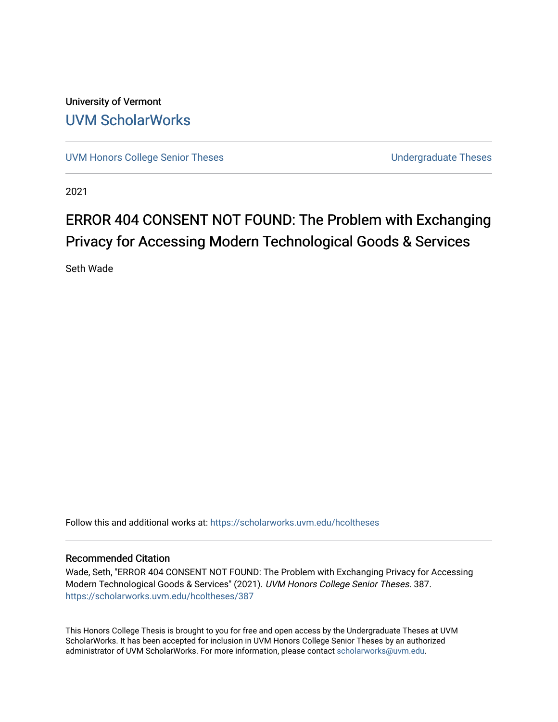University of Vermont [UVM ScholarWorks](https://scholarworks.uvm.edu/)

[UVM Honors College Senior Theses](https://scholarworks.uvm.edu/hcoltheses) **Exercise Sension College Senior Theses** Undergraduate Theses

2021

# ERROR 404 CONSENT NOT FOUND: The Problem with Exchanging Privacy for Accessing Modern Technological Goods & Services

Seth Wade

Follow this and additional works at: [https://scholarworks.uvm.edu/hcoltheses](https://scholarworks.uvm.edu/hcoltheses?utm_source=scholarworks.uvm.edu%2Fhcoltheses%2F387&utm_medium=PDF&utm_campaign=PDFCoverPages) 

#### Recommended Citation

Wade, Seth, "ERROR 404 CONSENT NOT FOUND: The Problem with Exchanging Privacy for Accessing Modern Technological Goods & Services" (2021). UVM Honors College Senior Theses. 387. [https://scholarworks.uvm.edu/hcoltheses/387](https://scholarworks.uvm.edu/hcoltheses/387?utm_source=scholarworks.uvm.edu%2Fhcoltheses%2F387&utm_medium=PDF&utm_campaign=PDFCoverPages) 

This Honors College Thesis is brought to you for free and open access by the Undergraduate Theses at UVM ScholarWorks. It has been accepted for inclusion in UVM Honors College Senior Theses by an authorized administrator of UVM ScholarWorks. For more information, please contact [scholarworks@uvm.edu](mailto:scholarworks@uvm.edu).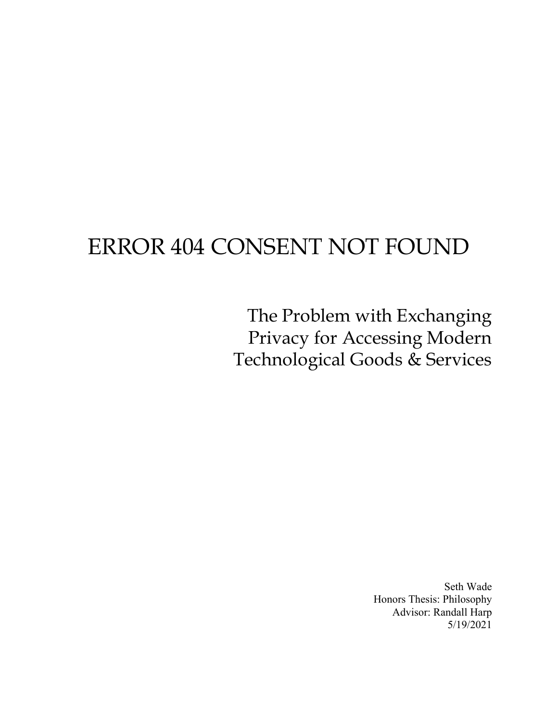# ERROR 404 CONSENT NOT FOUND

The Problem with Exchanging Privacy for Accessing Modern Technological Goods & Services

> Seth Wade Honors Thesis: Philosophy Advisor: Randall Harp 5/19/2021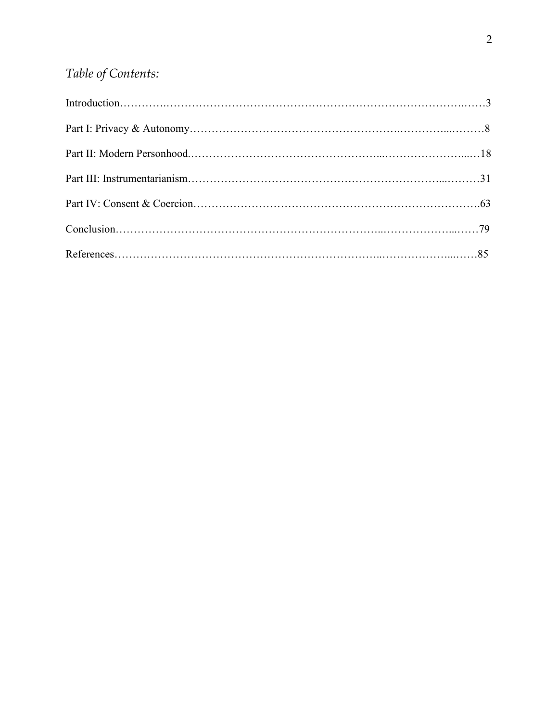# *Table of Contents:*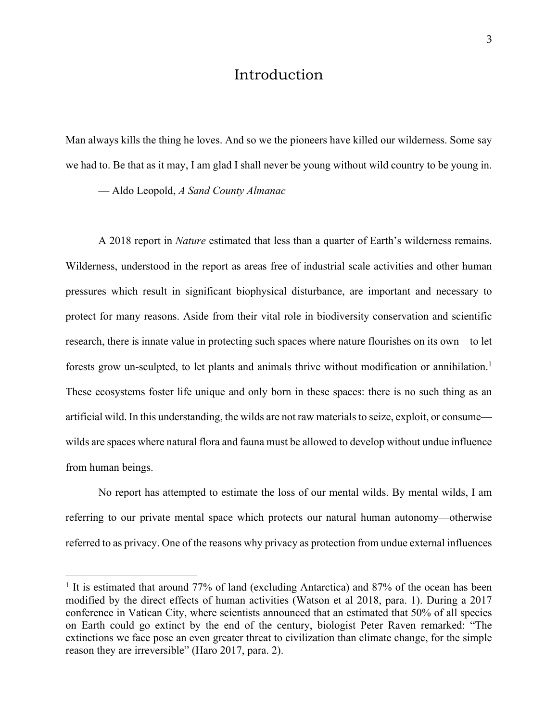# Introduction

Man always kills the thing he loves. And so we the pioneers have killed our wilderness. Some say we had to. Be that as it may, I am glad I shall never be young without wild country to be young in.

— Aldo Leopold, *A Sand County Almanac*

A 2018 report in *Nature* estimated that less than a quarter of Earth's wilderness remains. Wilderness, understood in the report as areas free of industrial scale activities and other human pressures which result in significant biophysical disturbance, are important and necessary to protect for many reasons. Aside from their vital role in biodiversity conservation and scientific research, there is innate value in protecting such spaces where nature flourishes on its own—to let forests grow un-sculpted, to let plants and animals thrive without modification or annihilation.<sup>1</sup> These ecosystems foster life unique and only born in these spaces: there is no such thing as an artificial wild. In this understanding, the wilds are not raw materials to seize, exploit, or consume wilds are spaces where natural flora and fauna must be allowed to develop without undue influence from human beings.

No report has attempted to estimate the loss of our mental wilds. By mental wilds, I am referring to our private mental space which protects our natural human autonomy—otherwise referred to as privacy. One of the reasons why privacy as protection from undue external influences

<sup>&</sup>lt;sup>1</sup> It is estimated that around 77% of land (excluding Antarctica) and 87% of the ocean has been modified by the direct effects of human activities (Watson et al 2018, para. 1). During a 2017 conference in Vatican City, where scientists announced that an estimated that 50% of all species on Earth could go extinct by the end of the century, biologist Peter Raven remarked: "The extinctions we face pose an even greater threat to civilization than climate change, for the simple reason they are irreversible" (Haro 2017, para. 2).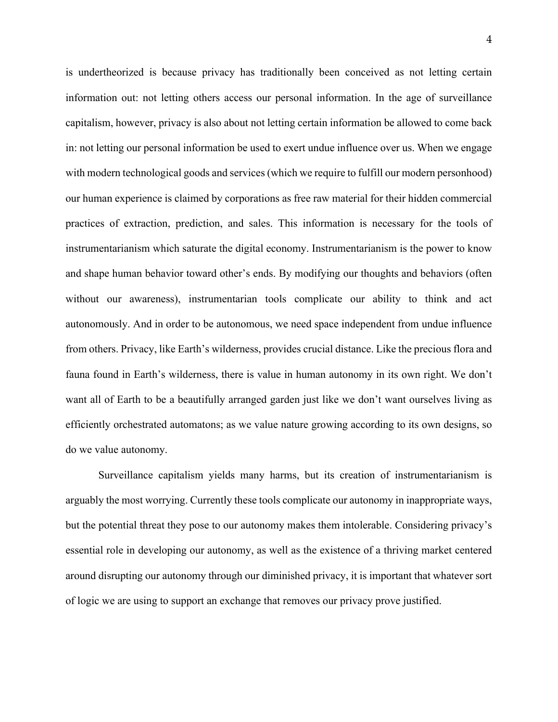is undertheorized is because privacy has traditionally been conceived as not letting certain information out: not letting others access our personal information. In the age of surveillance capitalism, however, privacy is also about not letting certain information be allowed to come back in: not letting our personal information be used to exert undue influence over us. When we engage with modern technological goods and services (which we require to fulfill our modern personhood) our human experience is claimed by corporations as free raw material for their hidden commercial practices of extraction, prediction, and sales. This information is necessary for the tools of instrumentarianism which saturate the digital economy. Instrumentarianism is the power to know and shape human behavior toward other's ends. By modifying our thoughts and behaviors (often without our awareness), instrumentarian tools complicate our ability to think and act autonomously. And in order to be autonomous, we need space independent from undue influence from others. Privacy, like Earth's wilderness, provides crucial distance. Like the precious flora and fauna found in Earth's wilderness, there is value in human autonomy in its own right. We don't want all of Earth to be a beautifully arranged garden just like we don't want ourselves living as efficiently orchestrated automatons; as we value nature growing according to its own designs, so do we value autonomy.

Surveillance capitalism yields many harms, but its creation of instrumentarianism is arguably the most worrying. Currently these tools complicate our autonomy in inappropriate ways, but the potential threat they pose to our autonomy makes them intolerable. Considering privacy's essential role in developing our autonomy, as well as the existence of a thriving market centered around disrupting our autonomy through our diminished privacy, it is important that whatever sort of logic we are using to support an exchange that removes our privacy prove justified.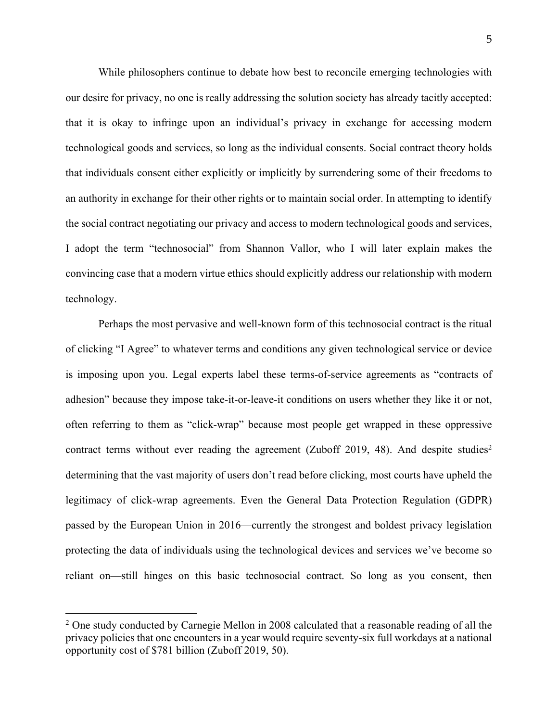While philosophers continue to debate how best to reconcile emerging technologies with our desire for privacy, no one is really addressing the solution society has already tacitly accepted: that it is okay to infringe upon an individual's privacy in exchange for accessing modern technological goods and services, so long as the individual consents. Social contract theory holds that individuals consent either explicitly or implicitly by surrendering some of their freedoms to an authority in exchange for their other rights or to maintain social order. In attempting to identify the social contract negotiating our privacy and access to modern technological goods and services, I adopt the term "technosocial" from Shannon Vallor, who I will later explain makes the convincing case that a modern virtue ethics should explicitly address our relationship with modern technology.

Perhaps the most pervasive and well-known form of this technosocial contract is the ritual of clicking "I Agree" to whatever terms and conditions any given technological service or device is imposing upon you. Legal experts label these terms-of-service agreements as "contracts of adhesion" because they impose take-it-or-leave-it conditions on users whether they like it or not, often referring to them as "click-wrap" because most people get wrapped in these oppressive contract terms without ever reading the agreement (Zuboff 2019, 48). And despite studies<sup>2</sup> determining that the vast majority of users don't read before clicking, most courts have upheld the legitimacy of click-wrap agreements. Even the General Data Protection Regulation (GDPR) passed by the European Union in 2016—currently the strongest and boldest privacy legislation protecting the data of individuals using the technological devices and services we've become so reliant on—still hinges on this basic technosocial contract. So long as you consent, then

<sup>&</sup>lt;sup>2</sup> One study conducted by Carnegie Mellon in 2008 calculated that a reasonable reading of all the privacy policies that one encounters in a year would require seventy-six full workdays at a national opportunity cost of \$781 billion (Zuboff 2019, 50).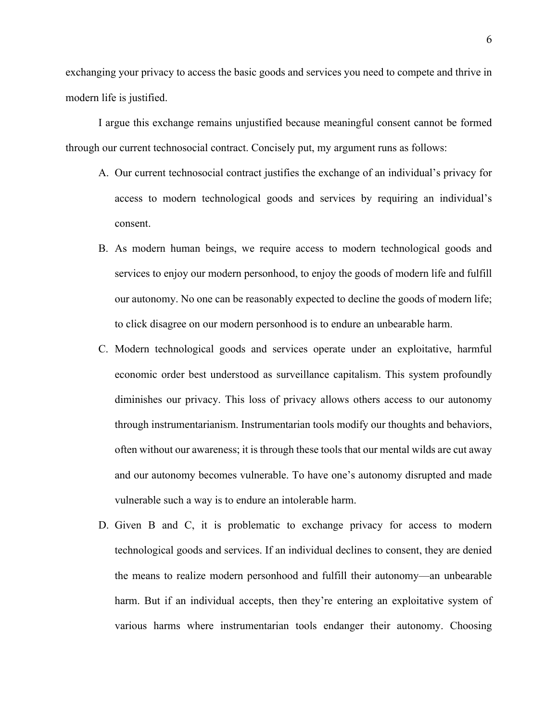exchanging your privacy to access the basic goods and services you need to compete and thrive in modern life is justified.

I argue this exchange remains unjustified because meaningful consent cannot be formed through our current technosocial contract. Concisely put, my argument runs as follows:

- A. Our current technosocial contract justifies the exchange of an individual's privacy for access to modern technological goods and services by requiring an individual's consent.
- B. As modern human beings, we require access to modern technological goods and services to enjoy our modern personhood, to enjoy the goods of modern life and fulfill our autonomy. No one can be reasonably expected to decline the goods of modern life; to click disagree on our modern personhood is to endure an unbearable harm.
- C. Modern technological goods and services operate under an exploitative, harmful economic order best understood as surveillance capitalism. This system profoundly diminishes our privacy. This loss of privacy allows others access to our autonomy through instrumentarianism. Instrumentarian tools modify our thoughts and behaviors, often without our awareness; it is through these tools that our mental wilds are cut away and our autonomy becomes vulnerable. To have one's autonomy disrupted and made vulnerable such a way is to endure an intolerable harm.
- D. Given B and C, it is problematic to exchange privacy for access to modern technological goods and services. If an individual declines to consent, they are denied the means to realize modern personhood and fulfill their autonomy—an unbearable harm. But if an individual accepts, then they're entering an exploitative system of various harms where instrumentarian tools endanger their autonomy. Choosing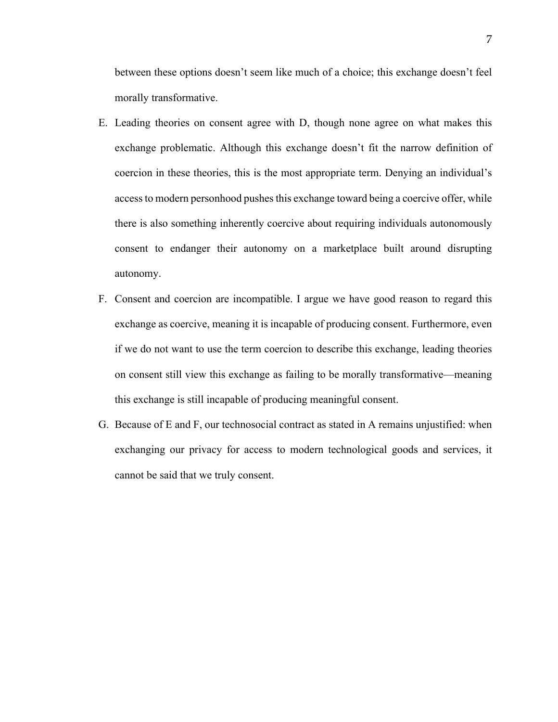between these options doesn't seem like much of a choice; this exchange doesn't feel morally transformative.

- E. Leading theories on consent agree with D, though none agree on what makes this exchange problematic. Although this exchange doesn't fit the narrow definition of coercion in these theories, this is the most appropriate term. Denying an individual's access to modern personhood pushes this exchange toward being a coercive offer, while there is also something inherently coercive about requiring individuals autonomously consent to endanger their autonomy on a marketplace built around disrupting autonomy.
- F. Consent and coercion are incompatible. I argue we have good reason to regard this exchange as coercive, meaning it is incapable of producing consent. Furthermore, even if we do not want to use the term coercion to describe this exchange, leading theories on consent still view this exchange as failing to be morally transformative—meaning this exchange is still incapable of producing meaningful consent.
- G. Because of E and F, our technosocial contract as stated in A remains unjustified: when exchanging our privacy for access to modern technological goods and services, it cannot be said that we truly consent.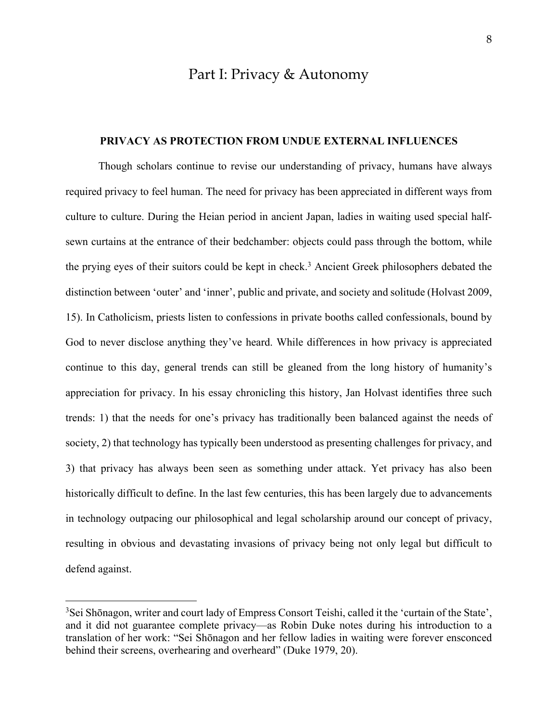## Part I: Privacy & Autonomy

#### **PRIVACY AS PROTECTION FROM UNDUE EXTERNAL INFLUENCES**

Though scholars continue to revise our understanding of privacy, humans have always required privacy to feel human. The need for privacy has been appreciated in different ways from culture to culture. During the Heian period in ancient Japan, ladies in waiting used special halfsewn curtains at the entrance of their bedchamber: objects could pass through the bottom, while the prying eyes of their suitors could be kept in check. <sup>3</sup> Ancient Greek philosophers debated the distinction between 'outer' and 'inner', public and private, and society and solitude (Holvast 2009, 15). In Catholicism, priests listen to confessions in private booths called confessionals, bound by God to never disclose anything they've heard. While differences in how privacy is appreciated continue to this day, general trends can still be gleaned from the long history of humanity's appreciation for privacy. In his essay chronicling this history, Jan Holvast identifies three such trends: 1) that the needs for one's privacy has traditionally been balanced against the needs of society, 2) that technology has typically been understood as presenting challenges for privacy, and 3) that privacy has always been seen as something under attack. Yet privacy has also been historically difficult to define. In the last few centuries, this has been largely due to advancements in technology outpacing our philosophical and legal scholarship around our concept of privacy, resulting in obvious and devastating invasions of privacy being not only legal but difficult to defend against.

<sup>&</sup>lt;sup>3</sup>Sei Shōnagon, writer and court lady of Empress Consort Teishi, called it the 'curtain of the State', and it did not guarantee complete privacy—as Robin Duke notes during his introduction to a translation of her work: "Sei Shōnagon and her fellow ladies in waiting were forever ensconced behind their screens, overhearing and overheard" (Duke 1979, 20).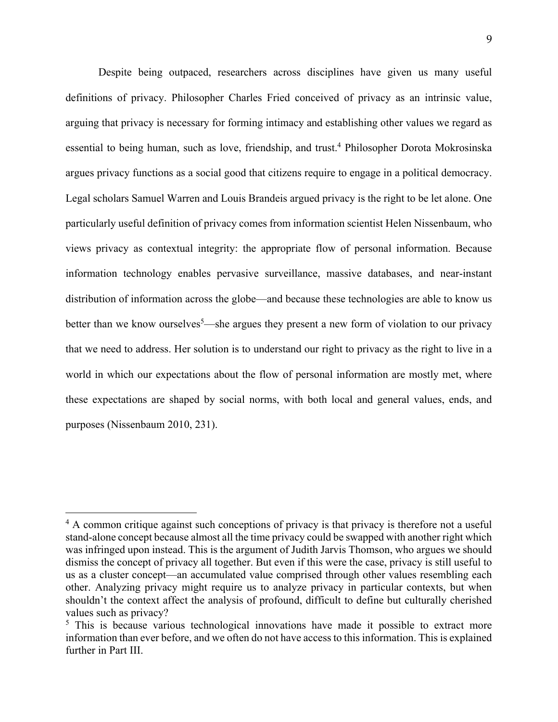Despite being outpaced, researchers across disciplines have given us many useful definitions of privacy. Philosopher Charles Fried conceived of privacy as an intrinsic value, arguing that privacy is necessary for forming intimacy and establishing other values we regard as essential to being human, such as love, friendship, and trust.<sup>4</sup> Philosopher Dorota Mokrosinska argues privacy functions as a social good that citizens require to engage in a political democracy. Legal scholars Samuel Warren and Louis Brandeis argued privacy is the right to be let alone. One particularly useful definition of privacy comes from information scientist Helen Nissenbaum, who views privacy as contextual integrity: the appropriate flow of personal information. Because information technology enables pervasive surveillance, massive databases, and near-instant distribution of information across the globe—and because these technologies are able to know us better than we know ourselves<sup>5</sup>—she argues they present a new form of violation to our privacy that we need to address. Her solution is to understand our right to privacy as the right to live in a world in which our expectations about the flow of personal information are mostly met, where these expectations are shaped by social norms, with both local and general values, ends, and purposes (Nissenbaum 2010, 231).

<sup>&</sup>lt;sup>4</sup> A common critique against such conceptions of privacy is that privacy is therefore not a useful stand-alone concept because almost all the time privacy could be swapped with another right which was infringed upon instead. This is the argument of Judith Jarvis Thomson, who argues we should dismiss the concept of privacy all together. But even if this were the case, privacy is still useful to us as a cluster concept—an accumulated value comprised through other values resembling each other. Analyzing privacy might require us to analyze privacy in particular contexts, but when shouldn't the context affect the analysis of profound, difficult to define but culturally cherished values such as privacy?

<sup>&</sup>lt;sup>5</sup> This is because various technological innovations have made it possible to extract more information than ever before, and we often do not have access to this information. This is explained further in Part III.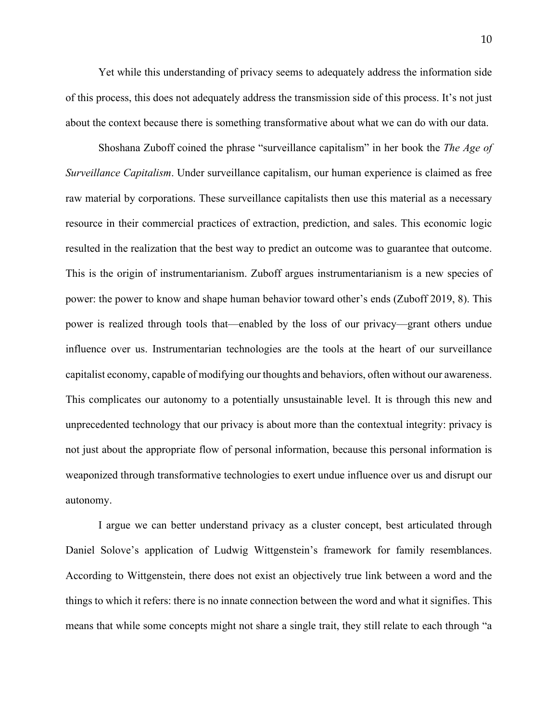Yet while this understanding of privacy seems to adequately address the information side of this process, this does not adequately address the transmission side of this process. It's not just about the context because there is something transformative about what we can do with our data.

Shoshana Zuboff coined the phrase "surveillance capitalism" in her book the *The Age of Surveillance Capitalism*. Under surveillance capitalism, our human experience is claimed as free raw material by corporations. These surveillance capitalists then use this material as a necessary resource in their commercial practices of extraction, prediction, and sales. This economic logic resulted in the realization that the best way to predict an outcome was to guarantee that outcome. This is the origin of instrumentarianism. Zuboff argues instrumentarianism is a new species of power: the power to know and shape human behavior toward other's ends (Zuboff 2019, 8). This power is realized through tools that—enabled by the loss of our privacy—grant others undue influence over us. Instrumentarian technologies are the tools at the heart of our surveillance capitalist economy, capable of modifying our thoughts and behaviors, often without our awareness. This complicates our autonomy to a potentially unsustainable level. It is through this new and unprecedented technology that our privacy is about more than the contextual integrity: privacy is not just about the appropriate flow of personal information, because this personal information is weaponized through transformative technologies to exert undue influence over us and disrupt our autonomy.

I argue we can better understand privacy as a cluster concept, best articulated through Daniel Solove's application of Ludwig Wittgenstein's framework for family resemblances. According to Wittgenstein, there does not exist an objectively true link between a word and the things to which it refers: there is no innate connection between the word and what it signifies. This means that while some concepts might not share a single trait, they still relate to each through "a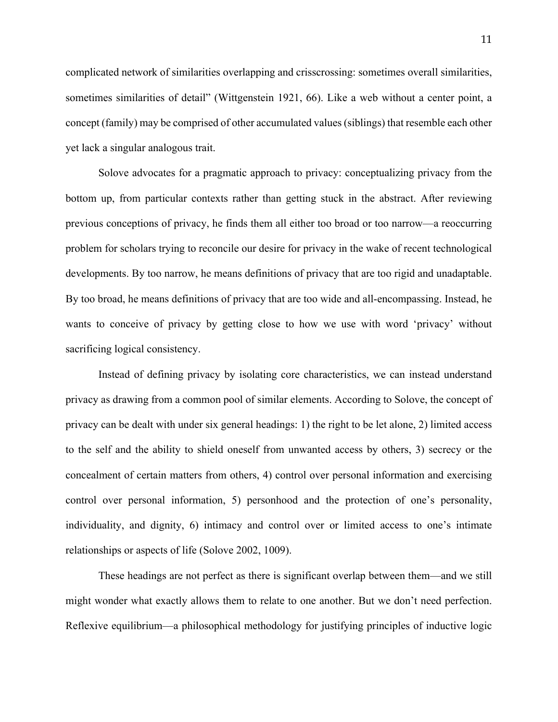complicated network of similarities overlapping and crisscrossing: sometimes overall similarities, sometimes similarities of detail" (Wittgenstein 1921, 66). Like a web without a center point, a concept (family) may be comprised of other accumulated values (siblings) that resemble each other yet lack a singular analogous trait.

Solove advocates for a pragmatic approach to privacy: conceptualizing privacy from the bottom up, from particular contexts rather than getting stuck in the abstract. After reviewing previous conceptions of privacy, he finds them all either too broad or too narrow—a reoccurring problem for scholars trying to reconcile our desire for privacy in the wake of recent technological developments. By too narrow, he means definitions of privacy that are too rigid and unadaptable. By too broad, he means definitions of privacy that are too wide and all-encompassing. Instead, he wants to conceive of privacy by getting close to how we use with word 'privacy' without sacrificing logical consistency.

Instead of defining privacy by isolating core characteristics, we can instead understand privacy as drawing from a common pool of similar elements. According to Solove, the concept of privacy can be dealt with under six general headings: 1) the right to be let alone, 2) limited access to the self and the ability to shield oneself from unwanted access by others, 3) secrecy or the concealment of certain matters from others, 4) control over personal information and exercising control over personal information, 5) personhood and the protection of one's personality, individuality, and dignity, 6) intimacy and control over or limited access to one's intimate relationships or aspects of life (Solove 2002, 1009).

These headings are not perfect as there is significant overlap between them—and we still might wonder what exactly allows them to relate to one another. But we don't need perfection. Reflexive equilibrium—a philosophical methodology for justifying principles of inductive logic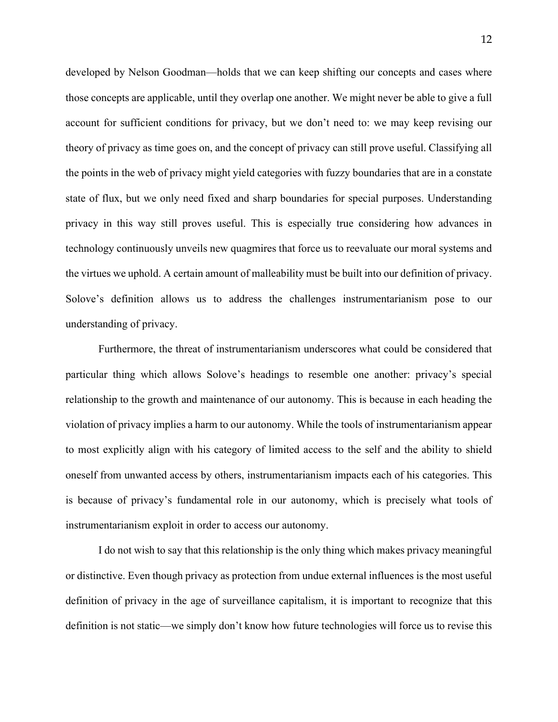developed by Nelson Goodman—holds that we can keep shifting our concepts and cases where those concepts are applicable, until they overlap one another. We might never be able to give a full account for sufficient conditions for privacy, but we don't need to: we may keep revising our theory of privacy as time goes on, and the concept of privacy can still prove useful. Classifying all the points in the web of privacy might yield categories with fuzzy boundaries that are in a constate state of flux, but we only need fixed and sharp boundaries for special purposes. Understanding privacy in this way still proves useful. This is especially true considering how advances in technology continuously unveils new quagmires that force us to reevaluate our moral systems and the virtues we uphold. A certain amount of malleability must be built into our definition of privacy. Solove's definition allows us to address the challenges instrumentarianism pose to our understanding of privacy.

Furthermore, the threat of instrumentarianism underscores what could be considered that particular thing which allows Solove's headings to resemble one another: privacy's special relationship to the growth and maintenance of our autonomy. This is because in each heading the violation of privacy implies a harm to our autonomy. While the tools of instrumentarianism appear to most explicitly align with his category of limited access to the self and the ability to shield oneself from unwanted access by others, instrumentarianism impacts each of his categories. This is because of privacy's fundamental role in our autonomy, which is precisely what tools of instrumentarianism exploit in order to access our autonomy.

I do not wish to say that this relationship is the only thing which makes privacy meaningful or distinctive. Even though privacy as protection from undue external influences is the most useful definition of privacy in the age of surveillance capitalism, it is important to recognize that this definition is not static—we simply don't know how future technologies will force us to revise this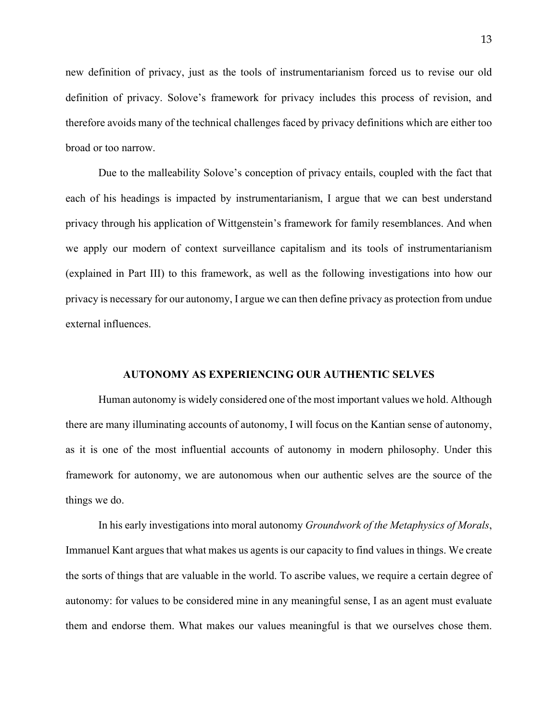new definition of privacy, just as the tools of instrumentarianism forced us to revise our old definition of privacy. Solove's framework for privacy includes this process of revision, and therefore avoids many of the technical challenges faced by privacy definitions which are either too broad or too narrow.

Due to the malleability Solove's conception of privacy entails, coupled with the fact that each of his headings is impacted by instrumentarianism, I argue that we can best understand privacy through his application of Wittgenstein's framework for family resemblances. And when we apply our modern of context surveillance capitalism and its tools of instrumentarianism (explained in Part III) to this framework, as well as the following investigations into how our privacy is necessary for our autonomy, I argue we can then define privacy as protection from undue external influences.

#### **AUTONOMY AS EXPERIENCING OUR AUTHENTIC SELVES**

Human autonomy is widely considered one of the most important values we hold. Although there are many illuminating accounts of autonomy, I will focus on the Kantian sense of autonomy, as it is one of the most influential accounts of autonomy in modern philosophy. Under this framework for autonomy, we are autonomous when our authentic selves are the source of the things we do.

In his early investigations into moral autonomy *Groundwork of the Metaphysics of Morals*, Immanuel Kant argues that what makes us agents is our capacity to find values in things. We create the sorts of things that are valuable in the world. To ascribe values, we require a certain degree of autonomy: for values to be considered mine in any meaningful sense, I as an agent must evaluate them and endorse them. What makes our values meaningful is that we ourselves chose them.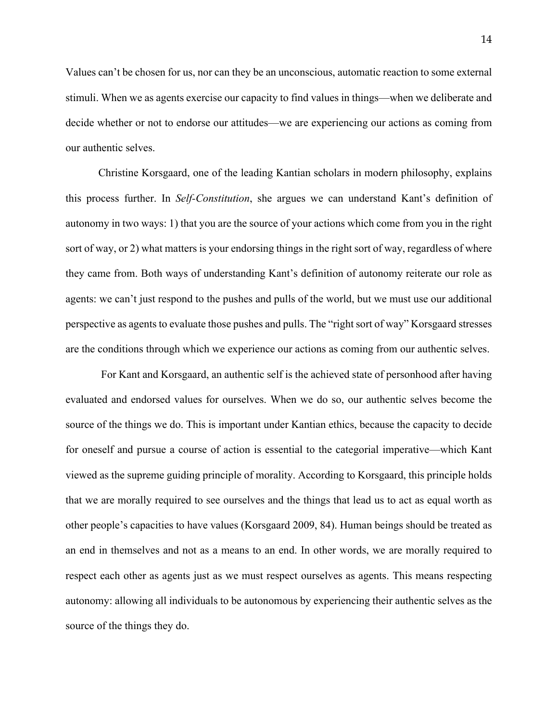Values can't be chosen for us, nor can they be an unconscious, automatic reaction to some external stimuli. When we as agents exercise our capacity to find values in things—when we deliberate and decide whether or not to endorse our attitudes—we are experiencing our actions as coming from our authentic selves.

Christine Korsgaard, one of the leading Kantian scholars in modern philosophy, explains this process further. In *Self-Constitution*, she argues we can understand Kant's definition of autonomy in two ways: 1) that you are the source of your actions which come from you in the right sort of way, or 2) what matters is your endorsing things in the right sort of way, regardless of where they came from. Both ways of understanding Kant's definition of autonomy reiterate our role as agents: we can't just respond to the pushes and pulls of the world, but we must use our additional perspective as agents to evaluate those pushes and pulls. The "right sort of way" Korsgaard stresses are the conditions through which we experience our actions as coming from our authentic selves.

For Kant and Korsgaard, an authentic self is the achieved state of personhood after having evaluated and endorsed values for ourselves. When we do so, our authentic selves become the source of the things we do. This is important under Kantian ethics, because the capacity to decide for oneself and pursue a course of action is essential to the categorial imperative—which Kant viewed as the supreme guiding principle of morality. According to Korsgaard, this principle holds that we are morally required to see ourselves and the things that lead us to act as equal worth as other people's capacities to have values (Korsgaard 2009, 84). Human beings should be treated as an end in themselves and not as a means to an end. In other words, we are morally required to respect each other as agents just as we must respect ourselves as agents. This means respecting autonomy: allowing all individuals to be autonomous by experiencing their authentic selves as the source of the things they do.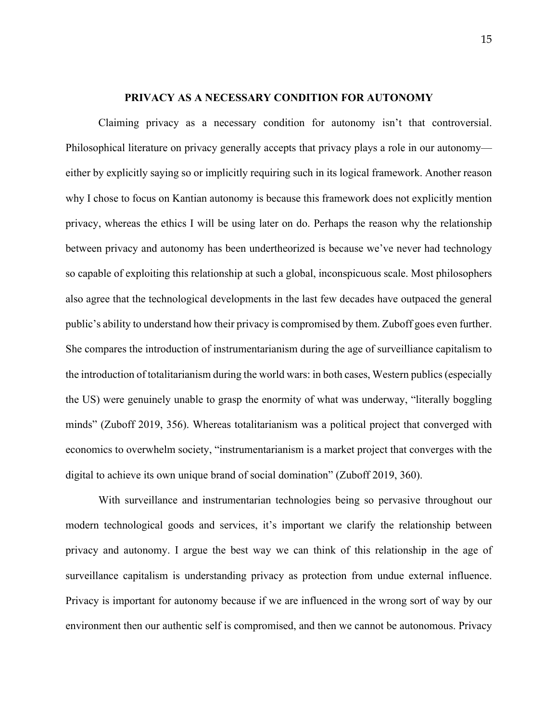#### **PRIVACY AS A NECESSARY CONDITION FOR AUTONOMY**

Claiming privacy as a necessary condition for autonomy isn't that controversial. Philosophical literature on privacy generally accepts that privacy plays a role in our autonomy either by explicitly saying so or implicitly requiring such in its logical framework. Another reason why I chose to focus on Kantian autonomy is because this framework does not explicitly mention privacy, whereas the ethics I will be using later on do. Perhaps the reason why the relationship between privacy and autonomy has been undertheorized is because we've never had technology so capable of exploiting this relationship at such a global, inconspicuous scale. Most philosophers also agree that the technological developments in the last few decades have outpaced the general public's ability to understand how their privacy is compromised by them. Zuboff goes even further. She compares the introduction of instrumentarianism during the age of surveilliance capitalism to the introduction of totalitarianism during the world wars: in both cases, Western publics (especially the US) were genuinely unable to grasp the enormity of what was underway, "literally boggling minds" (Zuboff 2019, 356). Whereas totalitarianism was a political project that converged with economics to overwhelm society, "instrumentarianism is a market project that converges with the digital to achieve its own unique brand of social domination" (Zuboff 2019, 360).

With surveillance and instrumentarian technologies being so pervasive throughout our modern technological goods and services, it's important we clarify the relationship between privacy and autonomy. I argue the best way we can think of this relationship in the age of surveillance capitalism is understanding privacy as protection from undue external influence. Privacy is important for autonomy because if we are influenced in the wrong sort of way by our environment then our authentic self is compromised, and then we cannot be autonomous. Privacy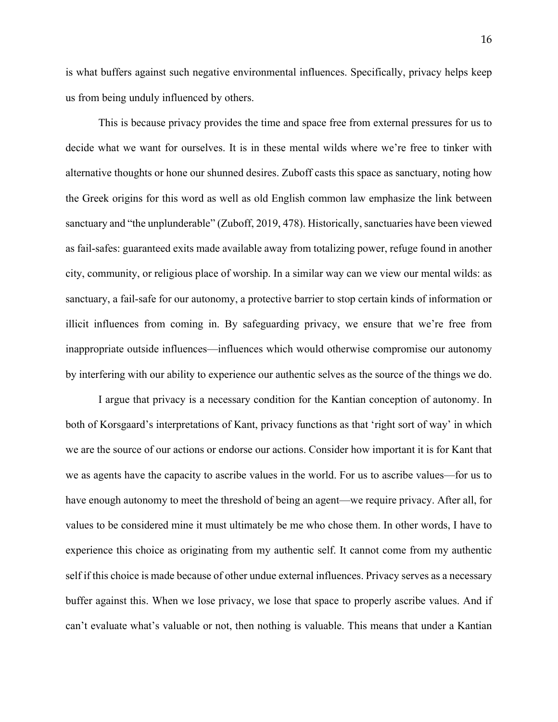is what buffers against such negative environmental influences. Specifically, privacy helps keep us from being unduly influenced by others.

This is because privacy provides the time and space free from external pressures for us to decide what we want for ourselves. It is in these mental wilds where we're free to tinker with alternative thoughts or hone our shunned desires. Zuboff casts this space as sanctuary, noting how the Greek origins for this word as well as old English common law emphasize the link between sanctuary and "the unplunderable" (Zuboff, 2019, 478). Historically, sanctuaries have been viewed as fail-safes: guaranteed exits made available away from totalizing power, refuge found in another city, community, or religious place of worship. In a similar way can we view our mental wilds: as sanctuary, a fail-safe for our autonomy, a protective barrier to stop certain kinds of information or illicit influences from coming in. By safeguarding privacy, we ensure that we're free from inappropriate outside influences—influences which would otherwise compromise our autonomy by interfering with our ability to experience our authentic selves as the source of the things we do.

I argue that privacy is a necessary condition for the Kantian conception of autonomy. In both of Korsgaard's interpretations of Kant, privacy functions as that 'right sort of way' in which we are the source of our actions or endorse our actions. Consider how important it is for Kant that we as agents have the capacity to ascribe values in the world. For us to ascribe values—for us to have enough autonomy to meet the threshold of being an agent—we require privacy. After all, for values to be considered mine it must ultimately be me who chose them. In other words, I have to experience this choice as originating from my authentic self. It cannot come from my authentic self if this choice is made because of other undue external influences. Privacy serves as a necessary buffer against this. When we lose privacy, we lose that space to properly ascribe values. And if can't evaluate what's valuable or not, then nothing is valuable. This means that under a Kantian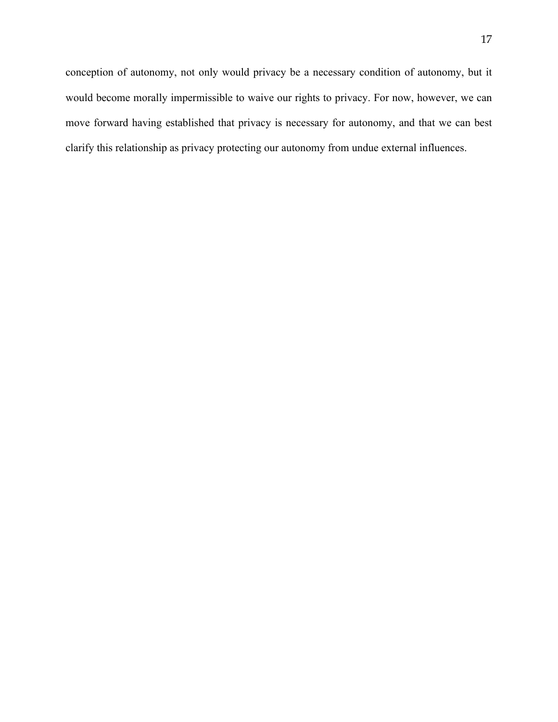conception of autonomy, not only would privacy be a necessary condition of autonomy, but it would become morally impermissible to waive our rights to privacy. For now, however, we can move forward having established that privacy is necessary for autonomy, and that we can best clarify this relationship as privacy protecting our autonomy from undue external influences.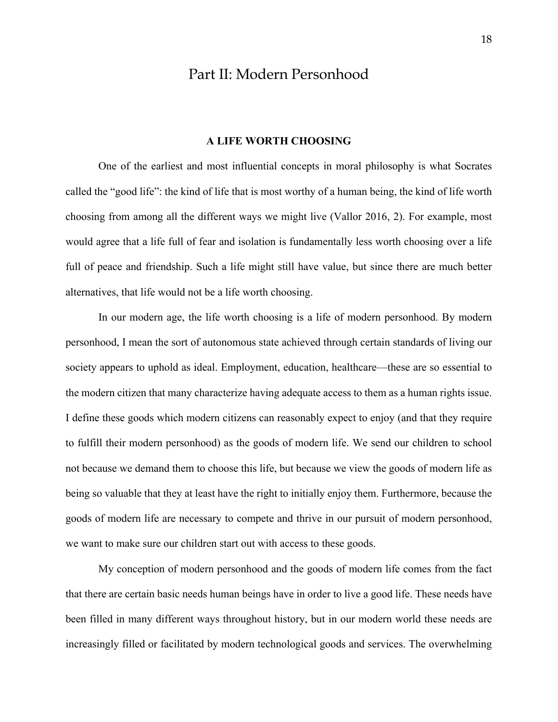## Part II: Modern Personhood

#### **A LIFE WORTH CHOOSING**

One of the earliest and most influential concepts in moral philosophy is what Socrates called the "good life": the kind of life that is most worthy of a human being, the kind of life worth choosing from among all the different ways we might live (Vallor 2016, 2). For example, most would agree that a life full of fear and isolation is fundamentally less worth choosing over a life full of peace and friendship. Such a life might still have value, but since there are much better alternatives, that life would not be a life worth choosing.

In our modern age, the life worth choosing is a life of modern personhood. By modern personhood, I mean the sort of autonomous state achieved through certain standards of living our society appears to uphold as ideal. Employment, education, healthcare—these are so essential to the modern citizen that many characterize having adequate access to them as a human rights issue. I define these goods which modern citizens can reasonably expect to enjoy (and that they require to fulfill their modern personhood) as the goods of modern life. We send our children to school not because we demand them to choose this life, but because we view the goods of modern life as being so valuable that they at least have the right to initially enjoy them. Furthermore, because the goods of modern life are necessary to compete and thrive in our pursuit of modern personhood, we want to make sure our children start out with access to these goods.

My conception of modern personhood and the goods of modern life comes from the fact that there are certain basic needs human beings have in order to live a good life. These needs have been filled in many different ways throughout history, but in our modern world these needs are increasingly filled or facilitated by modern technological goods and services. The overwhelming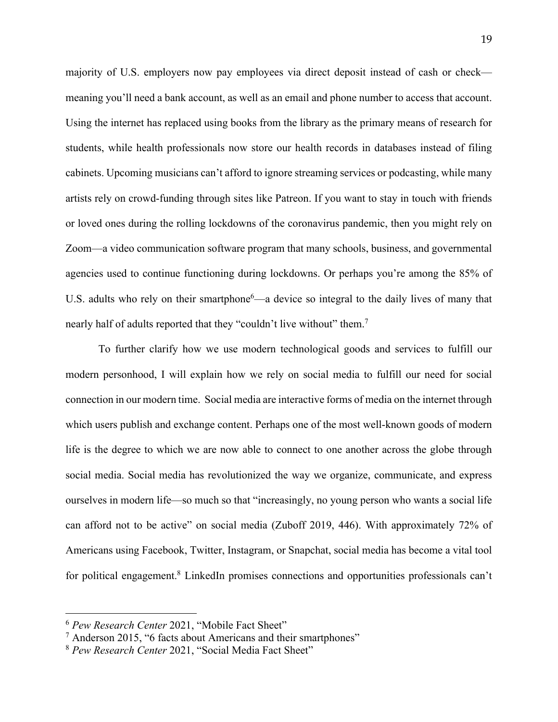majority of U.S. employers now pay employees via direct deposit instead of cash or check meaning you'll need a bank account, as well as an email and phone number to access that account. Using the internet has replaced using books from the library as the primary means of research for students, while health professionals now store our health records in databases instead of filing cabinets. Upcoming musicians can't afford to ignore streaming services or podcasting, while many artists rely on crowd-funding through sites like Patreon. If you want to stay in touch with friends or loved ones during the rolling lockdowns of the coronavirus pandemic, then you might rely on Zoom—a video communication software program that many schools, business, and governmental agencies used to continue functioning during lockdowns. Or perhaps you're among the 85% of U.S. adults who rely on their smartphone<sup>6</sup>—a device so integral to the daily lives of many that nearly half of adults reported that they "couldn't live without" them.<sup>7</sup>

To further clarify how we use modern technological goods and services to fulfill our modern personhood, I will explain how we rely on social media to fulfill our need for social connection in our modern time. Social media are interactive forms of media on the internet through which users publish and exchange content. Perhaps one of the most well-known goods of modern life is the degree to which we are now able to connect to one another across the globe through social media. Social media has revolutionized the way we organize, communicate, and express ourselves in modern life—so much so that "increasingly, no young person who wants a social life can afford not to be active" on social media (Zuboff 2019, 446). With approximately 72% of Americans using Facebook, Twitter, Instagram, or Snapchat, social media has become a vital tool for political engagement.<sup>8</sup> LinkedIn promises connections and opportunities professionals can't

<sup>6</sup> *Pew Research Center* 2021, "Mobile Fact Sheet"

<sup>7</sup> Anderson 2015, "6 facts about Americans and their smartphones"

<sup>8</sup> *Pew Research Center* 2021, "Social Media Fact Sheet"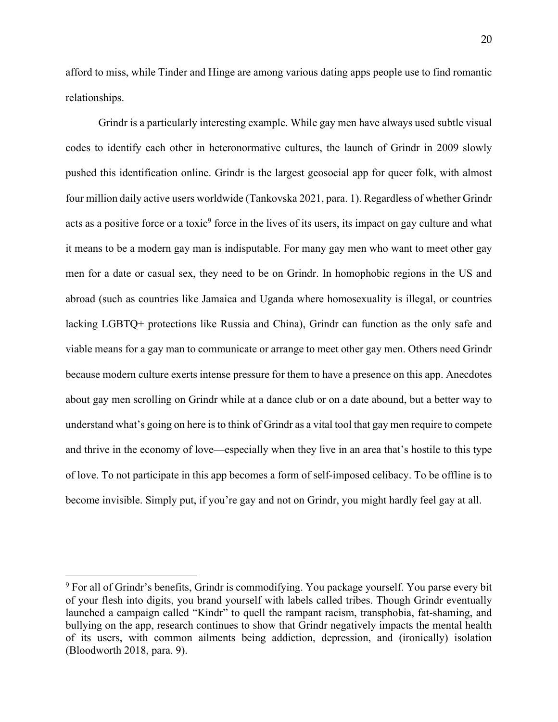afford to miss, while Tinder and Hinge are among various dating apps people use to find romantic relationships.

Grindr is a particularly interesting example. While gay men have always used subtle visual codes to identify each other in heteronormative cultures, the launch of Grindr in 2009 slowly pushed this identification online. Grindr is the largest geosocial app for queer folk, with almost four million daily active users worldwide (Tankovska 2021, para. 1). Regardless of whether Grindr acts as a positive force or a toxic<sup>9</sup> force in the lives of its users, its impact on gay culture and what it means to be a modern gay man is indisputable. For many gay men who want to meet other gay men for a date or casual sex, they need to be on Grindr. In homophobic regions in the US and abroad (such as countries like Jamaica and Uganda where homosexuality is illegal, or countries lacking LGBTQ+ protections like Russia and China), Grindr can function as the only safe and viable means for a gay man to communicate or arrange to meet other gay men. Others need Grindr because modern culture exerts intense pressure for them to have a presence on this app. Anecdotes about gay men scrolling on Grindr while at a dance club or on a date abound, but a better way to understand what's going on here is to think of Grindr as a vital tool that gay men require to compete and thrive in the economy of love—especially when they live in an area that's hostile to this type of love. To not participate in this app becomes a form of self-imposed celibacy. To be offline is to become invisible. Simply put, if you're gay and not on Grindr, you might hardly feel gay at all.

 $9$  For all of Grindr's benefits, Grindr is commodifying. You package yourself. You parse every bit of your flesh into digits, you brand yourself with labels called tribes. Though Grindr eventually launched a campaign called "Kindr" to quell the rampant racism, transphobia, fat-shaming, and bullying on the app, research continues to show that Grindr negatively impacts the mental health of its users, with common ailments being addiction, depression, and (ironically) isolation (Bloodworth 2018, para. 9).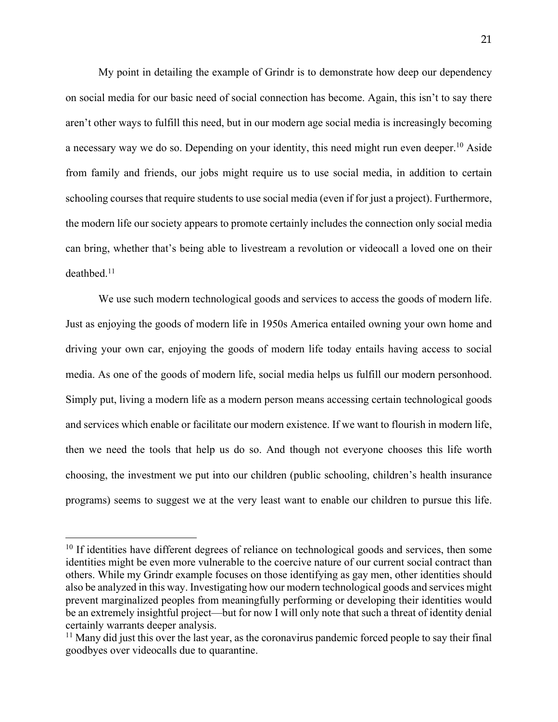My point in detailing the example of Grindr is to demonstrate how deep our dependency on social media for our basic need of social connection has become. Again, this isn't to say there aren't other ways to fulfill this need, but in our modern age social media is increasingly becoming a necessary way we do so. Depending on your identity, this need might run even deeper.<sup>10</sup> Aside from family and friends, our jobs might require us to use social media, in addition to certain schooling courses that require students to use social media (even if for just a project). Furthermore, the modern life our society appears to promote certainly includes the connection only social media can bring, whether that's being able to livestream a revolution or videocall a loved one on their deathbed.11

We use such modern technological goods and services to access the goods of modern life. Just as enjoying the goods of modern life in 1950s America entailed owning your own home and driving your own car, enjoying the goods of modern life today entails having access to social media. As one of the goods of modern life, social media helps us fulfill our modern personhood. Simply put, living a modern life as a modern person means accessing certain technological goods and services which enable or facilitate our modern existence. If we want to flourish in modern life, then we need the tools that help us do so. And though not everyone chooses this life worth choosing, the investment we put into our children (public schooling, children's health insurance programs) seems to suggest we at the very least want to enable our children to pursue this life.

 $10$  If identities have different degrees of reliance on technological goods and services, then some identities might be even more vulnerable to the coercive nature of our current social contract than others. While my Grindr example focuses on those identifying as gay men, other identities should also be analyzed in this way. Investigating how our modern technological goods and services might prevent marginalized peoples from meaningfully performing or developing their identities would be an extremely insightful project—but for now I will only note that such a threat of identity denial certainly warrants deeper analysis.

 $11$  Many did just this over the last year, as the coronavirus pandemic forced people to say their final goodbyes over videocalls due to quarantine.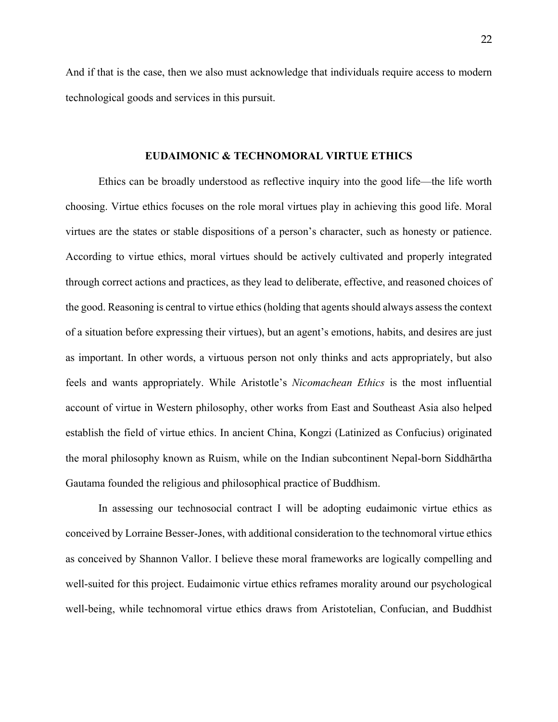And if that is the case, then we also must acknowledge that individuals require access to modern technological goods and services in this pursuit.

#### **EUDAIMONIC & TECHNOMORAL VIRTUE ETHICS**

Ethics can be broadly understood as reflective inquiry into the good life—the life worth choosing. Virtue ethics focuses on the role moral virtues play in achieving this good life. Moral virtues are the states or stable dispositions of a person's character, such as honesty or patience. According to virtue ethics, moral virtues should be actively cultivated and properly integrated through correct actions and practices, as they lead to deliberate, effective, and reasoned choices of the good. Reasoning is central to virtue ethics (holding that agents should always assess the context of a situation before expressing their virtues), but an agent's emotions, habits, and desires are just as important. In other words, a virtuous person not only thinks and acts appropriately, but also feels and wants appropriately. While Aristotle's *Nicomachean Ethics* is the most influential account of virtue in Western philosophy, other works from East and Southeast Asia also helped establish the field of virtue ethics. In ancient China, Kongzi (Latinized as Confucius) originated the moral philosophy known as Ruism, while on the Indian subcontinent Nepal-born Siddhārtha Gautama founded the religious and philosophical practice of Buddhism.

In assessing our technosocial contract I will be adopting eudaimonic virtue ethics as conceived by Lorraine Besser-Jones, with additional consideration to the technomoral virtue ethics as conceived by Shannon Vallor. I believe these moral frameworks are logically compelling and well-suited for this project. Eudaimonic virtue ethics reframes morality around our psychological well-being, while technomoral virtue ethics draws from Aristotelian, Confucian, and Buddhist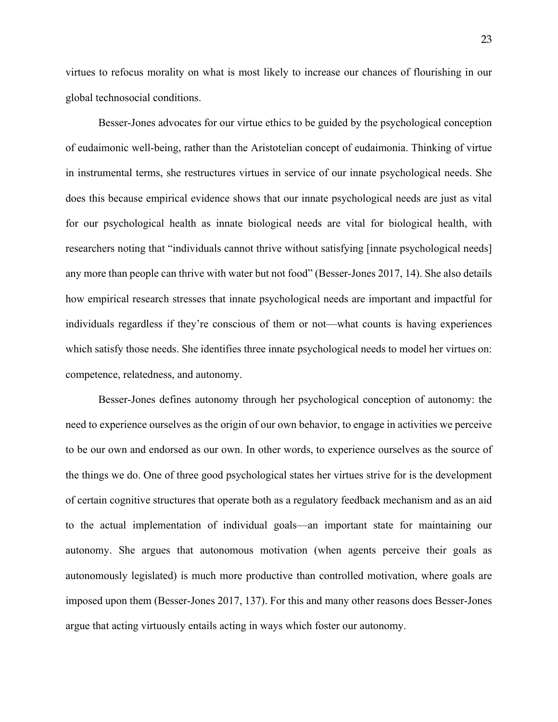virtues to refocus morality on what is most likely to increase our chances of flourishing in our global technosocial conditions.

Besser-Jones advocates for our virtue ethics to be guided by the psychological conception of eudaimonic well-being, rather than the Aristotelian concept of eudaimonia. Thinking of virtue in instrumental terms, she restructures virtues in service of our innate psychological needs. She does this because empirical evidence shows that our innate psychological needs are just as vital for our psychological health as innate biological needs are vital for biological health, with researchers noting that "individuals cannot thrive without satisfying [innate psychological needs] any more than people can thrive with water but not food" (Besser-Jones 2017, 14). She also details how empirical research stresses that innate psychological needs are important and impactful for individuals regardless if they're conscious of them or not—what counts is having experiences which satisfy those needs. She identifies three innate psychological needs to model her virtues on: competence, relatedness, and autonomy.

Besser-Jones defines autonomy through her psychological conception of autonomy: the need to experience ourselves as the origin of our own behavior, to engage in activities we perceive to be our own and endorsed as our own. In other words, to experience ourselves as the source of the things we do. One of three good psychological states her virtues strive for is the development of certain cognitive structures that operate both as a regulatory feedback mechanism and as an aid to the actual implementation of individual goals—an important state for maintaining our autonomy. She argues that autonomous motivation (when agents perceive their goals as autonomously legislated) is much more productive than controlled motivation, where goals are imposed upon them (Besser-Jones 2017, 137). For this and many other reasons does Besser-Jones argue that acting virtuously entails acting in ways which foster our autonomy.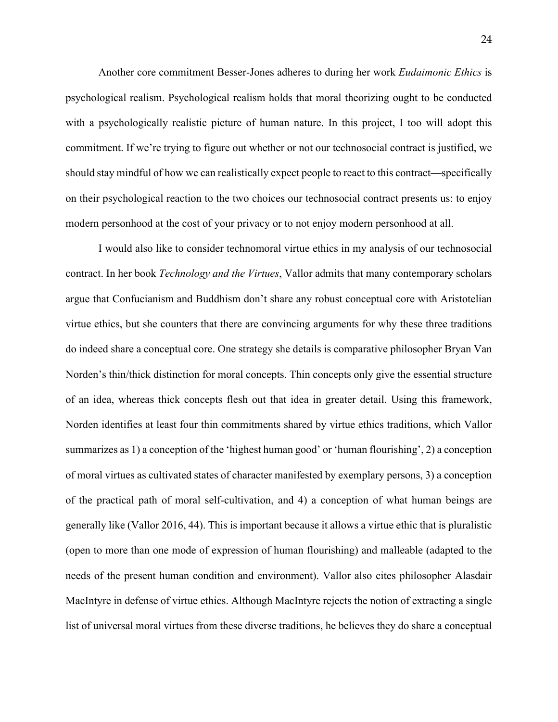Another core commitment Besser-Jones adheres to during her work *Eudaimonic Ethics* is psychological realism. Psychological realism holds that moral theorizing ought to be conducted with a psychologically realistic picture of human nature. In this project, I too will adopt this commitment. If we're trying to figure out whether or not our technosocial contract is justified, we should stay mindful of how we can realistically expect people to react to this contract—specifically on their psychological reaction to the two choices our technosocial contract presents us: to enjoy modern personhood at the cost of your privacy or to not enjoy modern personhood at all.

I would also like to consider technomoral virtue ethics in my analysis of our technosocial contract. In her book *Technology and the Virtues*, Vallor admits that many contemporary scholars argue that Confucianism and Buddhism don't share any robust conceptual core with Aristotelian virtue ethics, but she counters that there are convincing arguments for why these three traditions do indeed share a conceptual core. One strategy she details is comparative philosopher Bryan Van Norden's thin/thick distinction for moral concepts. Thin concepts only give the essential structure of an idea, whereas thick concepts flesh out that idea in greater detail. Using this framework, Norden identifies at least four thin commitments shared by virtue ethics traditions, which Vallor summarizes as 1) a conception of the 'highest human good' or 'human flourishing', 2) a conception of moral virtues as cultivated states of character manifested by exemplary persons, 3) a conception of the practical path of moral self-cultivation, and 4) a conception of what human beings are generally like (Vallor 2016, 44). This is important because it allows a virtue ethic that is pluralistic (open to more than one mode of expression of human flourishing) and malleable (adapted to the needs of the present human condition and environment). Vallor also cites philosopher Alasdair MacIntyre in defense of virtue ethics. Although MacIntyre rejects the notion of extracting a single list of universal moral virtues from these diverse traditions, he believes they do share a conceptual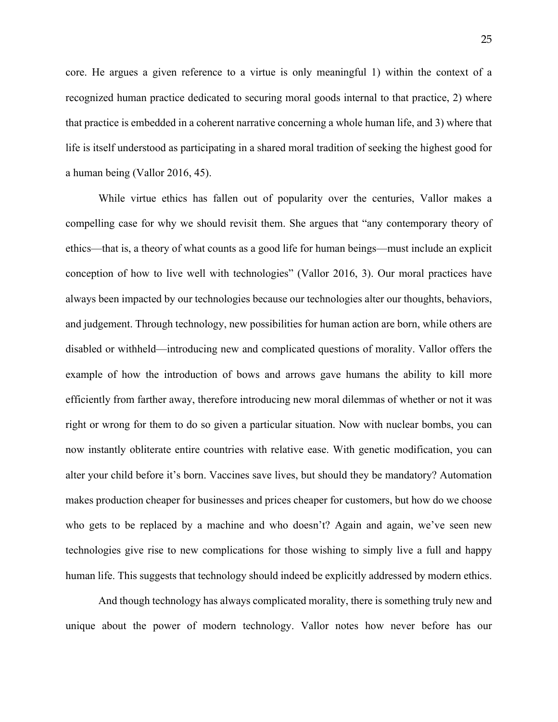core. He argues a given reference to a virtue is only meaningful 1) within the context of a recognized human practice dedicated to securing moral goods internal to that practice, 2) where that practice is embedded in a coherent narrative concerning a whole human life, and 3) where that life is itself understood as participating in a shared moral tradition of seeking the highest good for a human being (Vallor 2016, 45).

While virtue ethics has fallen out of popularity over the centuries, Vallor makes a compelling case for why we should revisit them. She argues that "any contemporary theory of ethics—that is, a theory of what counts as a good life for human beings—must include an explicit conception of how to live well with technologies" (Vallor 2016, 3). Our moral practices have always been impacted by our technologies because our technologies alter our thoughts, behaviors, and judgement. Through technology, new possibilities for human action are born, while others are disabled or withheld—introducing new and complicated questions of morality. Vallor offers the example of how the introduction of bows and arrows gave humans the ability to kill more efficiently from farther away, therefore introducing new moral dilemmas of whether or not it was right or wrong for them to do so given a particular situation. Now with nuclear bombs, you can now instantly obliterate entire countries with relative ease. With genetic modification, you can alter your child before it's born. Vaccines save lives, but should they be mandatory? Automation makes production cheaper for businesses and prices cheaper for customers, but how do we choose who gets to be replaced by a machine and who doesn't? Again and again, we've seen new technologies give rise to new complications for those wishing to simply live a full and happy human life. This suggests that technology should indeed be explicitly addressed by modern ethics.

And though technology has always complicated morality, there is something truly new and unique about the power of modern technology. Vallor notes how never before has our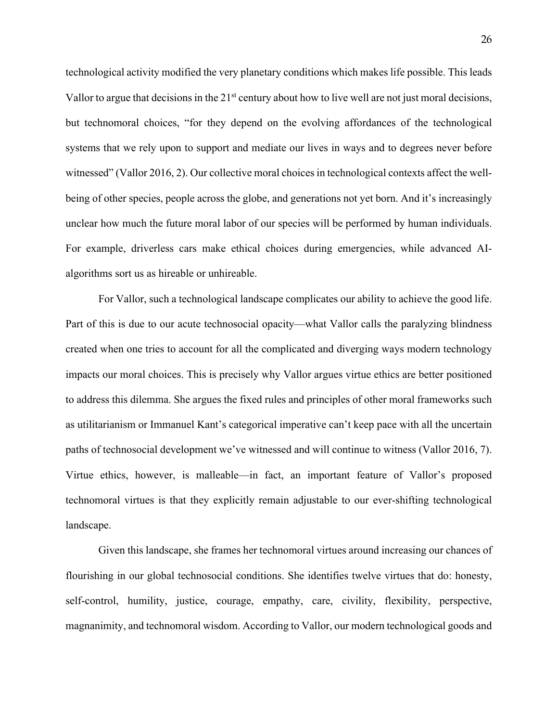technological activity modified the very planetary conditions which makes life possible. This leads Vallor to argue that decisions in the 21<sup>st</sup> century about how to live well are not just moral decisions, but technomoral choices, "for they depend on the evolving affordances of the technological systems that we rely upon to support and mediate our lives in ways and to degrees never before witnessed" (Vallor 2016, 2). Our collective moral choices in technological contexts affect the wellbeing of other species, people across the globe, and generations not yet born. And it's increasingly unclear how much the future moral labor of our species will be performed by human individuals. For example, driverless cars make ethical choices during emergencies, while advanced AIalgorithms sort us as hireable or unhireable.

For Vallor, such a technological landscape complicates our ability to achieve the good life. Part of this is due to our acute technosocial opacity—what Vallor calls the paralyzing blindness created when one tries to account for all the complicated and diverging ways modern technology impacts our moral choices. This is precisely why Vallor argues virtue ethics are better positioned to address this dilemma. She argues the fixed rules and principles of other moral frameworks such as utilitarianism or Immanuel Kant's categorical imperative can't keep pace with all the uncertain paths of technosocial development we've witnessed and will continue to witness (Vallor 2016, 7). Virtue ethics, however, is malleable—in fact, an important feature of Vallor's proposed technomoral virtues is that they explicitly remain adjustable to our ever-shifting technological landscape.

Given this landscape, she frames her technomoral virtues around increasing our chances of flourishing in our global technosocial conditions. She identifies twelve virtues that do: honesty, self-control, humility, justice, courage, empathy, care, civility, flexibility, perspective, magnanimity, and technomoral wisdom. According to Vallor, our modern technological goods and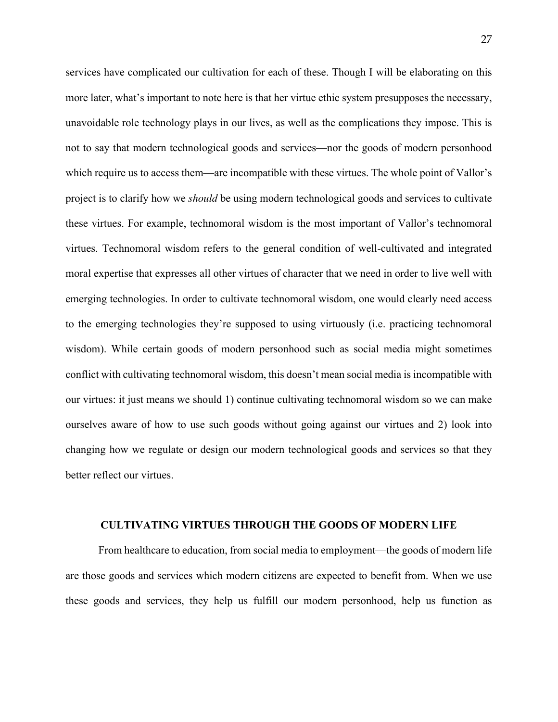services have complicated our cultivation for each of these. Though I will be elaborating on this more later, what's important to note here is that her virtue ethic system presupposes the necessary, unavoidable role technology plays in our lives, as well as the complications they impose. This is not to say that modern technological goods and services—nor the goods of modern personhood which require us to access them—are incompatible with these virtues. The whole point of Vallor's project is to clarify how we *should* be using modern technological goods and services to cultivate these virtues. For example, technomoral wisdom is the most important of Vallor's technomoral virtues. Technomoral wisdom refers to the general condition of well-cultivated and integrated moral expertise that expresses all other virtues of character that we need in order to live well with emerging technologies. In order to cultivate technomoral wisdom, one would clearly need access to the emerging technologies they're supposed to using virtuously (i.e. practicing technomoral wisdom). While certain goods of modern personhood such as social media might sometimes conflict with cultivating technomoral wisdom, this doesn't mean social media is incompatible with our virtues: it just means we should 1) continue cultivating technomoral wisdom so we can make ourselves aware of how to use such goods without going against our virtues and 2) look into changing how we regulate or design our modern technological goods and services so that they better reflect our virtues.

#### **CULTIVATING VIRTUES THROUGH THE GOODS OF MODERN LIFE**

From healthcare to education, from social media to employment—the goods of modern life are those goods and services which modern citizens are expected to benefit from. When we use these goods and services, they help us fulfill our modern personhood, help us function as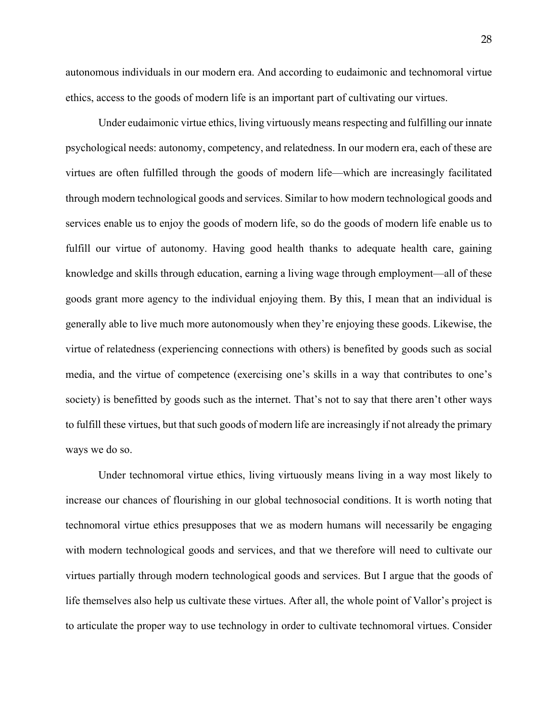autonomous individuals in our modern era. And according to eudaimonic and technomoral virtue ethics, access to the goods of modern life is an important part of cultivating our virtues.

Under eudaimonic virtue ethics, living virtuously means respecting and fulfilling our innate psychological needs: autonomy, competency, and relatedness. In our modern era, each of these are virtues are often fulfilled through the goods of modern life—which are increasingly facilitated through modern technological goods and services. Similar to how modern technological goods and services enable us to enjoy the goods of modern life, so do the goods of modern life enable us to fulfill our virtue of autonomy. Having good health thanks to adequate health care, gaining knowledge and skills through education, earning a living wage through employment—all of these goods grant more agency to the individual enjoying them. By this, I mean that an individual is generally able to live much more autonomously when they're enjoying these goods. Likewise, the virtue of relatedness (experiencing connections with others) is benefited by goods such as social media, and the virtue of competence (exercising one's skills in a way that contributes to one's society) is benefitted by goods such as the internet. That's not to say that there aren't other ways to fulfill these virtues, but that such goods of modern life are increasingly if not already the primary ways we do so.

Under technomoral virtue ethics, living virtuously means living in a way most likely to increase our chances of flourishing in our global technosocial conditions. It is worth noting that technomoral virtue ethics presupposes that we as modern humans will necessarily be engaging with modern technological goods and services, and that we therefore will need to cultivate our virtues partially through modern technological goods and services. But I argue that the goods of life themselves also help us cultivate these virtues. After all, the whole point of Vallor's project is to articulate the proper way to use technology in order to cultivate technomoral virtues. Consider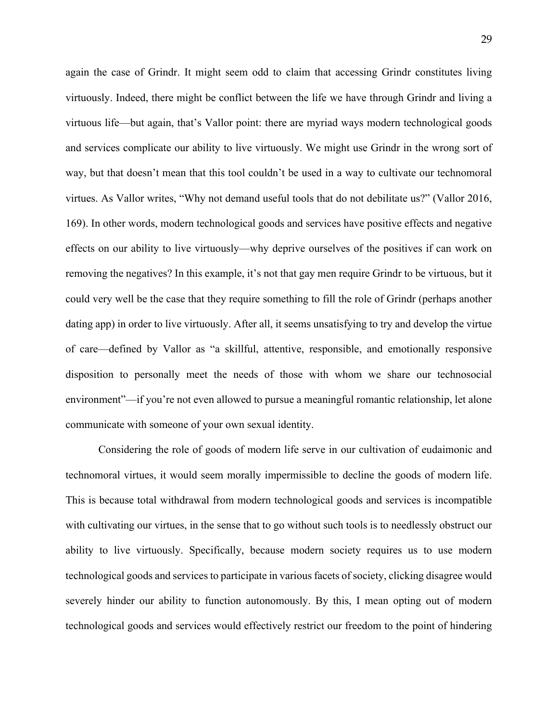again the case of Grindr. It might seem odd to claim that accessing Grindr constitutes living virtuously. Indeed, there might be conflict between the life we have through Grindr and living a virtuous life—but again, that's Vallor point: there are myriad ways modern technological goods and services complicate our ability to live virtuously. We might use Grindr in the wrong sort of way, but that doesn't mean that this tool couldn't be used in a way to cultivate our technomoral virtues. As Vallor writes, "Why not demand useful tools that do not debilitate us?" (Vallor 2016, 169). In other words, modern technological goods and services have positive effects and negative effects on our ability to live virtuously—why deprive ourselves of the positives if can work on removing the negatives? In this example, it's not that gay men require Grindr to be virtuous, but it could very well be the case that they require something to fill the role of Grindr (perhaps another dating app) in order to live virtuously. After all, it seems unsatisfying to try and develop the virtue of care—defined by Vallor as "a skillful, attentive, responsible, and emotionally responsive disposition to personally meet the needs of those with whom we share our technosocial environment"—if you're not even allowed to pursue a meaningful romantic relationship, let alone communicate with someone of your own sexual identity.

Considering the role of goods of modern life serve in our cultivation of eudaimonic and technomoral virtues, it would seem morally impermissible to decline the goods of modern life. This is because total withdrawal from modern technological goods and services is incompatible with cultivating our virtues, in the sense that to go without such tools is to needlessly obstruct our ability to live virtuously. Specifically, because modern society requires us to use modern technological goods and services to participate in various facets of society, clicking disagree would severely hinder our ability to function autonomously. By this, I mean opting out of modern technological goods and services would effectively restrict our freedom to the point of hindering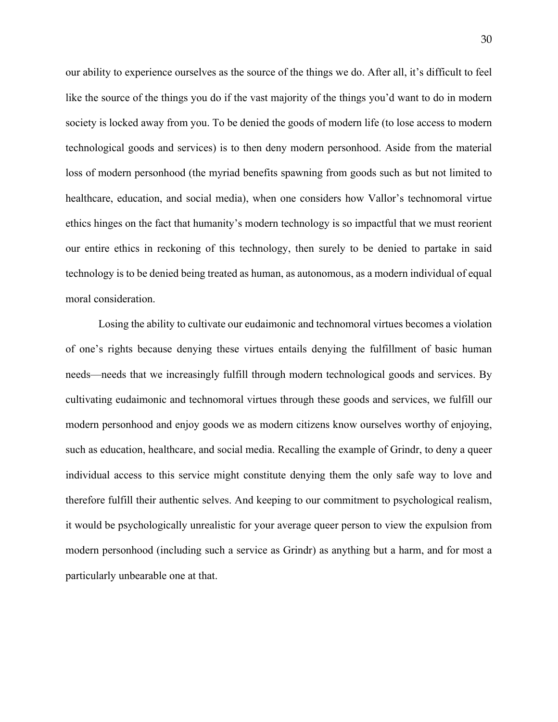our ability to experience ourselves as the source of the things we do. After all, it's difficult to feel like the source of the things you do if the vast majority of the things you'd want to do in modern society is locked away from you. To be denied the goods of modern life (to lose access to modern technological goods and services) is to then deny modern personhood. Aside from the material loss of modern personhood (the myriad benefits spawning from goods such as but not limited to healthcare, education, and social media), when one considers how Vallor's technomoral virtue ethics hinges on the fact that humanity's modern technology is so impactful that we must reorient our entire ethics in reckoning of this technology, then surely to be denied to partake in said technology is to be denied being treated as human, as autonomous, as a modern individual of equal moral consideration.

Losing the ability to cultivate our eudaimonic and technomoral virtues becomes a violation of one's rights because denying these virtues entails denying the fulfillment of basic human needs—needs that we increasingly fulfill through modern technological goods and services. By cultivating eudaimonic and technomoral virtues through these goods and services, we fulfill our modern personhood and enjoy goods we as modern citizens know ourselves worthy of enjoying, such as education, healthcare, and social media. Recalling the example of Grindr, to deny a queer individual access to this service might constitute denying them the only safe way to love and therefore fulfill their authentic selves. And keeping to our commitment to psychological realism, it would be psychologically unrealistic for your average queer person to view the expulsion from modern personhood (including such a service as Grindr) as anything but a harm, and for most a particularly unbearable one at that.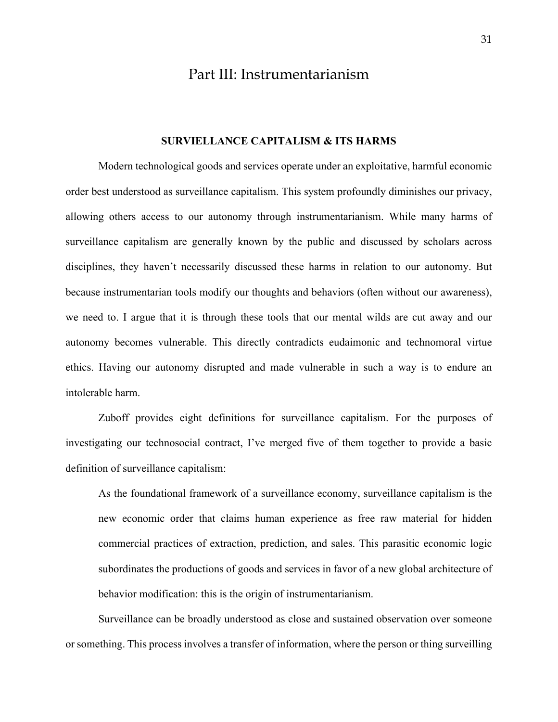### Part III: Instrumentarianism

#### **SURVIELLANCE CAPITALISM & ITS HARMS**

Modern technological goods and services operate under an exploitative, harmful economic order best understood as surveillance capitalism. This system profoundly diminishes our privacy, allowing others access to our autonomy through instrumentarianism. While many harms of surveillance capitalism are generally known by the public and discussed by scholars across disciplines, they haven't necessarily discussed these harms in relation to our autonomy. But because instrumentarian tools modify our thoughts and behaviors (often without our awareness), we need to. I argue that it is through these tools that our mental wilds are cut away and our autonomy becomes vulnerable. This directly contradicts eudaimonic and technomoral virtue ethics. Having our autonomy disrupted and made vulnerable in such a way is to endure an intolerable harm.

Zuboff provides eight definitions for surveillance capitalism. For the purposes of investigating our technosocial contract, I've merged five of them together to provide a basic definition of surveillance capitalism:

As the foundational framework of a surveillance economy, surveillance capitalism is the new economic order that claims human experience as free raw material for hidden commercial practices of extraction, prediction, and sales. This parasitic economic logic subordinates the productions of goods and services in favor of a new global architecture of behavior modification: this is the origin of instrumentarianism.

Surveillance can be broadly understood as close and sustained observation over someone or something. This process involves a transfer of information, where the person or thing surveilling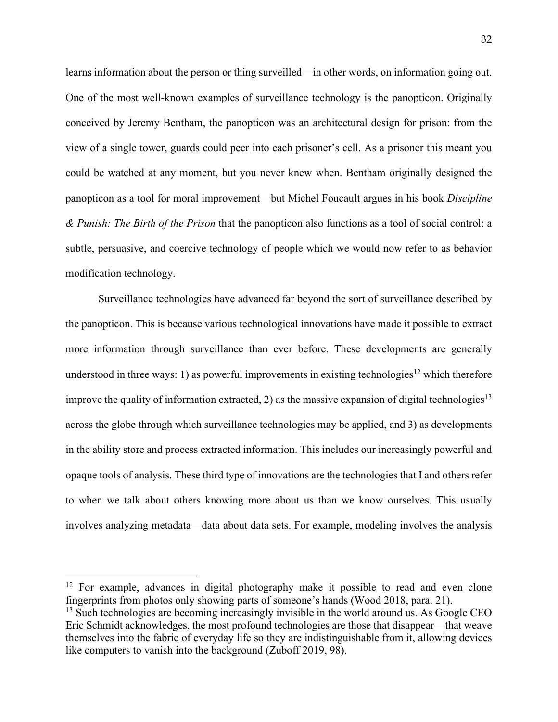learns information about the person or thing surveilled—in other words, on information going out. One of the most well-known examples of surveillance technology is the panopticon. Originally conceived by Jeremy Bentham, the panopticon was an architectural design for prison: from the view of a single tower, guards could peer into each prisoner's cell. As a prisoner this meant you could be watched at any moment, but you never knew when. Bentham originally designed the panopticon as a tool for moral improvement—but Michel Foucault argues in his book *Discipline & Punish: The Birth of the Prison* that the panopticon also functions as a tool of social control: a subtle, persuasive, and coercive technology of people which we would now refer to as behavior modification technology.

Surveillance technologies have advanced far beyond the sort of surveillance described by the panopticon. This is because various technological innovations have made it possible to extract more information through surveillance than ever before. These developments are generally understood in three ways: 1) as powerful improvements in existing technologies<sup>12</sup> which therefore improve the quality of information extracted, 2) as the massive expansion of digital technologies<sup>13</sup> across the globe through which surveillance technologies may be applied, and 3) as developments in the ability store and process extracted information. This includes our increasingly powerful and opaque tools of analysis. These third type of innovations are the technologies that I and others refer to when we talk about others knowing more about us than we know ourselves. This usually involves analyzing metadata—data about data sets. For example, modeling involves the analysis

<sup>&</sup>lt;sup>12</sup> For example, advances in digital photography make it possible to read and even clone fingerprints from photos only showing parts of someone's hands (Wood 2018, para. 21).

<sup>&</sup>lt;sup>13</sup> Such technologies are becoming increasingly invisible in the world around us. As Google CEO Eric Schmidt acknowledges, the most profound technologies are those that disappear—that weave themselves into the fabric of everyday life so they are indistinguishable from it, allowing devices like computers to vanish into the background (Zuboff 2019, 98).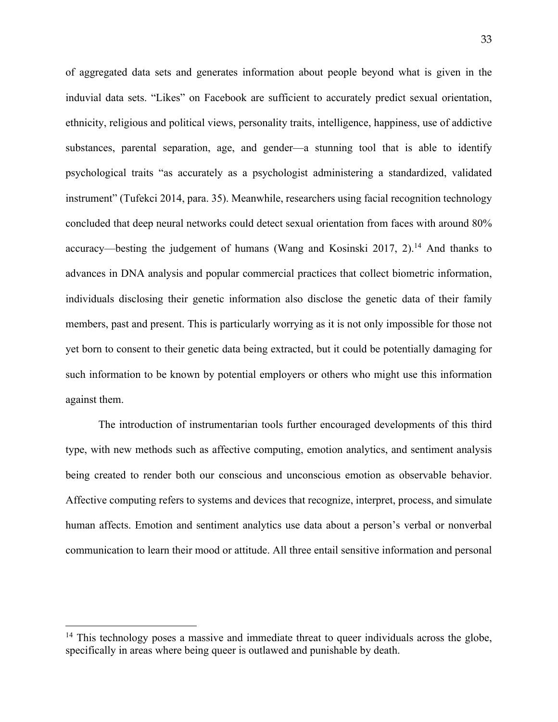of aggregated data sets and generates information about people beyond what is given in the induvial data sets. "Likes" on Facebook are sufficient to accurately predict sexual orientation, ethnicity, religious and political views, personality traits, intelligence, happiness, use of addictive substances, parental separation, age, and gender—a stunning tool that is able to identify psychological traits "as accurately as a psychologist administering a standardized, validated instrument" (Tufekci 2014, para. 35). Meanwhile, researchers using facial recognition technology concluded that deep neural networks could detect sexual orientation from faces with around 80% accuracy—besting the judgement of humans (Wang and Kosinski 2017, 2).<sup>14</sup> And thanks to advances in DNA analysis and popular commercial practices that collect biometric information, individuals disclosing their genetic information also disclose the genetic data of their family members, past and present. This is particularly worrying as it is not only impossible for those not yet born to consent to their genetic data being extracted, but it could be potentially damaging for such information to be known by potential employers or others who might use this information against them.

The introduction of instrumentarian tools further encouraged developments of this third type, with new methods such as affective computing, emotion analytics, and sentiment analysis being created to render both our conscious and unconscious emotion as observable behavior. Affective computing refers to systems and devices that recognize, interpret, process, and simulate human affects. Emotion and sentiment analytics use data about a person's verbal or nonverbal communication to learn their mood or attitude. All three entail sensitive information and personal

 $14$  This technology poses a massive and immediate threat to queer individuals across the globe, specifically in areas where being queer is outlawed and punishable by death.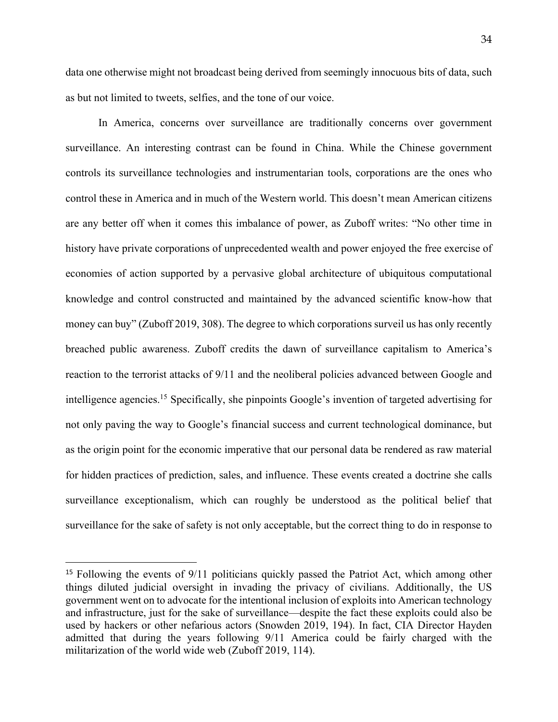data one otherwise might not broadcast being derived from seemingly innocuous bits of data, such as but not limited to tweets, selfies, and the tone of our voice.

In America, concerns over surveillance are traditionally concerns over government surveillance. An interesting contrast can be found in China. While the Chinese government controls its surveillance technologies and instrumentarian tools, corporations are the ones who control these in America and in much of the Western world. This doesn't mean American citizens are any better off when it comes this imbalance of power, as Zuboff writes: "No other time in history have private corporations of unprecedented wealth and power enjoyed the free exercise of economies of action supported by a pervasive global architecture of ubiquitous computational knowledge and control constructed and maintained by the advanced scientific know-how that money can buy" (Zuboff 2019, 308). The degree to which corporations surveil us has only recently breached public awareness. Zuboff credits the dawn of surveillance capitalism to America's reaction to the terrorist attacks of 9/11 and the neoliberal policies advanced between Google and intelligence agencies.15 Specifically, she pinpoints Google's invention of targeted advertising for not only paving the way to Google's financial success and current technological dominance, but as the origin point for the economic imperative that our personal data be rendered as raw material for hidden practices of prediction, sales, and influence. These events created a doctrine she calls surveillance exceptionalism, which can roughly be understood as the political belief that surveillance for the sake of safety is not only acceptable, but the correct thing to do in response to

<sup>&</sup>lt;sup>15</sup> Following the events of 9/11 politicians quickly passed the Patriot Act, which among other things diluted judicial oversight in invading the privacy of civilians. Additionally, the US government went on to advocate for the intentional inclusion of exploits into American technology and infrastructure, just for the sake of surveillance—despite the fact these exploits could also be used by hackers or other nefarious actors (Snowden 2019, 194). In fact, CIA Director Hayden admitted that during the years following 9/11 America could be fairly charged with the militarization of the world wide web (Zuboff 2019, 114).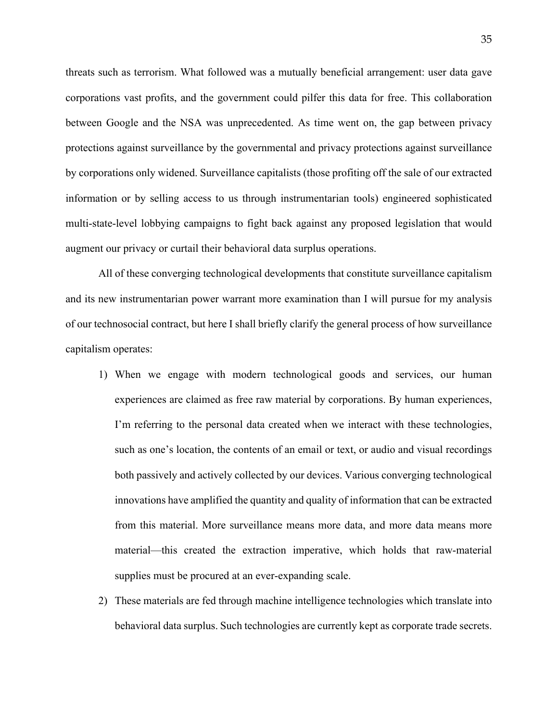threats such as terrorism. What followed was a mutually beneficial arrangement: user data gave corporations vast profits, and the government could pilfer this data for free. This collaboration between Google and the NSA was unprecedented. As time went on, the gap between privacy protections against surveillance by the governmental and privacy protections against surveillance by corporations only widened. Surveillance capitalists (those profiting off the sale of our extracted information or by selling access to us through instrumentarian tools) engineered sophisticated multi-state-level lobbying campaigns to fight back against any proposed legislation that would augment our privacy or curtail their behavioral data surplus operations.

All of these converging technological developments that constitute surveillance capitalism and its new instrumentarian power warrant more examination than I will pursue for my analysis of our technosocial contract, but here I shall briefly clarify the general process of how surveillance capitalism operates:

- 1) When we engage with modern technological goods and services, our human experiences are claimed as free raw material by corporations. By human experiences, I'm referring to the personal data created when we interact with these technologies, such as one's location, the contents of an email or text, or audio and visual recordings both passively and actively collected by our devices. Various converging technological innovations have amplified the quantity and quality of information that can be extracted from this material. More surveillance means more data, and more data means more material—this created the extraction imperative, which holds that raw-material supplies must be procured at an ever-expanding scale.
- 2) These materials are fed through machine intelligence technologies which translate into behavioral data surplus. Such technologies are currently kept as corporate trade secrets.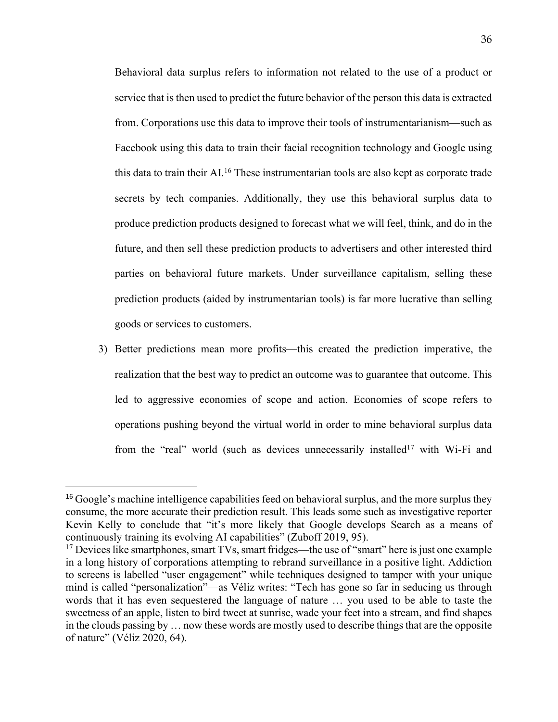Behavioral data surplus refers to information not related to the use of a product or service that is then used to predict the future behavior of the person this data is extracted from. Corporations use this data to improve their tools of instrumentarianism—such as Facebook using this data to train their facial recognition technology and Google using this data to train their  $AI<sup>16</sup>$ . These instrumentarian tools are also kept as corporate trade secrets by tech companies. Additionally, they use this behavioral surplus data to produce prediction products designed to forecast what we will feel, think, and do in the future, and then sell these prediction products to advertisers and other interested third parties on behavioral future markets. Under surveillance capitalism, selling these prediction products (aided by instrumentarian tools) is far more lucrative than selling goods or services to customers.

3) Better predictions mean more profits—this created the prediction imperative, the realization that the best way to predict an outcome was to guarantee that outcome. This led to aggressive economies of scope and action. Economies of scope refers to operations pushing beyond the virtual world in order to mine behavioral surplus data from the "real" world (such as devices unnecessarily installed<sup>17</sup> with Wi-Fi and

<sup>&</sup>lt;sup>16</sup> Google's machine intelligence capabilities feed on behavioral surplus, and the more surplus they consume, the more accurate their prediction result. This leads some such as investigative reporter Kevin Kelly to conclude that "it's more likely that Google develops Search as a means of continuously training its evolving AI capabilities" (Zuboff 2019, 95).

 $17$  Devices like smartphones, smart TVs, smart fridges—the use of "smart" here is just one example in a long history of corporations attempting to rebrand surveillance in a positive light. Addiction to screens is labelled "user engagement" while techniques designed to tamper with your unique mind is called "personalization"—as Véliz writes: "Tech has gone so far in seducing us through words that it has even sequestered the language of nature … you used to be able to taste the sweetness of an apple, listen to bird tweet at sunrise, wade your feet into a stream, and find shapes in the clouds passing by … now these words are mostly used to describe things that are the opposite of nature" (Véliz 2020, 64).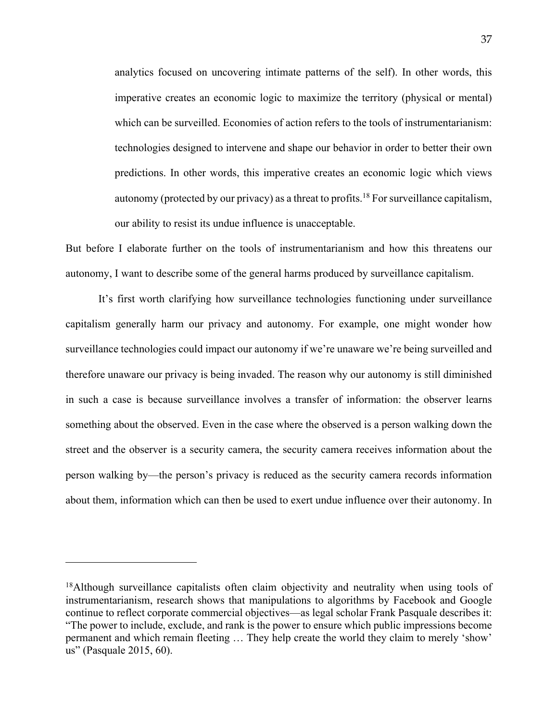analytics focused on uncovering intimate patterns of the self). In other words, this imperative creates an economic logic to maximize the territory (physical or mental) which can be surveilled. Economies of action refers to the tools of instrumentarianism: technologies designed to intervene and shape our behavior in order to better their own predictions. In other words, this imperative creates an economic logic which views autonomy (protected by our privacy) as a threat to profits.<sup>18</sup> For surveillance capitalism, our ability to resist its undue influence is unacceptable.

But before I elaborate further on the tools of instrumentarianism and how this threatens our autonomy, I want to describe some of the general harms produced by surveillance capitalism.

It's first worth clarifying how surveillance technologies functioning under surveillance capitalism generally harm our privacy and autonomy. For example, one might wonder how surveillance technologies could impact our autonomy if we're unaware we're being surveilled and therefore unaware our privacy is being invaded. The reason why our autonomy is still diminished in such a case is because surveillance involves a transfer of information: the observer learns something about the observed. Even in the case where the observed is a person walking down the street and the observer is a security camera, the security camera receives information about the person walking by—the person's privacy is reduced as the security camera records information about them, information which can then be used to exert undue influence over their autonomy. In

<sup>&</sup>lt;sup>18</sup>Although surveillance capitalists often claim objectivity and neutrality when using tools of instrumentarianism, research shows that manipulations to algorithms by Facebook and Google continue to reflect corporate commercial objectives—as legal scholar Frank Pasquale describes it: "The power to include, exclude, and rank is the power to ensure which public impressions become permanent and which remain fleeting … They help create the world they claim to merely 'show' us" (Pasquale 2015, 60).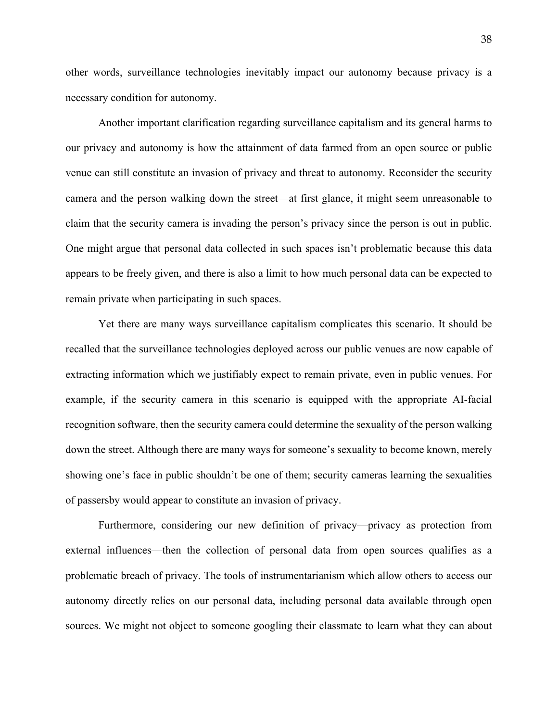other words, surveillance technologies inevitably impact our autonomy because privacy is a necessary condition for autonomy.

Another important clarification regarding surveillance capitalism and its general harms to our privacy and autonomy is how the attainment of data farmed from an open source or public venue can still constitute an invasion of privacy and threat to autonomy. Reconsider the security camera and the person walking down the street—at first glance, it might seem unreasonable to claim that the security camera is invading the person's privacy since the person is out in public. One might argue that personal data collected in such spaces isn't problematic because this data appears to be freely given, and there is also a limit to how much personal data can be expected to remain private when participating in such spaces.

Yet there are many ways surveillance capitalism complicates this scenario. It should be recalled that the surveillance technologies deployed across our public venues are now capable of extracting information which we justifiably expect to remain private, even in public venues. For example, if the security camera in this scenario is equipped with the appropriate AI-facial recognition software, then the security camera could determine the sexuality of the person walking down the street. Although there are many ways for someone's sexuality to become known, merely showing one's face in public shouldn't be one of them; security cameras learning the sexualities of passersby would appear to constitute an invasion of privacy.

Furthermore, considering our new definition of privacy—privacy as protection from external influences—then the collection of personal data from open sources qualifies as a problematic breach of privacy. The tools of instrumentarianism which allow others to access our autonomy directly relies on our personal data, including personal data available through open sources. We might not object to someone googling their classmate to learn what they can about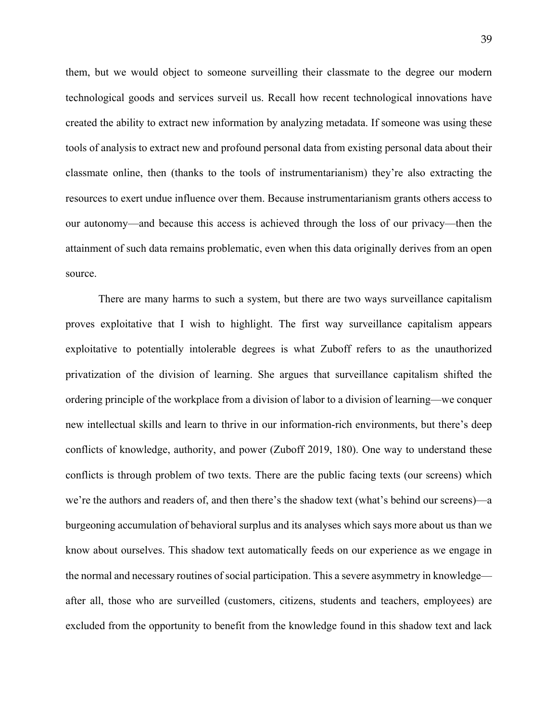them, but we would object to someone surveilling their classmate to the degree our modern technological goods and services surveil us. Recall how recent technological innovations have created the ability to extract new information by analyzing metadata. If someone was using these tools of analysis to extract new and profound personal data from existing personal data about their classmate online, then (thanks to the tools of instrumentarianism) they're also extracting the resources to exert undue influence over them. Because instrumentarianism grants others access to our autonomy—and because this access is achieved through the loss of our privacy—then the attainment of such data remains problematic, even when this data originally derives from an open source.

There are many harms to such a system, but there are two ways surveillance capitalism proves exploitative that I wish to highlight. The first way surveillance capitalism appears exploitative to potentially intolerable degrees is what Zuboff refers to as the unauthorized privatization of the division of learning. She argues that surveillance capitalism shifted the ordering principle of the workplace from a division of labor to a division of learning—we conquer new intellectual skills and learn to thrive in our information-rich environments, but there's deep conflicts of knowledge, authority, and power (Zuboff 2019, 180). One way to understand these conflicts is through problem of two texts. There are the public facing texts (our screens) which we're the authors and readers of, and then there's the shadow text (what's behind our screens)—a burgeoning accumulation of behavioral surplus and its analyses which says more about us than we know about ourselves. This shadow text automatically feeds on our experience as we engage in the normal and necessary routines of social participation. This a severe asymmetry in knowledge after all, those who are surveilled (customers, citizens, students and teachers, employees) are excluded from the opportunity to benefit from the knowledge found in this shadow text and lack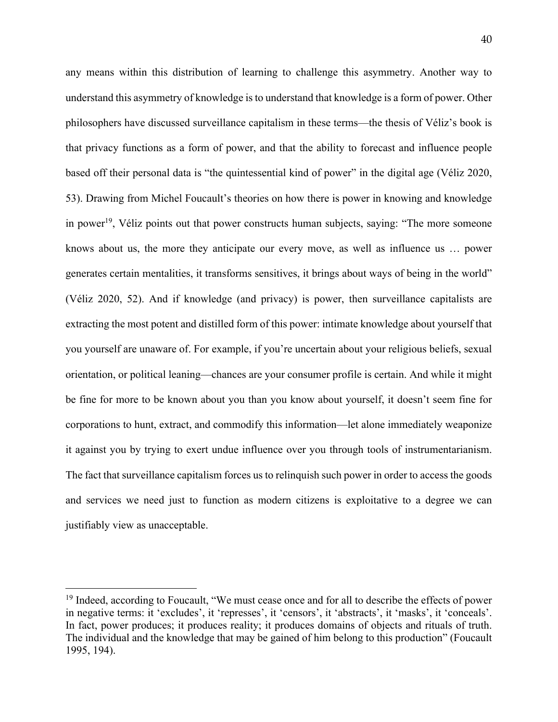any means within this distribution of learning to challenge this asymmetry. Another way to understand this asymmetry of knowledge is to understand that knowledge is a form of power. Other philosophers have discussed surveillance capitalism in these terms—the thesis of Véliz's book is that privacy functions as a form of power, and that the ability to forecast and influence people based off their personal data is "the quintessential kind of power" in the digital age (Véliz 2020, 53). Drawing from Michel Foucault's theories on how there is power in knowing and knowledge in power<sup>19</sup>, Véliz points out that power constructs human subjects, saying: "The more someone knows about us, the more they anticipate our every move, as well as influence us … power generates certain mentalities, it transforms sensitives, it brings about ways of being in the world" (Véliz 2020, 52). And if knowledge (and privacy) is power, then surveillance capitalists are extracting the most potent and distilled form of this power: intimate knowledge about yourself that you yourself are unaware of. For example, if you're uncertain about your religious beliefs, sexual orientation, or political leaning—chances are your consumer profile is certain. And while it might be fine for more to be known about you than you know about yourself, it doesn't seem fine for corporations to hunt, extract, and commodify this information—let alone immediately weaponize it against you by trying to exert undue influence over you through tools of instrumentarianism. The fact that surveillance capitalism forces us to relinquish such power in order to access the goods and services we need just to function as modern citizens is exploitative to a degree we can justifiably view as unacceptable.

<sup>&</sup>lt;sup>19</sup> Indeed, according to Foucault, "We must cease once and for all to describe the effects of power in negative terms: it 'excludes', it 'represses', it 'censors', it 'abstracts', it 'masks', it 'conceals'. In fact, power produces; it produces reality; it produces domains of objects and rituals of truth. The individual and the knowledge that may be gained of him belong to this production" (Foucault 1995, 194).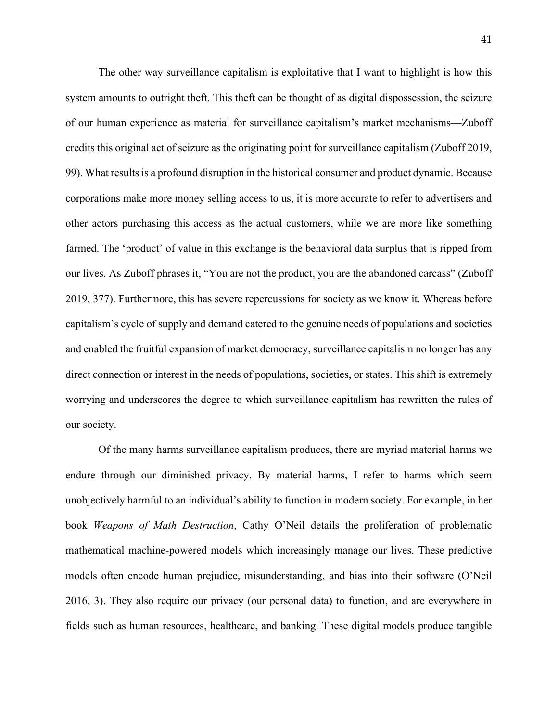The other way surveillance capitalism is exploitative that I want to highlight is how this system amounts to outright theft. This theft can be thought of as digital dispossession, the seizure of our human experience as material for surveillance capitalism's market mechanisms—Zuboff credits this original act of seizure as the originating point for surveillance capitalism (Zuboff 2019, 99). What results is a profound disruption in the historical consumer and product dynamic. Because corporations make more money selling access to us, it is more accurate to refer to advertisers and other actors purchasing this access as the actual customers, while we are more like something farmed. The 'product' of value in this exchange is the behavioral data surplus that is ripped from our lives. As Zuboff phrases it, "You are not the product, you are the abandoned carcass" (Zuboff 2019, 377). Furthermore, this has severe repercussions for society as we know it. Whereas before capitalism's cycle of supply and demand catered to the genuine needs of populations and societies and enabled the fruitful expansion of market democracy, surveillance capitalism no longer has any direct connection or interest in the needs of populations, societies, or states. This shift is extremely worrying and underscores the degree to which surveillance capitalism has rewritten the rules of our society.

Of the many harms surveillance capitalism produces, there are myriad material harms we endure through our diminished privacy. By material harms, I refer to harms which seem unobjectively harmful to an individual's ability to function in modern society. For example, in her book *Weapons of Math Destruction*, Cathy O'Neil details the proliferation of problematic mathematical machine-powered models which increasingly manage our lives. These predictive models often encode human prejudice, misunderstanding, and bias into their software (O'Neil 2016, 3). They also require our privacy (our personal data) to function, and are everywhere in fields such as human resources, healthcare, and banking. These digital models produce tangible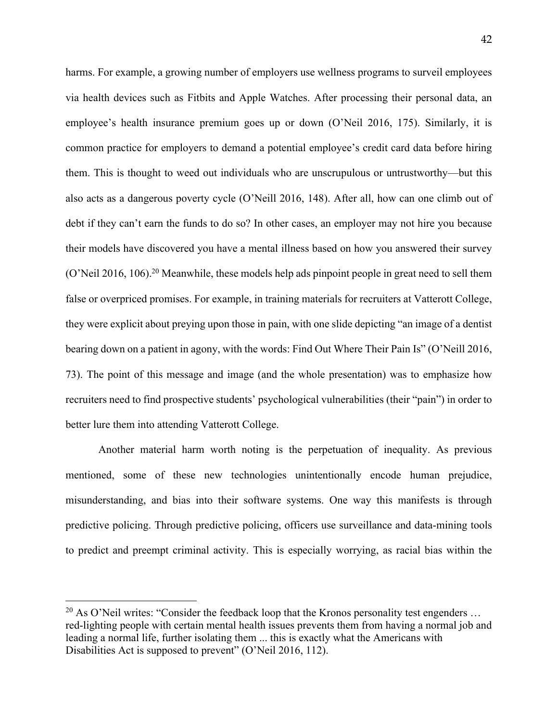harms. For example, a growing number of employers use wellness programs to surveil employees via health devices such as Fitbits and Apple Watches. After processing their personal data, an employee's health insurance premium goes up or down (O'Neil 2016, 175). Similarly, it is common practice for employers to demand a potential employee's credit card data before hiring them. This is thought to weed out individuals who are unscrupulous or untrustworthy—but this also acts as a dangerous poverty cycle (O'Neill 2016, 148). After all, how can one climb out of debt if they can't earn the funds to do so? In other cases, an employer may not hire you because their models have discovered you have a mental illness based on how you answered their survey (O'Neil 2016, 106).<sup>20</sup> Meanwhile, these models help ads pinpoint people in great need to sell them false or overpriced promises. For example, in training materials for recruiters at Vatterott College, they were explicit about preying upon those in pain, with one slide depicting "an image of a dentist bearing down on a patient in agony, with the words: Find Out Where Their Pain Is" (O'Neill 2016, 73). The point of this message and image (and the whole presentation) was to emphasize how recruiters need to find prospective students' psychological vulnerabilities (their "pain") in order to better lure them into attending Vatterott College.

Another material harm worth noting is the perpetuation of inequality. As previous mentioned, some of these new technologies unintentionally encode human prejudice, misunderstanding, and bias into their software systems. One way this manifests is through predictive policing. Through predictive policing, officers use surveillance and data-mining tools to predict and preempt criminal activity. This is especially worrying, as racial bias within the

<sup>&</sup>lt;sup>20</sup> As O'Neil writes: "Consider the feedback loop that the Kronos personality test engenders ... red-lighting people with certain mental health issues prevents them from having a normal job and leading a normal life, further isolating them ... this is exactly what the Americans with Disabilities Act is supposed to prevent" (O'Neil 2016, 112).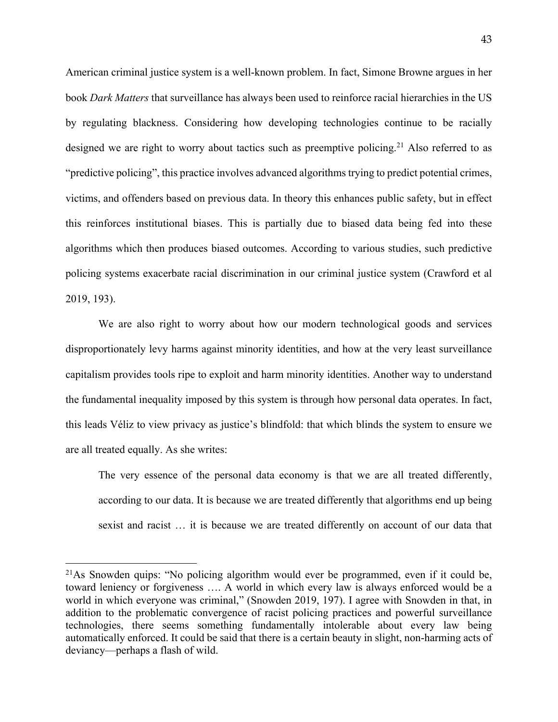American criminal justice system is a well-known problem. In fact, Simone Browne argues in her book *Dark Matters* that surveillance has always been used to reinforce racial hierarchies in the US by regulating blackness. Considering how developing technologies continue to be racially designed we are right to worry about tactics such as preemptive policing.<sup>21</sup> Also referred to as "predictive policing", this practice involves advanced algorithms trying to predict potential crimes, victims, and offenders based on previous data. In theory this enhances public safety, but in effect this reinforces institutional biases. This is partially due to biased data being fed into these algorithms which then produces biased outcomes. According to various studies, such predictive policing systems exacerbate racial discrimination in our criminal justice system (Crawford et al 2019, 193).

We are also right to worry about how our modern technological goods and services disproportionately levy harms against minority identities, and how at the very least surveillance capitalism provides tools ripe to exploit and harm minority identities. Another way to understand the fundamental inequality imposed by this system is through how personal data operates. In fact, this leads Véliz to view privacy as justice's blindfold: that which blinds the system to ensure we are all treated equally. As she writes:

The very essence of the personal data economy is that we are all treated differently, according to our data. It is because we are treated differently that algorithms end up being sexist and racist … it is because we are treated differently on account of our data that

<sup>&</sup>lt;sup>21</sup>As Snowden quips: "No policing algorithm would ever be programmed, even if it could be, toward leniency or forgiveness …. A world in which every law is always enforced would be a world in which everyone was criminal," (Snowden 2019, 197). I agree with Snowden in that, in addition to the problematic convergence of racist policing practices and powerful surveillance technologies, there seems something fundamentally intolerable about every law being automatically enforced. It could be said that there is a certain beauty in slight, non-harming acts of deviancy—perhaps a flash of wild.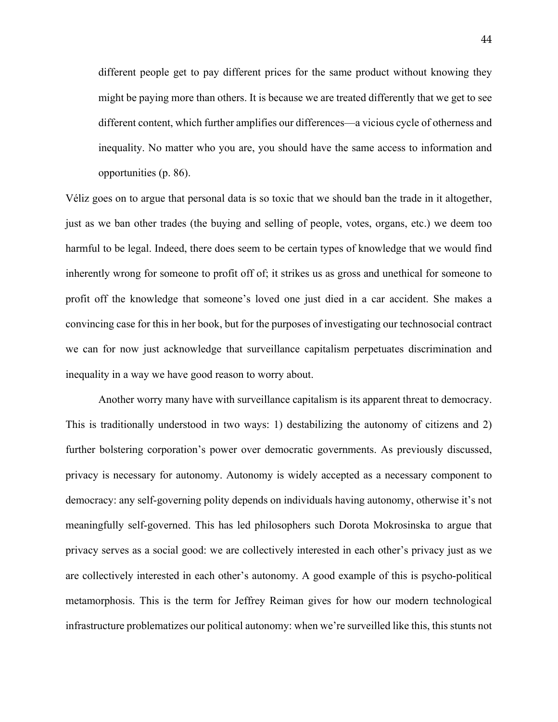different people get to pay different prices for the same product without knowing they might be paying more than others. It is because we are treated differently that we get to see different content, which further amplifies our differences—a vicious cycle of otherness and inequality. No matter who you are, you should have the same access to information and opportunities (p. 86).

Véliz goes on to argue that personal data is so toxic that we should ban the trade in it altogether, just as we ban other trades (the buying and selling of people, votes, organs, etc.) we deem too harmful to be legal. Indeed, there does seem to be certain types of knowledge that we would find inherently wrong for someone to profit off of; it strikes us as gross and unethical for someone to profit off the knowledge that someone's loved one just died in a car accident. She makes a convincing case for this in her book, but for the purposes of investigating our technosocial contract we can for now just acknowledge that surveillance capitalism perpetuates discrimination and inequality in a way we have good reason to worry about.

Another worry many have with surveillance capitalism is its apparent threat to democracy. This is traditionally understood in two ways: 1) destabilizing the autonomy of citizens and 2) further bolstering corporation's power over democratic governments. As previously discussed, privacy is necessary for autonomy. Autonomy is widely accepted as a necessary component to democracy: any self-governing polity depends on individuals having autonomy, otherwise it's not meaningfully self-governed. This has led philosophers such Dorota Mokrosinska to argue that privacy serves as a social good: we are collectively interested in each other's privacy just as we are collectively interested in each other's autonomy. A good example of this is psycho-political metamorphosis. This is the term for Jeffrey Reiman gives for how our modern technological infrastructure problematizes our political autonomy: when we're surveilled like this, this stunts not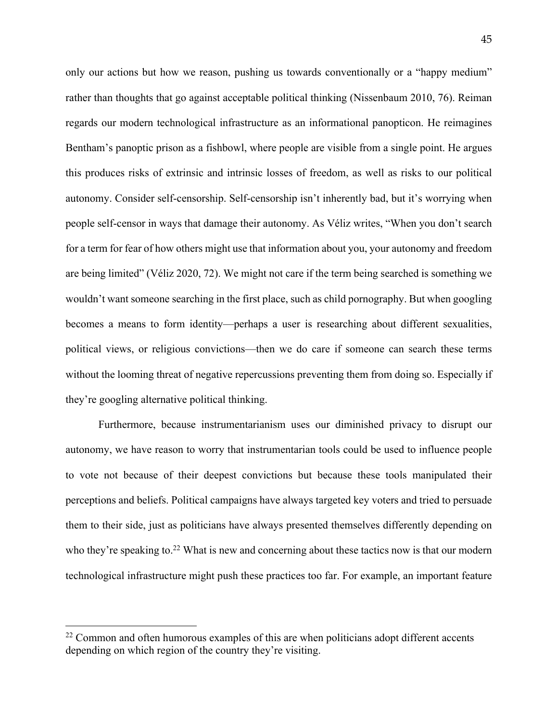only our actions but how we reason, pushing us towards conventionally or a "happy medium" rather than thoughts that go against acceptable political thinking (Nissenbaum 2010, 76). Reiman regards our modern technological infrastructure as an informational panopticon. He reimagines Bentham's panoptic prison as a fishbowl, where people are visible from a single point. He argues this produces risks of extrinsic and intrinsic losses of freedom, as well as risks to our political autonomy. Consider self-censorship. Self-censorship isn't inherently bad, but it's worrying when people self-censor in ways that damage their autonomy. As Véliz writes, "When you don't search for a term for fear of how others might use that information about you, your autonomy and freedom are being limited" (Véliz 2020, 72). We might not care if the term being searched is something we wouldn't want someone searching in the first place, such as child pornography. But when googling becomes a means to form identity—perhaps a user is researching about different sexualities, political views, or religious convictions—then we do care if someone can search these terms without the looming threat of negative repercussions preventing them from doing so. Especially if they're googling alternative political thinking.

Furthermore, because instrumentarianism uses our diminished privacy to disrupt our autonomy, we have reason to worry that instrumentarian tools could be used to influence people to vote not because of their deepest convictions but because these tools manipulated their perceptions and beliefs. Political campaigns have always targeted key voters and tried to persuade them to their side, just as politicians have always presented themselves differently depending on who they're speaking to.<sup>22</sup> What is new and concerning about these tactics now is that our modern technological infrastructure might push these practices too far. For example, an important feature

<sup>&</sup>lt;sup>22</sup> Common and often humorous examples of this are when politicians adopt different accents depending on which region of the country they're visiting.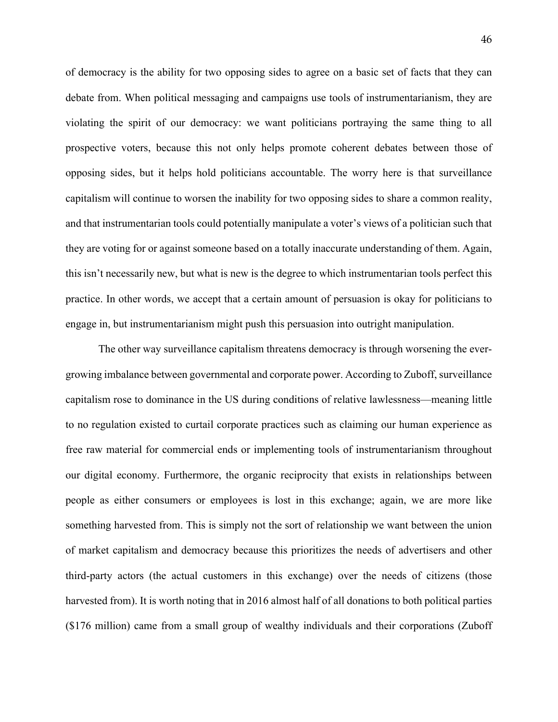of democracy is the ability for two opposing sides to agree on a basic set of facts that they can debate from. When political messaging and campaigns use tools of instrumentarianism, they are violating the spirit of our democracy: we want politicians portraying the same thing to all prospective voters, because this not only helps promote coherent debates between those of opposing sides, but it helps hold politicians accountable. The worry here is that surveillance capitalism will continue to worsen the inability for two opposing sides to share a common reality, and that instrumentarian tools could potentially manipulate a voter's views of a politician such that they are voting for or against someone based on a totally inaccurate understanding of them. Again, this isn't necessarily new, but what is new is the degree to which instrumentarian tools perfect this practice. In other words, we accept that a certain amount of persuasion is okay for politicians to engage in, but instrumentarianism might push this persuasion into outright manipulation.

The other way surveillance capitalism threatens democracy is through worsening the evergrowing imbalance between governmental and corporate power. According to Zuboff, surveillance capitalism rose to dominance in the US during conditions of relative lawlessness—meaning little to no regulation existed to curtail corporate practices such as claiming our human experience as free raw material for commercial ends or implementing tools of instrumentarianism throughout our digital economy. Furthermore, the organic reciprocity that exists in relationships between people as either consumers or employees is lost in this exchange; again, we are more like something harvested from. This is simply not the sort of relationship we want between the union of market capitalism and democracy because this prioritizes the needs of advertisers and other third-party actors (the actual customers in this exchange) over the needs of citizens (those harvested from). It is worth noting that in 2016 almost half of all donations to both political parties (\$176 million) came from a small group of wealthy individuals and their corporations (Zuboff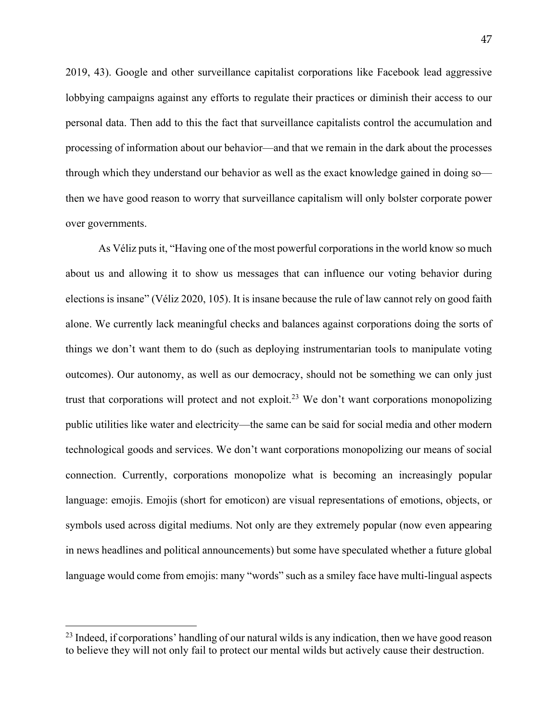2019, 43). Google and other surveillance capitalist corporations like Facebook lead aggressive lobbying campaigns against any efforts to regulate their practices or diminish their access to our personal data. Then add to this the fact that surveillance capitalists control the accumulation and processing of information about our behavior—and that we remain in the dark about the processes through which they understand our behavior as well as the exact knowledge gained in doing so then we have good reason to worry that surveillance capitalism will only bolster corporate power over governments.

As Véliz puts it, "Having one of the most powerful corporations in the world know so much about us and allowing it to show us messages that can influence our voting behavior during elections is insane" (Véliz 2020, 105). It is insane because the rule of law cannot rely on good faith alone. We currently lack meaningful checks and balances against corporations doing the sorts of things we don't want them to do (such as deploying instrumentarian tools to manipulate voting outcomes). Our autonomy, as well as our democracy, should not be something we can only just trust that corporations will protect and not exploit.<sup>23</sup> We don't want corporations monopolizing public utilities like water and electricity—the same can be said for social media and other modern technological goods and services. We don't want corporations monopolizing our means of social connection. Currently, corporations monopolize what is becoming an increasingly popular language: emojis. Emojis (short for emoticon) are visual representations of emotions, objects, or symbols used across digital mediums. Not only are they extremely popular (now even appearing in news headlines and political announcements) but some have speculated whether a future global language would come from emojis: many "words" such as a smiley face have multi-lingual aspects

<sup>&</sup>lt;sup>23</sup> Indeed, if corporations' handling of our natural wilds is any indication, then we have good reason to believe they will not only fail to protect our mental wilds but actively cause their destruction.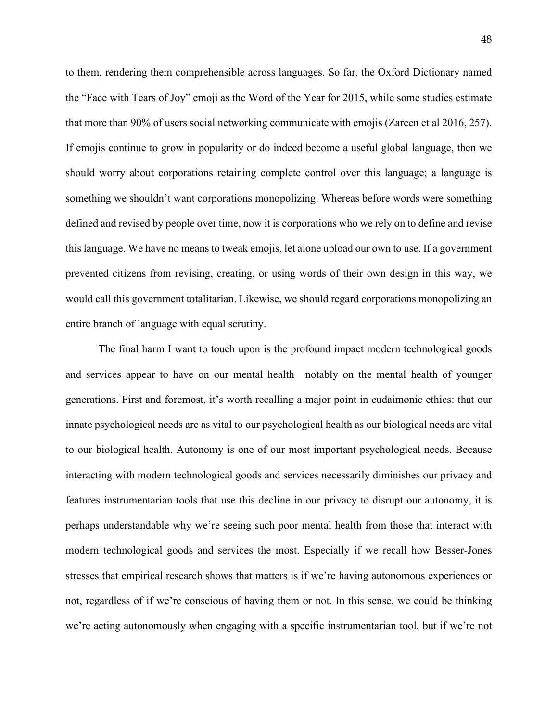to them, rendering them comprehensible across languages. So far, the Oxford Dictionary named the "Face with Tears of Joy" emoji as the Word of the Year for 2015, while some studies estimate that more than 90% of users social networking communicate with emojis (Zareen et al 2016, 257). If emojis continue to grow in popularity or do indeed become a useful global language, then we should worry about corporations retaining complete control over this language; a language is something we shouldn't want corporations monopolizing. Whereas before words were something defined and revised by people over time, now it is corporations who we rely on to define and revise this language. We have no means to tweak emojis, let alone upload our own to use. If a government prevented citizens from revising, creating, or using words of their own design in this way, we would call this government totalitarian. Likewise, we should regard corporations monopolizing an entire branch of language with equal scrutiny.

The final harm I want to touch upon is the profound impact modern technological goods and services appear to have on our mental health—notably on the mental health of younger generations. First and foremost, it's worth recalling a major point in eudaimonic ethics: that our innate psychological needs are as vital to our psychological health as our biological needs are vital to our biological health. Autonomy is one of our most important psychological needs. Because interacting with modern technological goods and services necessarily diminishes our privacy and features instrumentarian tools that use this decline in our privacy to disrupt our autonomy, it is perhaps understandable why we're seeing such poor mental health from those that interact with modern technological goods and services the most. Especially if we recall how Besser-Jones stresses that empirical research shows that matters is if we're having autonomous experiences or not, regardless of if we're conscious of having them or not. In this sense, we could be thinking we're acting autonomously when engaging with a specific instrumentarian tool, but if we're not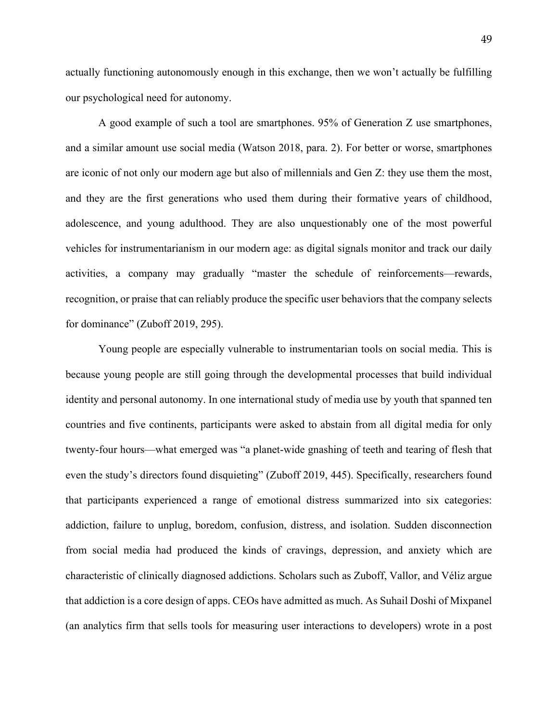actually functioning autonomously enough in this exchange, then we won't actually be fulfilling our psychological need for autonomy.

A good example of such a tool are smartphones. 95% of Generation Z use smartphones, and a similar amount use social media (Watson 2018, para. 2). For better or worse, smartphones are iconic of not only our modern age but also of millennials and Gen Z: they use them the most, and they are the first generations who used them during their formative years of childhood, adolescence, and young adulthood. They are also unquestionably one of the most powerful vehicles for instrumentarianism in our modern age: as digital signals monitor and track our daily activities, a company may gradually "master the schedule of reinforcements—rewards, recognition, or praise that can reliably produce the specific user behaviors that the company selects for dominance" (Zuboff 2019, 295).

Young people are especially vulnerable to instrumentarian tools on social media. This is because young people are still going through the developmental processes that build individual identity and personal autonomy. In one international study of media use by youth that spanned ten countries and five continents, participants were asked to abstain from all digital media for only twenty-four hours—what emerged was "a planet-wide gnashing of teeth and tearing of flesh that even the study's directors found disquieting" (Zuboff 2019, 445). Specifically, researchers found that participants experienced a range of emotional distress summarized into six categories: addiction, failure to unplug, boredom, confusion, distress, and isolation. Sudden disconnection from social media had produced the kinds of cravings, depression, and anxiety which are characteristic of clinically diagnosed addictions. Scholars such as Zuboff, Vallor, and Véliz argue that addiction is a core design of apps. CEOs have admitted as much. As Suhail Doshi of Mixpanel (an analytics firm that sells tools for measuring user interactions to developers) wrote in a post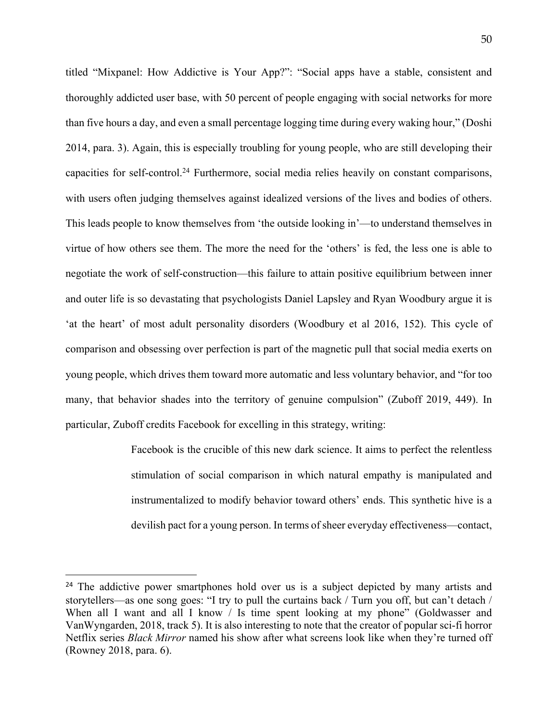titled "Mixpanel: How Addictive is Your App?": "Social apps have a stable, consistent and thoroughly addicted user base, with 50 percent of people engaging with social networks for more than five hours a day, and even a small percentage logging time during every waking hour," (Doshi 2014, para. 3). Again, this is especially troubling for young people, who are still developing their capacities for self-control. <sup>24</sup> Furthermore, social media relies heavily on constant comparisons, with users often judging themselves against idealized versions of the lives and bodies of others. This leads people to know themselves from 'the outside looking in'—to understand themselves in virtue of how others see them. The more the need for the 'others' is fed, the less one is able to negotiate the work of self-construction—this failure to attain positive equilibrium between inner and outer life is so devastating that psychologists Daniel Lapsley and Ryan Woodbury argue it is 'at the heart' of most adult personality disorders (Woodbury et al 2016, 152). This cycle of comparison and obsessing over perfection is part of the magnetic pull that social media exerts on young people, which drives them toward more automatic and less voluntary behavior, and "for too many, that behavior shades into the territory of genuine compulsion" (Zuboff 2019, 449). In particular, Zuboff credits Facebook for excelling in this strategy, writing:

> Facebook is the crucible of this new dark science. It aims to perfect the relentless stimulation of social comparison in which natural empathy is manipulated and instrumentalized to modify behavior toward others' ends. This synthetic hive is a devilish pact for a young person. In terms of sheer everyday effectiveness—contact,

<sup>&</sup>lt;sup>24</sup> The addictive power smartphones hold over us is a subject depicted by many artists and storytellers—as one song goes: "I try to pull the curtains back / Turn you off, but can't detach / When all I want and all I know / Is time spent looking at my phone" (Goldwasser and VanWyngarden, 2018, track 5). It is also interesting to note that the creator of popular sci-fi horror Netflix series *Black Mirror* named his show after what screens look like when they're turned off (Rowney 2018, para. 6).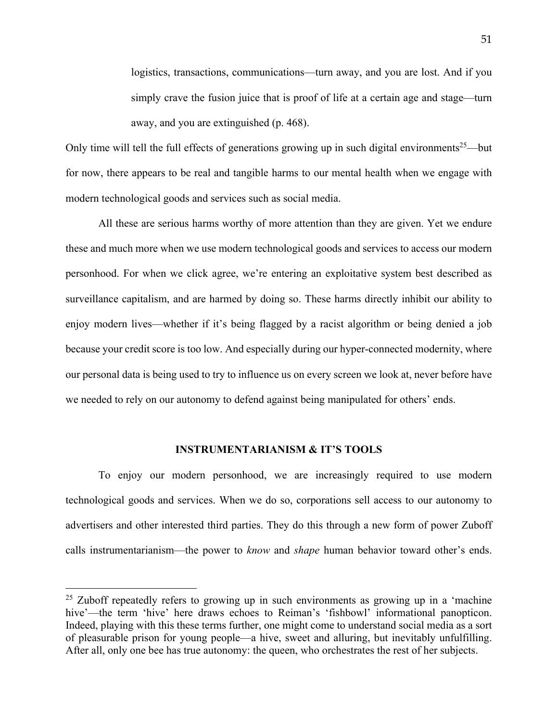logistics, transactions, communications—turn away, and you are lost. And if you simply crave the fusion juice that is proof of life at a certain age and stage—turn away, and you are extinguished (p. 468).

Only time will tell the full effects of generations growing up in such digital environments<sup>25</sup>—but for now, there appears to be real and tangible harms to our mental health when we engage with modern technological goods and services such as social media.

All these are serious harms worthy of more attention than they are given. Yet we endure these and much more when we use modern technological goods and services to access our modern personhood. For when we click agree, we're entering an exploitative system best described as surveillance capitalism, and are harmed by doing so. These harms directly inhibit our ability to enjoy modern lives—whether if it's being flagged by a racist algorithm or being denied a job because your credit score is too low. And especially during our hyper-connected modernity, where our personal data is being used to try to influence us on every screen we look at, never before have we needed to rely on our autonomy to defend against being manipulated for others' ends.

### **INSTRUMENTARIANISM & IT'S TOOLS**

To enjoy our modern personhood, we are increasingly required to use modern technological goods and services. When we do so, corporations sell access to our autonomy to advertisers and other interested third parties. They do this through a new form of power Zuboff calls instrumentarianism—the power to *know* and *shape* human behavior toward other's ends.

<sup>&</sup>lt;sup>25</sup> Zuboff repeatedly refers to growing up in such environments as growing up in a 'machine hive'—the term 'hive' here draws echoes to Reiman's 'fishbowl' informational panopticon. Indeed, playing with this these terms further, one might come to understand social media as a sort of pleasurable prison for young people—a hive, sweet and alluring, but inevitably unfulfilling. After all, only one bee has true autonomy: the queen, who orchestrates the rest of her subjects.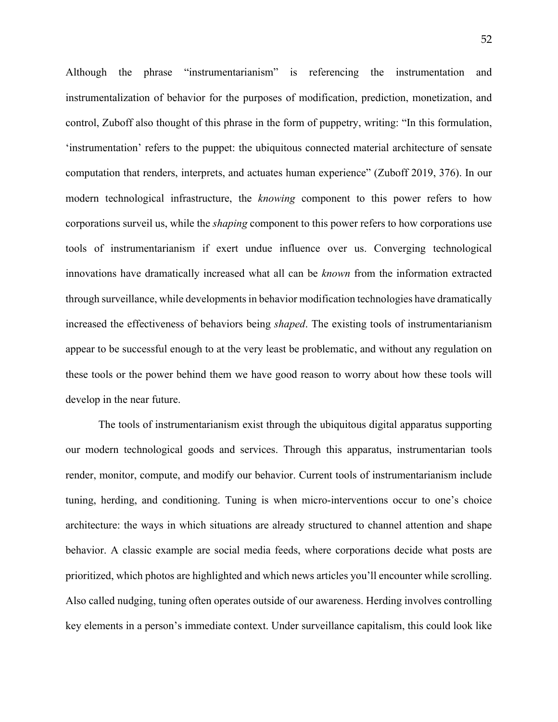Although the phrase "instrumentarianism" is referencing the instrumentation and instrumentalization of behavior for the purposes of modification, prediction, monetization, and control, Zuboff also thought of this phrase in the form of puppetry, writing: "In this formulation, 'instrumentation' refers to the puppet: the ubiquitous connected material architecture of sensate computation that renders, interprets, and actuates human experience" (Zuboff 2019, 376). In our modern technological infrastructure, the *knowing* component to this power refers to how corporations surveil us, while the *shaping* component to this power refers to how corporations use tools of instrumentarianism if exert undue influence over us. Converging technological innovations have dramatically increased what all can be *known* from the information extracted through surveillance, while developments in behavior modification technologies have dramatically increased the effectiveness of behaviors being *shaped*. The existing tools of instrumentarianism appear to be successful enough to at the very least be problematic, and without any regulation on these tools or the power behind them we have good reason to worry about how these tools will develop in the near future.

The tools of instrumentarianism exist through the ubiquitous digital apparatus supporting our modern technological goods and services. Through this apparatus, instrumentarian tools render, monitor, compute, and modify our behavior. Current tools of instrumentarianism include tuning, herding, and conditioning. Tuning is when micro-interventions occur to one's choice architecture: the ways in which situations are already structured to channel attention and shape behavior. A classic example are social media feeds, where corporations decide what posts are prioritized, which photos are highlighted and which news articles you'll encounter while scrolling. Also called nudging, tuning often operates outside of our awareness. Herding involves controlling key elements in a person's immediate context. Under surveillance capitalism, this could look like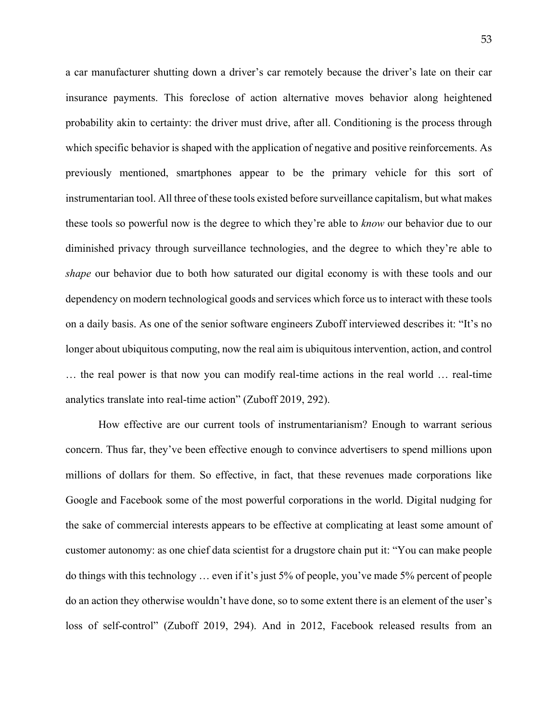a car manufacturer shutting down a driver's car remotely because the driver's late on their car insurance payments. This foreclose of action alternative moves behavior along heightened probability akin to certainty: the driver must drive, after all. Conditioning is the process through which specific behavior is shaped with the application of negative and positive reinforcements. As previously mentioned, smartphones appear to be the primary vehicle for this sort of instrumentarian tool. All three of these tools existed before surveillance capitalism, but what makes these tools so powerful now is the degree to which they're able to *know* our behavior due to our diminished privacy through surveillance technologies, and the degree to which they're able to *shape* our behavior due to both how saturated our digital economy is with these tools and our dependency on modern technological goods and services which force us to interact with these tools on a daily basis. As one of the senior software engineers Zuboff interviewed describes it: "It's no longer about ubiquitous computing, now the real aim is ubiquitous intervention, action, and control … the real power is that now you can modify real-time actions in the real world … real-time analytics translate into real-time action" (Zuboff 2019, 292).

How effective are our current tools of instrumentarianism? Enough to warrant serious concern. Thus far, they've been effective enough to convince advertisers to spend millions upon millions of dollars for them. So effective, in fact, that these revenues made corporations like Google and Facebook some of the most powerful corporations in the world. Digital nudging for the sake of commercial interests appears to be effective at complicating at least some amount of customer autonomy: as one chief data scientist for a drugstore chain put it: "You can make people do things with this technology … even if it's just 5% of people, you've made 5% percent of people do an action they otherwise wouldn't have done, so to some extent there is an element of the user's loss of self-control" (Zuboff 2019, 294). And in 2012, Facebook released results from an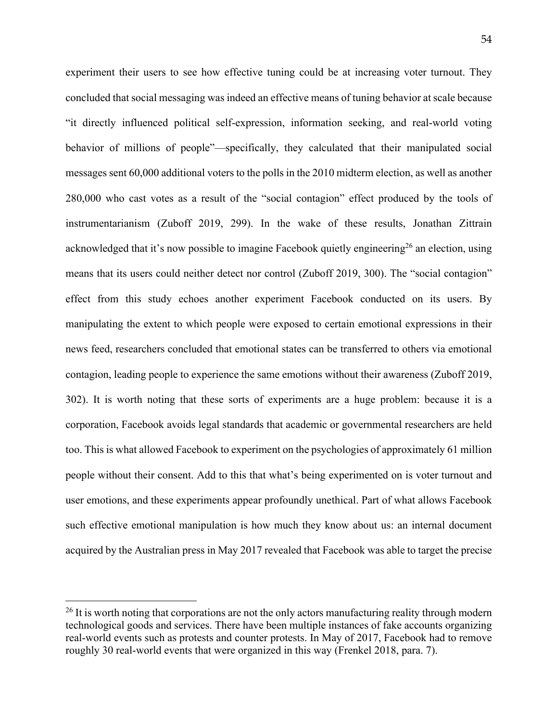experiment their users to see how effective tuning could be at increasing voter turnout. They concluded that social messaging was indeed an effective means of tuning behavior at scale because "it directly influenced political self-expression, information seeking, and real-world voting behavior of millions of people"—specifically, they calculated that their manipulated social messages sent 60,000 additional voters to the polls in the 2010 midterm election, as well as another 280,000 who cast votes as a result of the "social contagion" effect produced by the tools of instrumentarianism (Zuboff 2019, 299). In the wake of these results, Jonathan Zittrain acknowledged that it's now possible to imagine Facebook quietly engineering<sup>26</sup> an election, using means that its users could neither detect nor control (Zuboff 2019, 300). The "social contagion" effect from this study echoes another experiment Facebook conducted on its users. By manipulating the extent to which people were exposed to certain emotional expressions in their news feed, researchers concluded that emotional states can be transferred to others via emotional contagion, leading people to experience the same emotions without their awareness (Zuboff 2019, 302). It is worth noting that these sorts of experiments are a huge problem: because it is a corporation, Facebook avoids legal standards that academic or governmental researchers are held too. This is what allowed Facebook to experiment on the psychologies of approximately 61 million people without their consent. Add to this that what's being experimented on is voter turnout and user emotions, and these experiments appear profoundly unethical. Part of what allows Facebook such effective emotional manipulation is how much they know about us: an internal document acquired by the Australian press in May 2017 revealed that Facebook was able to target the precise

 $26$  It is worth noting that corporations are not the only actors manufacturing reality through modern technological goods and services. There have been multiple instances of fake accounts organizing real-world events such as protests and counter protests. In May of 2017, Facebook had to remove roughly 30 real-world events that were organized in this way (Frenkel 2018, para. 7).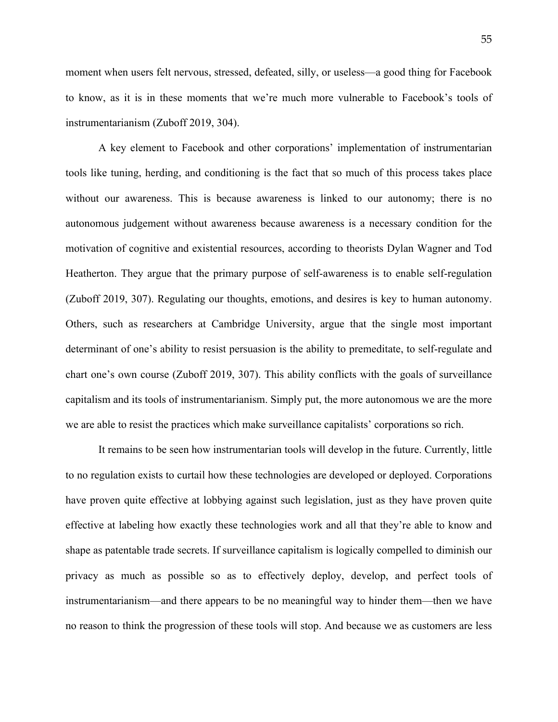moment when users felt nervous, stressed, defeated, silly, or useless—a good thing for Facebook to know, as it is in these moments that we're much more vulnerable to Facebook's tools of instrumentarianism (Zuboff 2019, 304).

A key element to Facebook and other corporations' implementation of instrumentarian tools like tuning, herding, and conditioning is the fact that so much of this process takes place without our awareness. This is because awareness is linked to our autonomy; there is no autonomous judgement without awareness because awareness is a necessary condition for the motivation of cognitive and existential resources, according to theorists Dylan Wagner and Tod Heatherton. They argue that the primary purpose of self-awareness is to enable self-regulation (Zuboff 2019, 307). Regulating our thoughts, emotions, and desires is key to human autonomy. Others, such as researchers at Cambridge University, argue that the single most important determinant of one's ability to resist persuasion is the ability to premeditate, to self-regulate and chart one's own course (Zuboff 2019, 307). This ability conflicts with the goals of surveillance capitalism and its tools of instrumentarianism. Simply put, the more autonomous we are the more we are able to resist the practices which make surveillance capitalists' corporations so rich.

It remains to be seen how instrumentarian tools will develop in the future. Currently, little to no regulation exists to curtail how these technologies are developed or deployed. Corporations have proven quite effective at lobbying against such legislation, just as they have proven quite effective at labeling how exactly these technologies work and all that they're able to know and shape as patentable trade secrets. If surveillance capitalism is logically compelled to diminish our privacy as much as possible so as to effectively deploy, develop, and perfect tools of instrumentarianism—and there appears to be no meaningful way to hinder them—then we have no reason to think the progression of these tools will stop. And because we as customers are less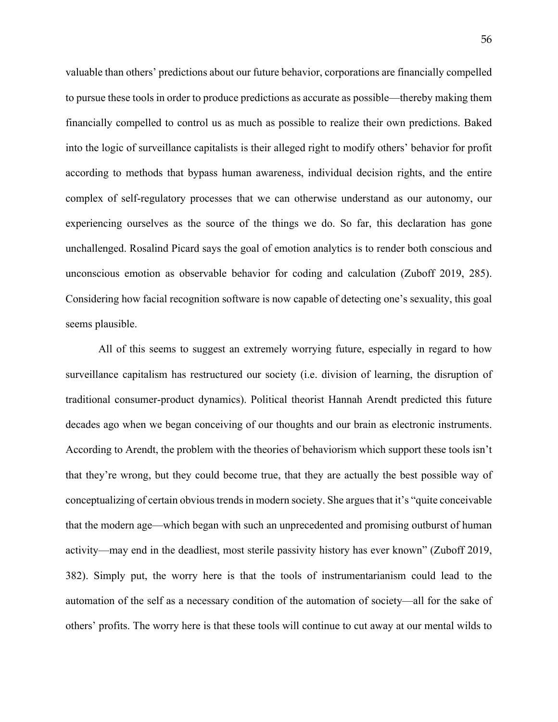valuable than others' predictions about our future behavior, corporations are financially compelled to pursue these tools in order to produce predictions as accurate as possible—thereby making them financially compelled to control us as much as possible to realize their own predictions. Baked into the logic of surveillance capitalists is their alleged right to modify others' behavior for profit according to methods that bypass human awareness, individual decision rights, and the entire complex of self-regulatory processes that we can otherwise understand as our autonomy, our experiencing ourselves as the source of the things we do. So far, this declaration has gone unchallenged. Rosalind Picard says the goal of emotion analytics is to render both conscious and unconscious emotion as observable behavior for coding and calculation (Zuboff 2019, 285). Considering how facial recognition software is now capable of detecting one's sexuality, this goal seems plausible.

All of this seems to suggest an extremely worrying future, especially in regard to how surveillance capitalism has restructured our society (i.e. division of learning, the disruption of traditional consumer-product dynamics). Political theorist Hannah Arendt predicted this future decades ago when we began conceiving of our thoughts and our brain as electronic instruments. According to Arendt, the problem with the theories of behaviorism which support these tools isn't that they're wrong, but they could become true, that they are actually the best possible way of conceptualizing of certain obvious trends in modern society. She arguesthat it's "quite conceivable that the modern age—which began with such an unprecedented and promising outburst of human activity—may end in the deadliest, most sterile passivity history has ever known" (Zuboff 2019, 382). Simply put, the worry here is that the tools of instrumentarianism could lead to the automation of the self as a necessary condition of the automation of society—all for the sake of others' profits. The worry here is that these tools will continue to cut away at our mental wilds to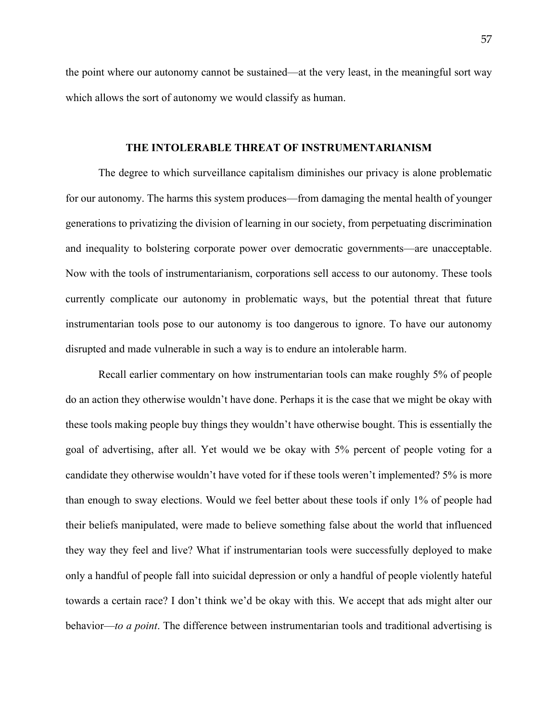the point where our autonomy cannot be sustained—at the very least, in the meaningful sort way which allows the sort of autonomy we would classify as human.

### **THE INTOLERABLE THREAT OF INSTRUMENTARIANISM**

The degree to which surveillance capitalism diminishes our privacy is alone problematic for our autonomy. The harms this system produces—from damaging the mental health of younger generations to privatizing the division of learning in our society, from perpetuating discrimination and inequality to bolstering corporate power over democratic governments—are unacceptable. Now with the tools of instrumentarianism, corporations sell access to our autonomy. These tools currently complicate our autonomy in problematic ways, but the potential threat that future instrumentarian tools pose to our autonomy is too dangerous to ignore. To have our autonomy disrupted and made vulnerable in such a way is to endure an intolerable harm.

Recall earlier commentary on how instrumentarian tools can make roughly 5% of people do an action they otherwise wouldn't have done. Perhaps it is the case that we might be okay with these tools making people buy things they wouldn't have otherwise bought. This is essentially the goal of advertising, after all. Yet would we be okay with 5% percent of people voting for a candidate they otherwise wouldn't have voted for if these tools weren't implemented? 5% is more than enough to sway elections. Would we feel better about these tools if only 1% of people had their beliefs manipulated, were made to believe something false about the world that influenced they way they feel and live? What if instrumentarian tools were successfully deployed to make only a handful of people fall into suicidal depression or only a handful of people violently hateful towards a certain race? I don't think we'd be okay with this. We accept that ads might alter our behavior—*to a point*. The difference between instrumentarian tools and traditional advertising is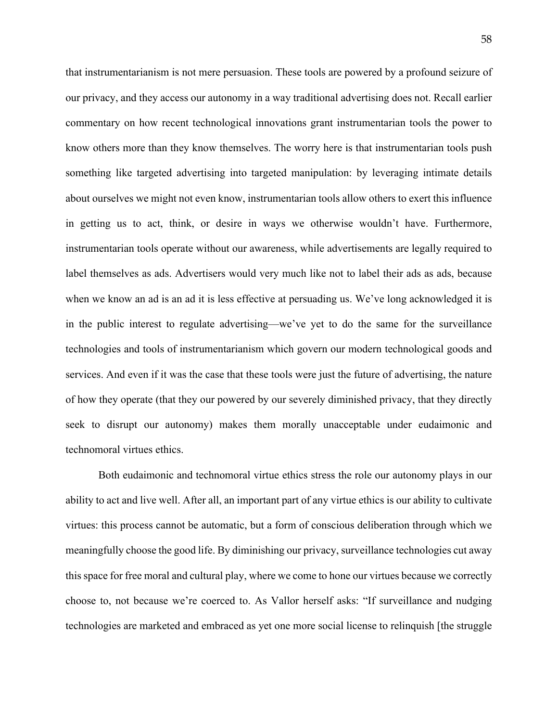that instrumentarianism is not mere persuasion. These tools are powered by a profound seizure of our privacy, and they access our autonomy in a way traditional advertising does not. Recall earlier commentary on how recent technological innovations grant instrumentarian tools the power to know others more than they know themselves. The worry here is that instrumentarian tools push something like targeted advertising into targeted manipulation: by leveraging intimate details about ourselves we might not even know, instrumentarian tools allow others to exert this influence in getting us to act, think, or desire in ways we otherwise wouldn't have. Furthermore, instrumentarian tools operate without our awareness, while advertisements are legally required to label themselves as ads. Advertisers would very much like not to label their ads as ads, because when we know an ad is an ad it is less effective at persuading us. We've long acknowledged it is in the public interest to regulate advertising—we've yet to do the same for the surveillance technologies and tools of instrumentarianism which govern our modern technological goods and services. And even if it was the case that these tools were just the future of advertising, the nature of how they operate (that they our powered by our severely diminished privacy, that they directly seek to disrupt our autonomy) makes them morally unacceptable under eudaimonic and technomoral virtues ethics.

Both eudaimonic and technomoral virtue ethics stress the role our autonomy plays in our ability to act and live well. After all, an important part of any virtue ethics is our ability to cultivate virtues: this process cannot be automatic, but a form of conscious deliberation through which we meaningfully choose the good life. By diminishing our privacy, surveillance technologies cut away this space for free moral and cultural play, where we come to hone our virtues because we correctly choose to, not because we're coerced to. As Vallor herself asks: "If surveillance and nudging technologies are marketed and embraced as yet one more social license to relinquish [the struggle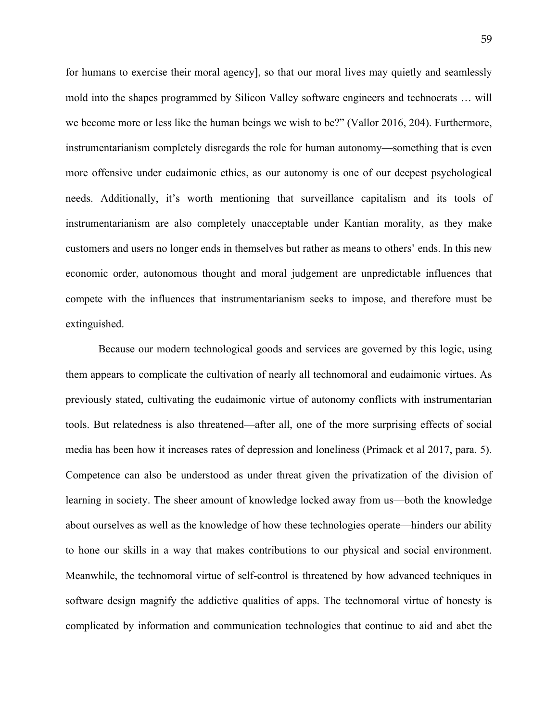for humans to exercise their moral agency], so that our moral lives may quietly and seamlessly mold into the shapes programmed by Silicon Valley software engineers and technocrats … will we become more or less like the human beings we wish to be?" (Vallor 2016, 204). Furthermore, instrumentarianism completely disregards the role for human autonomy—something that is even more offensive under eudaimonic ethics, as our autonomy is one of our deepest psychological needs. Additionally, it's worth mentioning that surveillance capitalism and its tools of instrumentarianism are also completely unacceptable under Kantian morality, as they make customers and users no longer ends in themselves but rather as means to others' ends. In this new economic order, autonomous thought and moral judgement are unpredictable influences that compete with the influences that instrumentarianism seeks to impose, and therefore must be extinguished.

Because our modern technological goods and services are governed by this logic, using them appears to complicate the cultivation of nearly all technomoral and eudaimonic virtues. As previously stated, cultivating the eudaimonic virtue of autonomy conflicts with instrumentarian tools. But relatedness is also threatened—after all, one of the more surprising effects of social media has been how it increases rates of depression and loneliness (Primack et al 2017, para. 5). Competence can also be understood as under threat given the privatization of the division of learning in society. The sheer amount of knowledge locked away from us—both the knowledge about ourselves as well as the knowledge of how these technologies operate—hinders our ability to hone our skills in a way that makes contributions to our physical and social environment. Meanwhile, the technomoral virtue of self-control is threatened by how advanced techniques in software design magnify the addictive qualities of apps. The technomoral virtue of honesty is complicated by information and communication technologies that continue to aid and abet the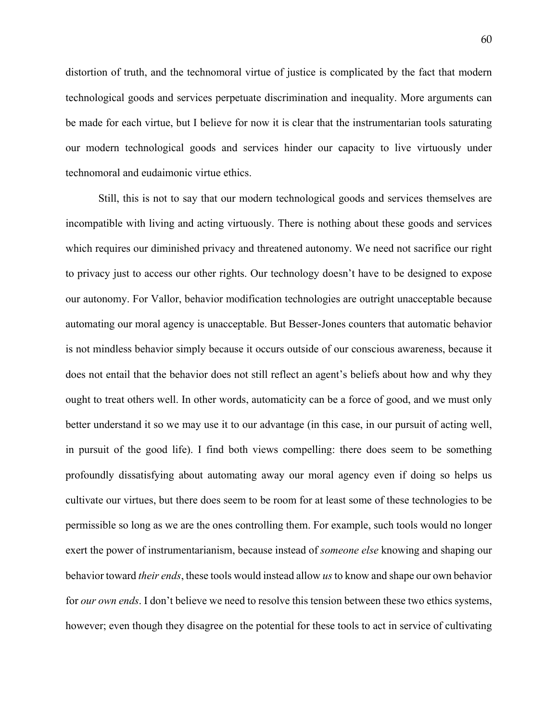distortion of truth, and the technomoral virtue of justice is complicated by the fact that modern technological goods and services perpetuate discrimination and inequality. More arguments can be made for each virtue, but I believe for now it is clear that the instrumentarian tools saturating our modern technological goods and services hinder our capacity to live virtuously under technomoral and eudaimonic virtue ethics.

Still, this is not to say that our modern technological goods and services themselves are incompatible with living and acting virtuously. There is nothing about these goods and services which requires our diminished privacy and threatened autonomy. We need not sacrifice our right to privacy just to access our other rights. Our technology doesn't have to be designed to expose our autonomy. For Vallor, behavior modification technologies are outright unacceptable because automating our moral agency is unacceptable. But Besser-Jones counters that automatic behavior is not mindless behavior simply because it occurs outside of our conscious awareness, because it does not entail that the behavior does not still reflect an agent's beliefs about how and why they ought to treat others well. In other words, automaticity can be a force of good, and we must only better understand it so we may use it to our advantage (in this case, in our pursuit of acting well, in pursuit of the good life). I find both views compelling: there does seem to be something profoundly dissatisfying about automating away our moral agency even if doing so helps us cultivate our virtues, but there does seem to be room for at least some of these technologies to be permissible so long as we are the ones controlling them. For example, such tools would no longer exert the power of instrumentarianism, because instead of *someone else* knowing and shaping our behavior toward *their ends*, these tools would instead allow *us*to know and shape our own behavior for *our own ends*. I don't believe we need to resolve this tension between these two ethics systems, however; even though they disagree on the potential for these tools to act in service of cultivating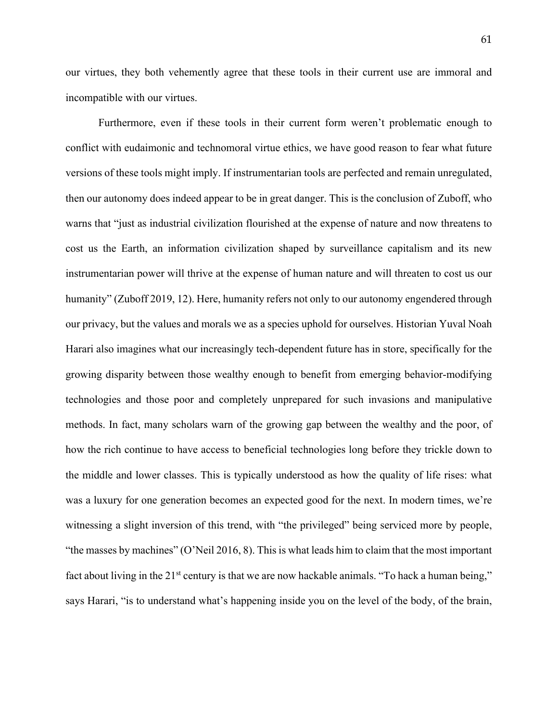our virtues, they both vehemently agree that these tools in their current use are immoral and incompatible with our virtues.

Furthermore, even if these tools in their current form weren't problematic enough to conflict with eudaimonic and technomoral virtue ethics, we have good reason to fear what future versions of these tools might imply. If instrumentarian tools are perfected and remain unregulated, then our autonomy does indeed appear to be in great danger. This is the conclusion of Zuboff, who warns that "just as industrial civilization flourished at the expense of nature and now threatens to cost us the Earth, an information civilization shaped by surveillance capitalism and its new instrumentarian power will thrive at the expense of human nature and will threaten to cost us our humanity" (Zuboff 2019, 12). Here, humanity refers not only to our autonomy engendered through our privacy, but the values and morals we as a species uphold for ourselves. Historian Yuval Noah Harari also imagines what our increasingly tech-dependent future has in store, specifically for the growing disparity between those wealthy enough to benefit from emerging behavior-modifying technologies and those poor and completely unprepared for such invasions and manipulative methods. In fact, many scholars warn of the growing gap between the wealthy and the poor, of how the rich continue to have access to beneficial technologies long before they trickle down to the middle and lower classes. This is typically understood as how the quality of life rises: what was a luxury for one generation becomes an expected good for the next. In modern times, we're witnessing a slight inversion of this trend, with "the privileged" being serviced more by people, "the masses by machines" (O'Neil 2016, 8). This is what leads him to claim that the most important fact about living in the  $21^{st}$  century is that we are now hackable animals. "To hack a human being," says Harari, "is to understand what's happening inside you on the level of the body, of the brain,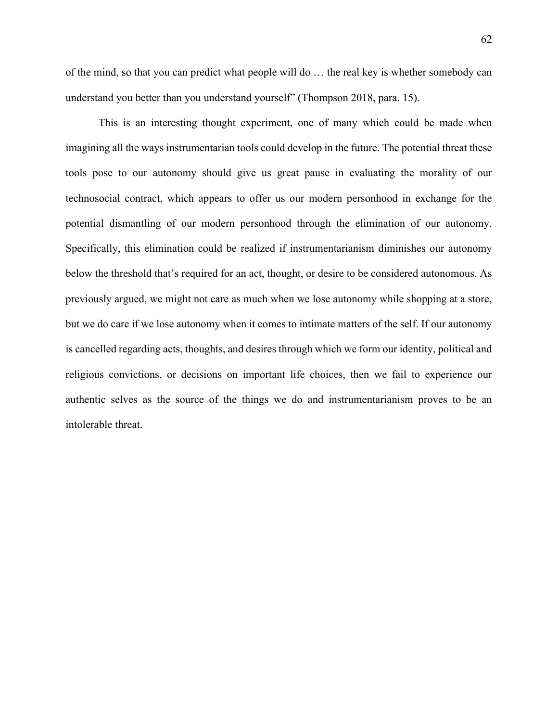of the mind, so that you can predict what people will do … the real key is whether somebody can understand you better than you understand yourself" (Thompson 2018, para. 15).

This is an interesting thought experiment, one of many which could be made when imagining all the ways instrumentarian tools could develop in the future. The potential threat these tools pose to our autonomy should give us great pause in evaluating the morality of our technosocial contract, which appears to offer us our modern personhood in exchange for the potential dismantling of our modern personhood through the elimination of our autonomy. Specifically, this elimination could be realized if instrumentarianism diminishes our autonomy below the threshold that's required for an act, thought, or desire to be considered autonomous. As previously argued, we might not care as much when we lose autonomy while shopping at a store, but we do care if we lose autonomy when it comes to intimate matters of the self. If our autonomy is cancelled regarding acts, thoughts, and desires through which we form our identity, political and religious convictions, or decisions on important life choices, then we fail to experience our authentic selves as the source of the things we do and instrumentarianism proves to be an intolerable threat.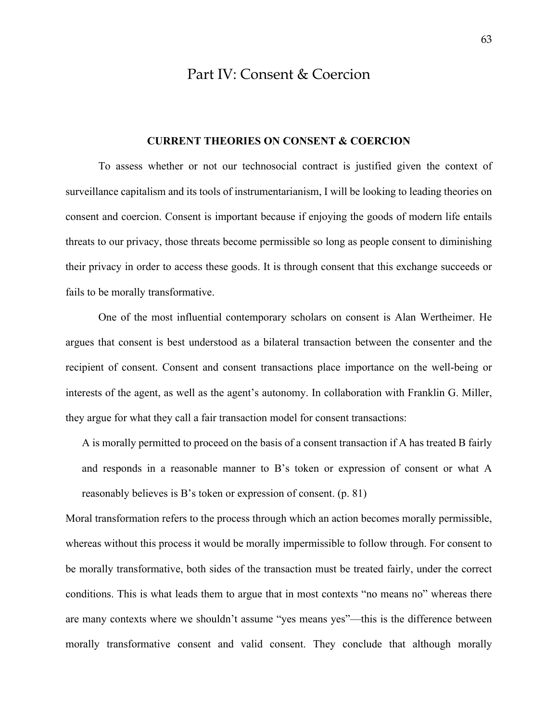# Part IV: Consent & Coercion

## **CURRENT THEORIES ON CONSENT & COERCION**

To assess whether or not our technosocial contract is justified given the context of surveillance capitalism and its tools of instrumentarianism, I will be looking to leading theories on consent and coercion. Consent is important because if enjoying the goods of modern life entails threats to our privacy, those threats become permissible so long as people consent to diminishing their privacy in order to access these goods. It is through consent that this exchange succeeds or fails to be morally transformative.

One of the most influential contemporary scholars on consent is Alan Wertheimer. He argues that consent is best understood as a bilateral transaction between the consenter and the recipient of consent. Consent and consent transactions place importance on the well-being or interests of the agent, as well as the agent's autonomy. In collaboration with Franklin G. Miller, they argue for what they call a fair transaction model for consent transactions:

A is morally permitted to proceed on the basis of a consent transaction if A has treated B fairly and responds in a reasonable manner to B's token or expression of consent or what A reasonably believes is B's token or expression of consent. (p. 81)

Moral transformation refers to the process through which an action becomes morally permissible, whereas without this process it would be morally impermissible to follow through. For consent to be morally transformative, both sides of the transaction must be treated fairly, under the correct conditions. This is what leads them to argue that in most contexts "no means no" whereas there are many contexts where we shouldn't assume "yes means yes"—this is the difference between morally transformative consent and valid consent. They conclude that although morally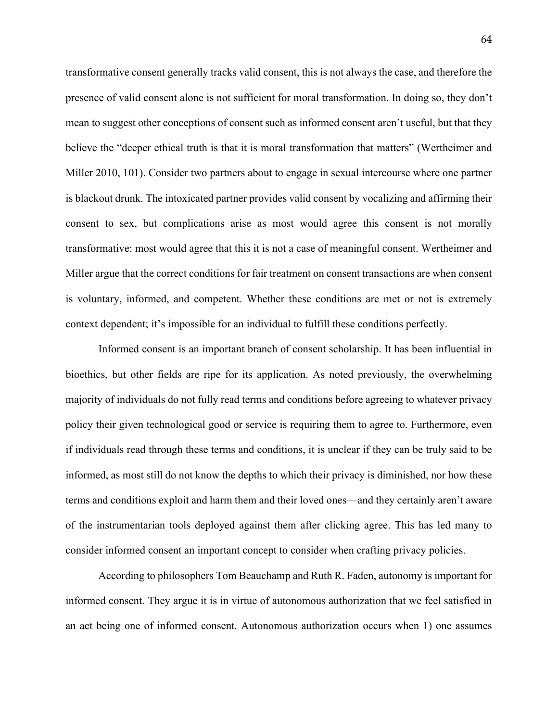transformative consent generally tracks valid consent, this is not always the case, and therefore the presence of valid consent alone is not sufficient for moral transformation. In doing so, they don't mean to suggest other conceptions of consent such as informed consent aren't useful, but that they believe the "deeper ethical truth is that it is moral transformation that matters" (Wertheimer and Miller 2010, 101). Consider two partners about to engage in sexual intercourse where one partner is blackout drunk. The intoxicated partner provides valid consent by vocalizing and affirming their consent to sex, but complications arise as most would agree this consent is not morally transformative: most would agree that this it is not a case of meaningful consent. Wertheimer and Miller argue that the correct conditions for fair treatment on consent transactions are when consent is voluntary, informed, and competent. Whether these conditions are met or not is extremely context dependent; it's impossible for an individual to fulfill these conditions perfectly.

Informed consent is an important branch of consent scholarship. It has been influential in bioethics, but other fields are ripe for its application. As noted previously, the overwhelming majority of individuals do not fully read terms and conditions before agreeing to whatever privacy policy their given technological good or service is requiring them to agree to. Furthermore, even if individuals read through these terms and conditions, it is unclear if they can be truly said to be informed, as most still do not know the depths to which their privacy is diminished, nor how these terms and conditions exploit and harm them and their loved ones—and they certainly aren't aware of the instrumentarian tools deployed against them after clicking agree. This has led many to consider informed consent an important concept to consider when crafting privacy policies.

According to philosophers Tom Beauchamp and Ruth R. Faden, autonomy is important for informed consent. They argue it is in virtue of autonomous authorization that we feel satisfied in an act being one of informed consent. Autonomous authorization occurs when 1) one assumes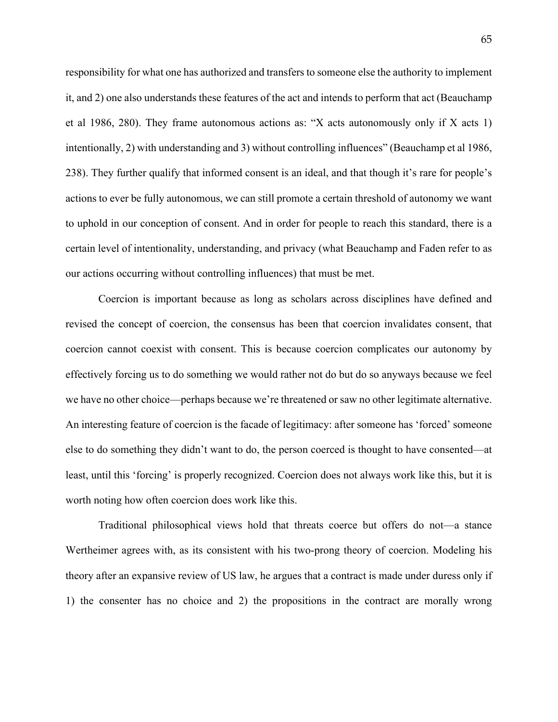responsibility for what one has authorized and transfers to someone else the authority to implement it, and 2) one also understands these features of the act and intends to perform that act (Beauchamp et al 1986, 280). They frame autonomous actions as: "X acts autonomously only if X acts 1) intentionally, 2) with understanding and 3) without controlling influences" (Beauchamp et al 1986, 238). They further qualify that informed consent is an ideal, and that though it's rare for people's actions to ever be fully autonomous, we can still promote a certain threshold of autonomy we want to uphold in our conception of consent. And in order for people to reach this standard, there is a certain level of intentionality, understanding, and privacy (what Beauchamp and Faden refer to as our actions occurring without controlling influences) that must be met.

Coercion is important because as long as scholars across disciplines have defined and revised the concept of coercion, the consensus has been that coercion invalidates consent, that coercion cannot coexist with consent. This is because coercion complicates our autonomy by effectively forcing us to do something we would rather not do but do so anyways because we feel we have no other choice—perhaps because we're threatened or saw no other legitimate alternative. An interesting feature of coercion is the facade of legitimacy: after someone has 'forced' someone else to do something they didn't want to do, the person coerced is thought to have consented—at least, until this 'forcing' is properly recognized. Coercion does not always work like this, but it is worth noting how often coercion does work like this.

Traditional philosophical views hold that threats coerce but offers do not—a stance Wertheimer agrees with, as its consistent with his two-prong theory of coercion. Modeling his theory after an expansive review of US law, he argues that a contract is made under duress only if 1) the consenter has no choice and 2) the propositions in the contract are morally wrong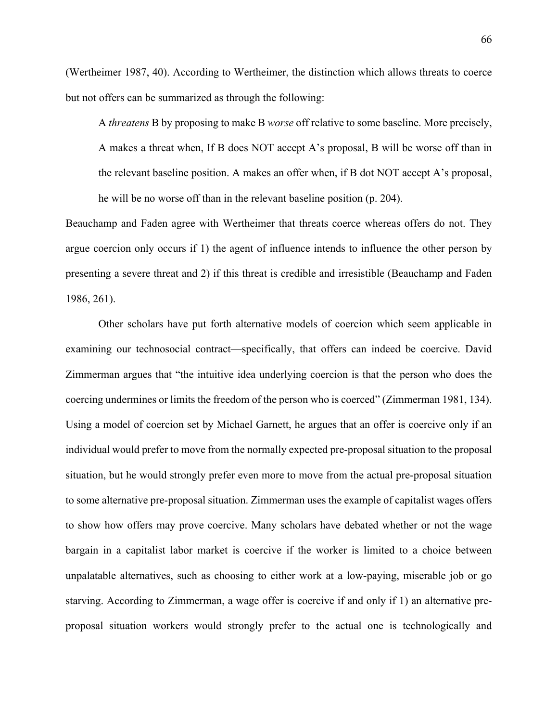(Wertheimer 1987, 40). According to Wertheimer, the distinction which allows threats to coerce but not offers can be summarized as through the following:

A *threatens* B by proposing to make B *worse* off relative to some baseline. More precisely, A makes a threat when, If B does NOT accept A's proposal, B will be worse off than in the relevant baseline position. A makes an offer when, if B dot NOT accept A's proposal, he will be no worse off than in the relevant baseline position (p. 204).

Beauchamp and Faden agree with Wertheimer that threats coerce whereas offers do not. They argue coercion only occurs if 1) the agent of influence intends to influence the other person by presenting a severe threat and 2) if this threat is credible and irresistible (Beauchamp and Faden 1986, 261).

Other scholars have put forth alternative models of coercion which seem applicable in examining our technosocial contract—specifically, that offers can indeed be coercive. David Zimmerman argues that "the intuitive idea underlying coercion is that the person who does the coercing undermines or limits the freedom of the person who is coerced" (Zimmerman 1981, 134). Using a model of coercion set by Michael Garnett, he argues that an offer is coercive only if an individual would prefer to move from the normally expected pre-proposal situation to the proposal situation, but he would strongly prefer even more to move from the actual pre-proposal situation to some alternative pre-proposal situation. Zimmerman uses the example of capitalist wages offers to show how offers may prove coercive. Many scholars have debated whether or not the wage bargain in a capitalist labor market is coercive if the worker is limited to a choice between unpalatable alternatives, such as choosing to either work at a low-paying, miserable job or go starving. According to Zimmerman, a wage offer is coercive if and only if 1) an alternative preproposal situation workers would strongly prefer to the actual one is technologically and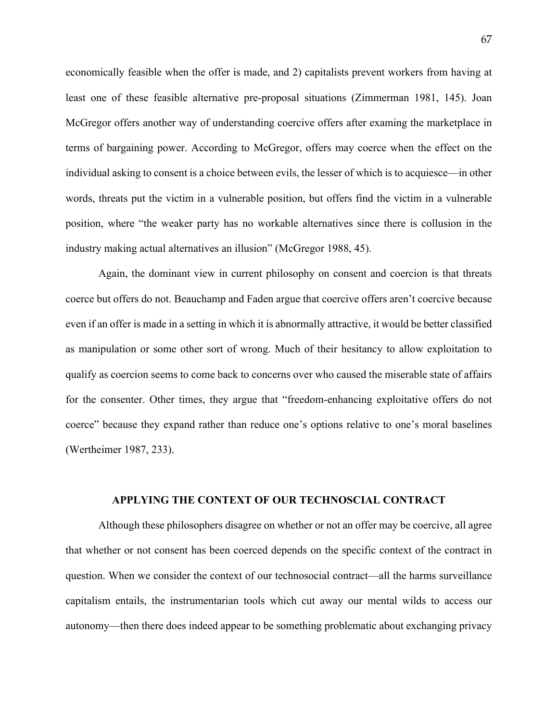economically feasible when the offer is made, and 2) capitalists prevent workers from having at least one of these feasible alternative pre-proposal situations (Zimmerman 1981, 145). Joan McGregor offers another way of understanding coercive offers after examing the marketplace in terms of bargaining power. According to McGregor, offers may coerce when the effect on the individual asking to consent is a choice between evils, the lesser of which is to acquiesce—in other words, threats put the victim in a vulnerable position, but offers find the victim in a vulnerable position, where "the weaker party has no workable alternatives since there is collusion in the industry making actual alternatives an illusion" (McGregor 1988, 45).

Again, the dominant view in current philosophy on consent and coercion is that threats coerce but offers do not. Beauchamp and Faden argue that coercive offers aren't coercive because even if an offer is made in a setting in which it is abnormally attractive, it would be better classified as manipulation or some other sort of wrong. Much of their hesitancy to allow exploitation to qualify as coercion seems to come back to concerns over who caused the miserable state of affairs for the consenter. Other times, they argue that "freedom-enhancing exploitative offers do not coerce" because they expand rather than reduce one's options relative to one's moral baselines (Wertheimer 1987, 233).

### **APPLYING THE CONTEXT OF OUR TECHNOSCIAL CONTRACT**

Although these philosophers disagree on whether or not an offer may be coercive, all agree that whether or not consent has been coerced depends on the specific context of the contract in question. When we consider the context of our technosocial contract—all the harms surveillance capitalism entails, the instrumentarian tools which cut away our mental wilds to access our autonomy—then there does indeed appear to be something problematic about exchanging privacy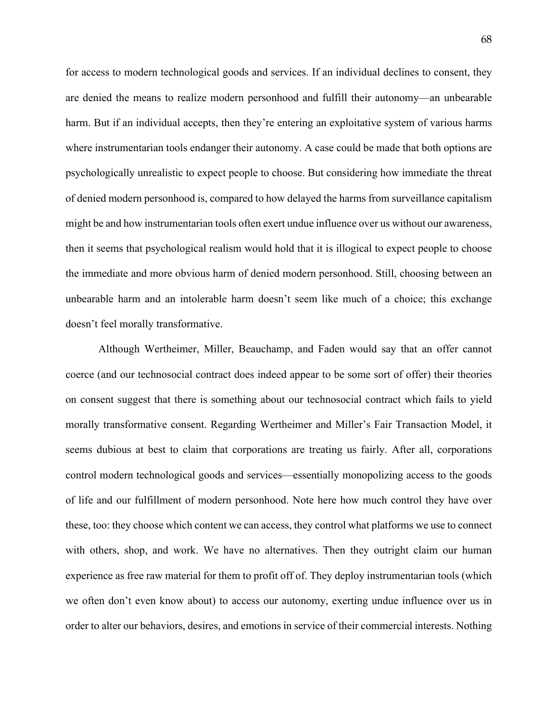for access to modern technological goods and services. If an individual declines to consent, they are denied the means to realize modern personhood and fulfill their autonomy—an unbearable harm. But if an individual accepts, then they're entering an exploitative system of various harms where instrumentarian tools endanger their autonomy. A case could be made that both options are psychologically unrealistic to expect people to choose. But considering how immediate the threat of denied modern personhood is, compared to how delayed the harms from surveillance capitalism might be and how instrumentarian tools often exert undue influence over us without our awareness, then it seems that psychological realism would hold that it is illogical to expect people to choose the immediate and more obvious harm of denied modern personhood. Still, choosing between an unbearable harm and an intolerable harm doesn't seem like much of a choice; this exchange doesn't feel morally transformative.

Although Wertheimer, Miller, Beauchamp, and Faden would say that an offer cannot coerce (and our technosocial contract does indeed appear to be some sort of offer) their theories on consent suggest that there is something about our technosocial contract which fails to yield morally transformative consent. Regarding Wertheimer and Miller's Fair Transaction Model, it seems dubious at best to claim that corporations are treating us fairly. After all, corporations control modern technological goods and services—essentially monopolizing access to the goods of life and our fulfillment of modern personhood. Note here how much control they have over these, too: they choose which content we can access, they control what platforms we use to connect with others, shop, and work. We have no alternatives. Then they outright claim our human experience as free raw material for them to profit off of. They deploy instrumentarian tools (which we often don't even know about) to access our autonomy, exerting undue influence over us in order to alter our behaviors, desires, and emotions in service of their commercial interests. Nothing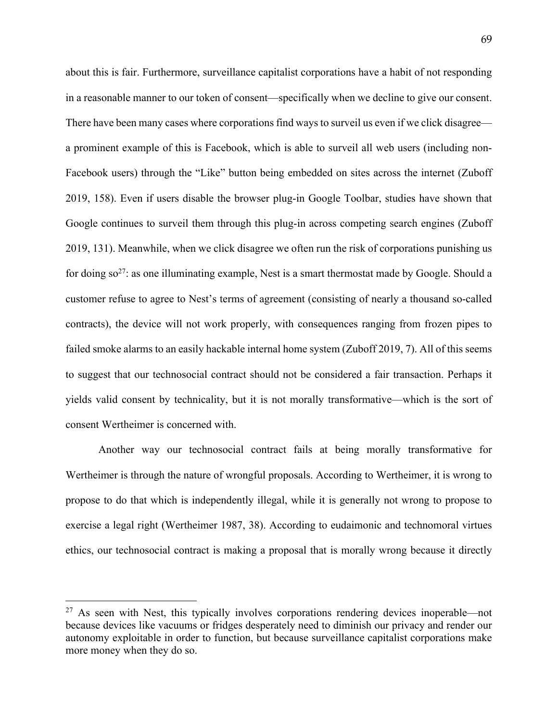about this is fair. Furthermore, surveillance capitalist corporations have a habit of not responding in a reasonable manner to our token of consent—specifically when we decline to give our consent. There have been many cases where corporations find ways to surveil us even if we click disagree a prominent example of this is Facebook, which is able to surveil all web users (including non-Facebook users) through the "Like" button being embedded on sites across the internet (Zuboff 2019, 158). Even if users disable the browser plug-in Google Toolbar, studies have shown that Google continues to surveil them through this plug-in across competing search engines (Zuboff 2019, 131). Meanwhile, when we click disagree we often run the risk of corporations punishing us for doing  $\pi$ <sup>27</sup>: as one illuminating example, Nest is a smart thermostat made by Google. Should a customer refuse to agree to Nest's terms of agreement (consisting of nearly a thousand so-called contracts), the device will not work properly, with consequences ranging from frozen pipes to failed smoke alarms to an easily hackable internal home system (Zuboff 2019, 7). All of this seems to suggest that our technosocial contract should not be considered a fair transaction. Perhaps it yields valid consent by technicality, but it is not morally transformative—which is the sort of consent Wertheimer is concerned with.

Another way our technosocial contract fails at being morally transformative for Wertheimer is through the nature of wrongful proposals. According to Wertheimer, it is wrong to propose to do that which is independently illegal, while it is generally not wrong to propose to exercise a legal right (Wertheimer 1987, 38). According to eudaimonic and technomoral virtues ethics, our technosocial contract is making a proposal that is morally wrong because it directly

 $27$  As seen with Nest, this typically involves corporations rendering devices inoperable—not because devices like vacuums or fridges desperately need to diminish our privacy and render our autonomy exploitable in order to function, but because surveillance capitalist corporations make more money when they do so.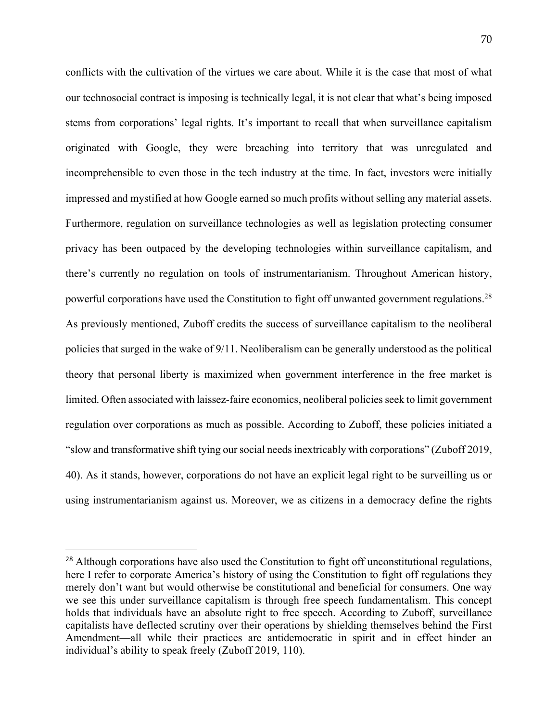conflicts with the cultivation of the virtues we care about. While it is the case that most of what our technosocial contract is imposing is technically legal, it is not clear that what's being imposed stems from corporations' legal rights. It's important to recall that when surveillance capitalism originated with Google, they were breaching into territory that was unregulated and incomprehensible to even those in the tech industry at the time. In fact, investors were initially impressed and mystified at how Google earned so much profits without selling any material assets. Furthermore, regulation on surveillance technologies as well as legislation protecting consumer privacy has been outpaced by the developing technologies within surveillance capitalism, and there's currently no regulation on tools of instrumentarianism. Throughout American history, powerful corporations have used the Constitution to fight off unwanted government regulations.<sup>28</sup> As previously mentioned, Zuboff credits the success of surveillance capitalism to the neoliberal policies that surged in the wake of 9/11. Neoliberalism can be generally understood as the political theory that personal liberty is maximized when government interference in the free market is limited. Often associated with laissez-faire economics, neoliberal policies seek to limit government regulation over corporations as much as possible. According to Zuboff, these policies initiated a "slow and transformative shift tying our social needs inextricably with corporations" (Zuboff 2019, 40). As it stands, however, corporations do not have an explicit legal right to be surveilling us or using instrumentarianism against us. Moreover, we as citizens in a democracy define the rights

<sup>&</sup>lt;sup>28</sup> Although corporations have also used the Constitution to fight off unconstitutional regulations, here I refer to corporate America's history of using the Constitution to fight off regulations they merely don't want but would otherwise be constitutional and beneficial for consumers. One way we see this under surveillance capitalism is through free speech fundamentalism. This concept holds that individuals have an absolute right to free speech. According to Zuboff, surveillance capitalists have deflected scrutiny over their operations by shielding themselves behind the First Amendment—all while their practices are antidemocratic in spirit and in effect hinder an individual's ability to speak freely (Zuboff 2019, 110).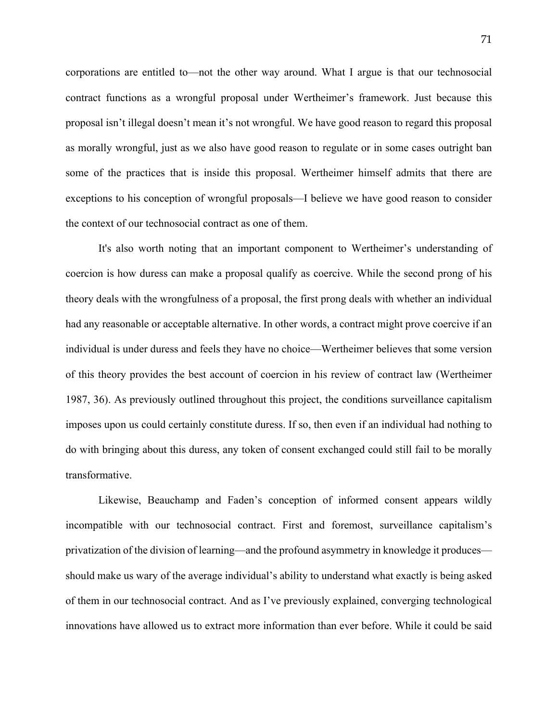corporations are entitled to—not the other way around. What I argue is that our technosocial contract functions as a wrongful proposal under Wertheimer's framework. Just because this proposal isn't illegal doesn't mean it's not wrongful. We have good reason to regard this proposal as morally wrongful, just as we also have good reason to regulate or in some cases outright ban some of the practices that is inside this proposal. Wertheimer himself admits that there are exceptions to his conception of wrongful proposals—I believe we have good reason to consider the context of our technosocial contract as one of them.

It's also worth noting that an important component to Wertheimer's understanding of coercion is how duress can make a proposal qualify as coercive. While the second prong of his theory deals with the wrongfulness of a proposal, the first prong deals with whether an individual had any reasonable or acceptable alternative. In other words, a contract might prove coercive if an individual is under duress and feels they have no choice—Wertheimer believes that some version of this theory provides the best account of coercion in his review of contract law (Wertheimer 1987, 36). As previously outlined throughout this project, the conditions surveillance capitalism imposes upon us could certainly constitute duress. If so, then even if an individual had nothing to do with bringing about this duress, any token of consent exchanged could still fail to be morally transformative.

Likewise, Beauchamp and Faden's conception of informed consent appears wildly incompatible with our technosocial contract. First and foremost, surveillance capitalism's privatization of the division of learning—and the profound asymmetry in knowledge it produces should make us wary of the average individual's ability to understand what exactly is being asked of them in our technosocial contract. And as I've previously explained, converging technological innovations have allowed us to extract more information than ever before. While it could be said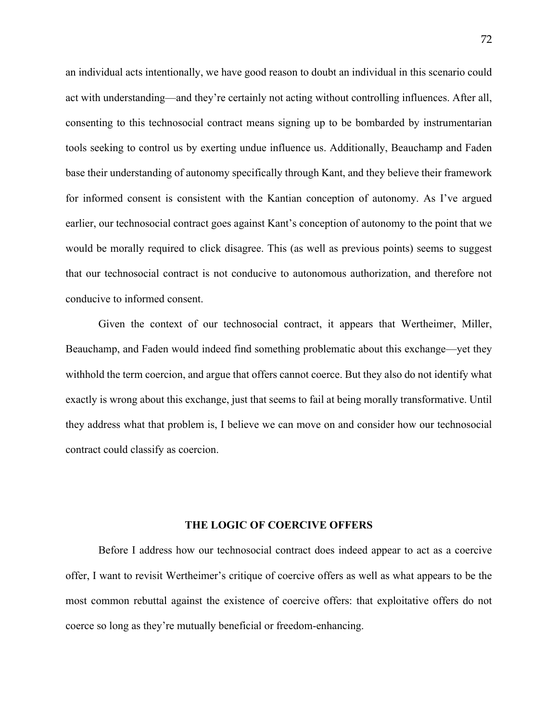an individual acts intentionally, we have good reason to doubt an individual in this scenario could act with understanding—and they're certainly not acting without controlling influences. After all, consenting to this technosocial contract means signing up to be bombarded by instrumentarian tools seeking to control us by exerting undue influence us. Additionally, Beauchamp and Faden base their understanding of autonomy specifically through Kant, and they believe their framework for informed consent is consistent with the Kantian conception of autonomy. As I've argued earlier, our technosocial contract goes against Kant's conception of autonomy to the point that we would be morally required to click disagree. This (as well as previous points) seems to suggest that our technosocial contract is not conducive to autonomous authorization, and therefore not conducive to informed consent.

Given the context of our technosocial contract, it appears that Wertheimer, Miller, Beauchamp, and Faden would indeed find something problematic about this exchange—yet they withhold the term coercion, and argue that offers cannot coerce. But they also do not identify what exactly is wrong about this exchange, just that seems to fail at being morally transformative. Until they address what that problem is, I believe we can move on and consider how our technosocial contract could classify as coercion.

#### **THE LOGIC OF COERCIVE OFFERS**

Before I address how our technosocial contract does indeed appear to act as a coercive offer, I want to revisit Wertheimer's critique of coercive offers as well as what appears to be the most common rebuttal against the existence of coercive offers: that exploitative offers do not coerce so long as they're mutually beneficial or freedom-enhancing.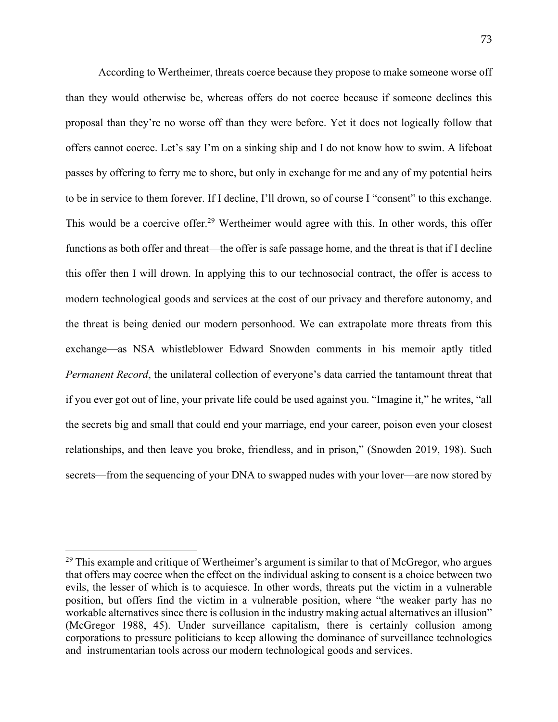According to Wertheimer, threats coerce because they propose to make someone worse off than they would otherwise be, whereas offers do not coerce because if someone declines this proposal than they're no worse off than they were before. Yet it does not logically follow that offers cannot coerce. Let's say I'm on a sinking ship and I do not know how to swim. A lifeboat passes by offering to ferry me to shore, but only in exchange for me and any of my potential heirs to be in service to them forever. If I decline, I'll drown, so of course I "consent" to this exchange. This would be a coercive offer.<sup>29</sup> Wertheimer would agree with this. In other words, this offer functions as both offer and threat—the offer is safe passage home, and the threat is that if I decline this offer then I will drown. In applying this to our technosocial contract, the offer is access to modern technological goods and services at the cost of our privacy and therefore autonomy, and the threat is being denied our modern personhood. We can extrapolate more threats from this exchange—as NSA whistleblower Edward Snowden comments in his memoir aptly titled *Permanent Record*, the unilateral collection of everyone's data carried the tantamount threat that if you ever got out of line, your private life could be used against you. "Imagine it," he writes, "all the secrets big and small that could end your marriage, end your career, poison even your closest relationships, and then leave you broke, friendless, and in prison," (Snowden 2019, 198). Such secrets—from the sequencing of your DNA to swapped nudes with your lover—are now stored by

<sup>&</sup>lt;sup>29</sup> This example and critique of Wertheimer's argument is similar to that of McGregor, who argues that offers may coerce when the effect on the individual asking to consent is a choice between two evils, the lesser of which is to acquiesce. In other words, threats put the victim in a vulnerable position, but offers find the victim in a vulnerable position, where "the weaker party has no workable alternatives since there is collusion in the industry making actual alternatives an illusion" (McGregor 1988, 45). Under surveillance capitalism, there is certainly collusion among corporations to pressure politicians to keep allowing the dominance of surveillance technologies and instrumentarian tools across our modern technological goods and services.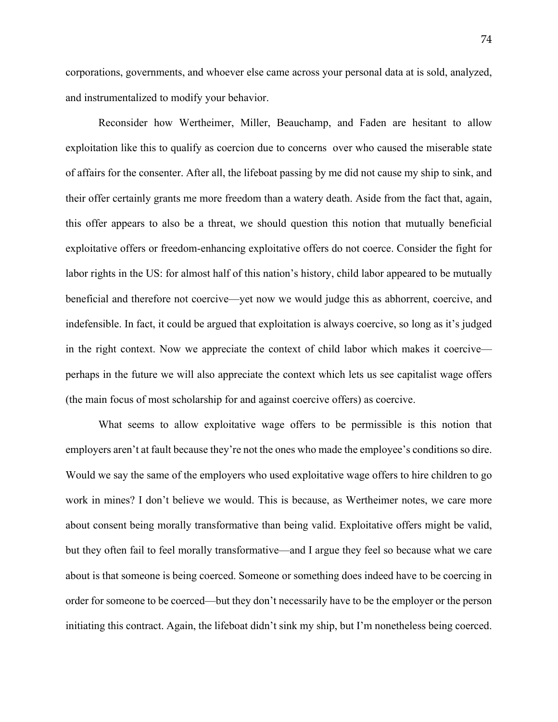corporations, governments, and whoever else came across your personal data at is sold, analyzed, and instrumentalized to modify your behavior.

Reconsider how Wertheimer, Miller, Beauchamp, and Faden are hesitant to allow exploitation like this to qualify as coercion due to concerns over who caused the miserable state of affairs for the consenter. After all, the lifeboat passing by me did not cause my ship to sink, and their offer certainly grants me more freedom than a watery death. Aside from the fact that, again, this offer appears to also be a threat, we should question this notion that mutually beneficial exploitative offers or freedom-enhancing exploitative offers do not coerce. Consider the fight for labor rights in the US: for almost half of this nation's history, child labor appeared to be mutually beneficial and therefore not coercive—yet now we would judge this as abhorrent, coercive, and indefensible. In fact, it could be argued that exploitation is always coercive, so long as it's judged in the right context. Now we appreciate the context of child labor which makes it coercive perhaps in the future we will also appreciate the context which lets us see capitalist wage offers (the main focus of most scholarship for and against coercive offers) as coercive.

What seems to allow exploitative wage offers to be permissible is this notion that employers aren't at fault because they're not the ones who made the employee's conditions so dire. Would we say the same of the employers who used exploitative wage offers to hire children to go work in mines? I don't believe we would. This is because, as Wertheimer notes, we care more about consent being morally transformative than being valid. Exploitative offers might be valid, but they often fail to feel morally transformative—and I argue they feel so because what we care about is that someone is being coerced. Someone or something does indeed have to be coercing in order for someone to be coerced—but they don't necessarily have to be the employer or the person initiating this contract. Again, the lifeboat didn't sink my ship, but I'm nonetheless being coerced.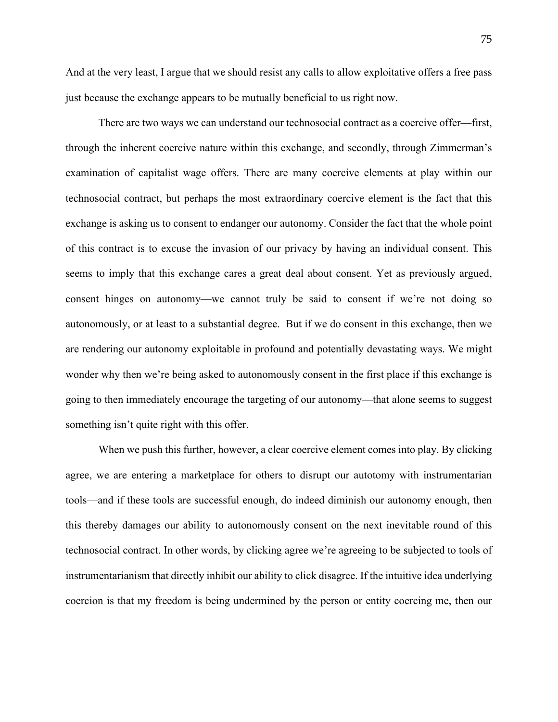And at the very least, I argue that we should resist any calls to allow exploitative offers a free pass just because the exchange appears to be mutually beneficial to us right now.

There are two ways we can understand our technosocial contract as a coercive offer—first, through the inherent coercive nature within this exchange, and secondly, through Zimmerman's examination of capitalist wage offers. There are many coercive elements at play within our technosocial contract, but perhaps the most extraordinary coercive element is the fact that this exchange is asking us to consent to endanger our autonomy. Consider the fact that the whole point of this contract is to excuse the invasion of our privacy by having an individual consent. This seems to imply that this exchange cares a great deal about consent. Yet as previously argued, consent hinges on autonomy—we cannot truly be said to consent if we're not doing so autonomously, or at least to a substantial degree. But if we do consent in this exchange, then we are rendering our autonomy exploitable in profound and potentially devastating ways. We might wonder why then we're being asked to autonomously consent in the first place if this exchange is going to then immediately encourage the targeting of our autonomy—that alone seems to suggest something isn't quite right with this offer.

When we push this further, however, a clear coercive element comes into play. By clicking agree, we are entering a marketplace for others to disrupt our autotomy with instrumentarian tools—and if these tools are successful enough, do indeed diminish our autonomy enough, then this thereby damages our ability to autonomously consent on the next inevitable round of this technosocial contract. In other words, by clicking agree we're agreeing to be subjected to tools of instrumentarianism that directly inhibit our ability to click disagree. If the intuitive idea underlying coercion is that my freedom is being undermined by the person or entity coercing me, then our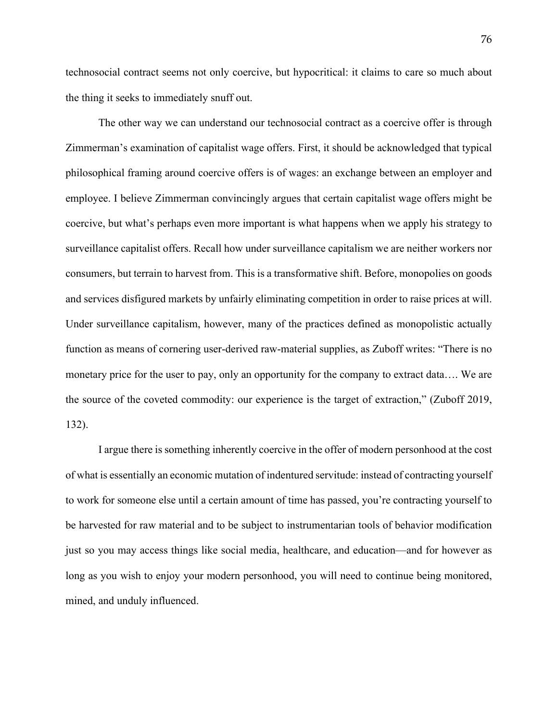technosocial contract seems not only coercive, but hypocritical: it claims to care so much about the thing it seeks to immediately snuff out.

The other way we can understand our technosocial contract as a coercive offer is through Zimmerman's examination of capitalist wage offers. First, it should be acknowledged that typical philosophical framing around coercive offers is of wages: an exchange between an employer and employee. I believe Zimmerman convincingly argues that certain capitalist wage offers might be coercive, but what's perhaps even more important is what happens when we apply his strategy to surveillance capitalist offers. Recall how under surveillance capitalism we are neither workers nor consumers, but terrain to harvest from. This is a transformative shift. Before, monopolies on goods and services disfigured markets by unfairly eliminating competition in order to raise prices at will. Under surveillance capitalism, however, many of the practices defined as monopolistic actually function as means of cornering user-derived raw-material supplies, as Zuboff writes: "There is no monetary price for the user to pay, only an opportunity for the company to extract data…. We are the source of the coveted commodity: our experience is the target of extraction," (Zuboff 2019, 132).

I argue there is something inherently coercive in the offer of modern personhood at the cost of what is essentially an economic mutation of indentured servitude: instead of contracting yourself to work for someone else until a certain amount of time has passed, you're contracting yourself to be harvested for raw material and to be subject to instrumentarian tools of behavior modification just so you may access things like social media, healthcare, and education—and for however as long as you wish to enjoy your modern personhood, you will need to continue being monitored, mined, and unduly influenced.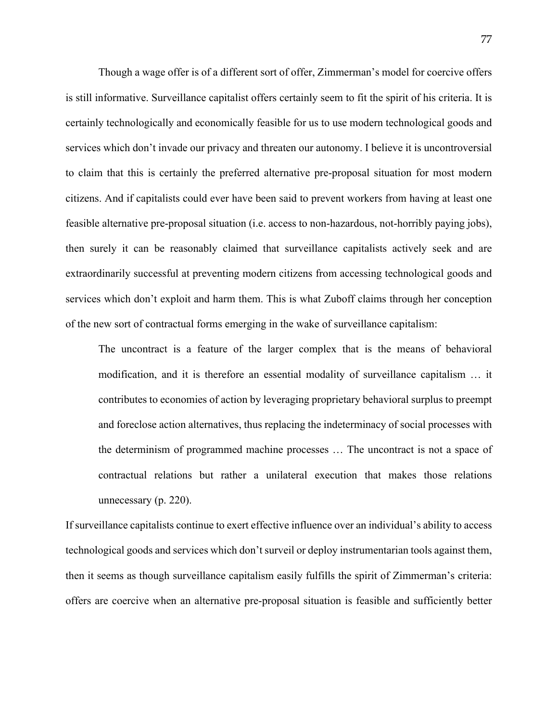Though a wage offer is of a different sort of offer, Zimmerman's model for coercive offers is still informative. Surveillance capitalist offers certainly seem to fit the spirit of his criteria. It is certainly technologically and economically feasible for us to use modern technological goods and services which don't invade our privacy and threaten our autonomy. I believe it is uncontroversial to claim that this is certainly the preferred alternative pre-proposal situation for most modern citizens. And if capitalists could ever have been said to prevent workers from having at least one feasible alternative pre-proposal situation (i.e. access to non-hazardous, not-horribly paying jobs), then surely it can be reasonably claimed that surveillance capitalists actively seek and are extraordinarily successful at preventing modern citizens from accessing technological goods and services which don't exploit and harm them. This is what Zuboff claims through her conception of the new sort of contractual forms emerging in the wake of surveillance capitalism:

The uncontract is a feature of the larger complex that is the means of behavioral modification, and it is therefore an essential modality of surveillance capitalism … it contributes to economies of action by leveraging proprietary behavioral surplus to preempt and foreclose action alternatives, thus replacing the indeterminacy of social processes with the determinism of programmed machine processes … The uncontract is not a space of contractual relations but rather a unilateral execution that makes those relations unnecessary (p. 220).

If surveillance capitalists continue to exert effective influence over an individual's ability to access technological goods and services which don't surveil or deploy instrumentarian tools against them, then it seems as though surveillance capitalism easily fulfills the spirit of Zimmerman's criteria: offers are coercive when an alternative pre-proposal situation is feasible and sufficiently better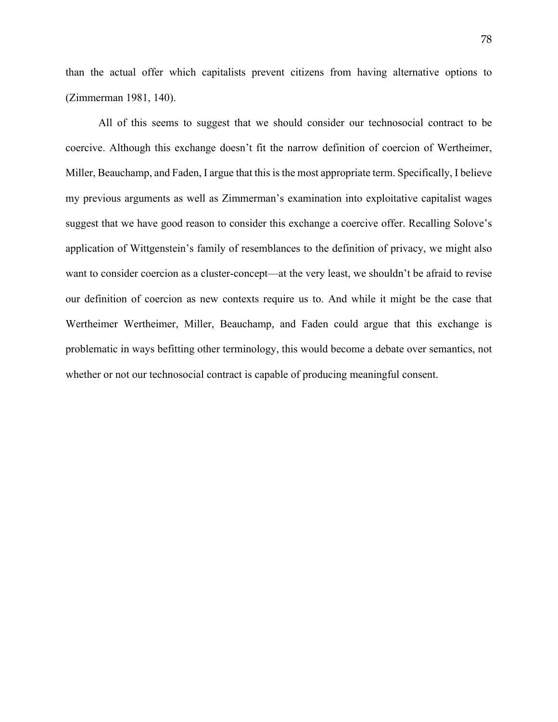than the actual offer which capitalists prevent citizens from having alternative options to (Zimmerman 1981, 140).

All of this seems to suggest that we should consider our technosocial contract to be coercive. Although this exchange doesn't fit the narrow definition of coercion of Wertheimer, Miller, Beauchamp, and Faden, I argue that this is the most appropriate term. Specifically, I believe my previous arguments as well as Zimmerman's examination into exploitative capitalist wages suggest that we have good reason to consider this exchange a coercive offer. Recalling Solove's application of Wittgenstein's family of resemblances to the definition of privacy, we might also want to consider coercion as a cluster-concept—at the very least, we shouldn't be afraid to revise our definition of coercion as new contexts require us to. And while it might be the case that Wertheimer Wertheimer, Miller, Beauchamp, and Faden could argue that this exchange is problematic in ways befitting other terminology, this would become a debate over semantics, not whether or not our technosocial contract is capable of producing meaningful consent.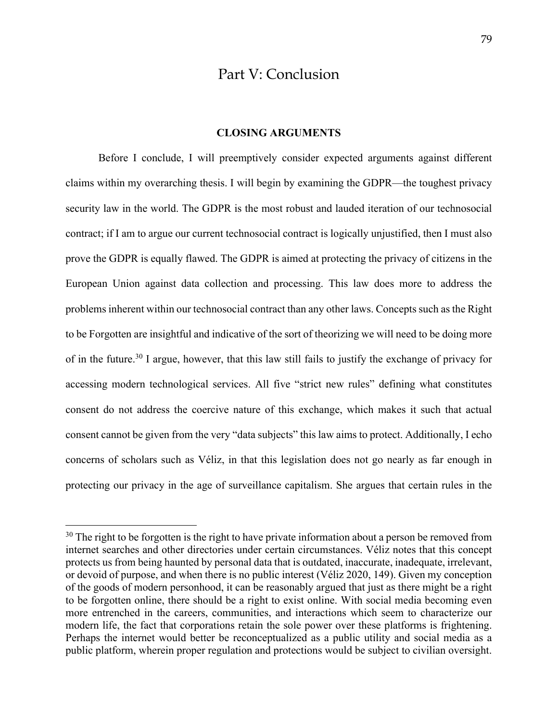# Part V: Conclusion

### **CLOSING ARGUMENTS**

Before I conclude, I will preemptively consider expected arguments against different claims within my overarching thesis. I will begin by examining the GDPR—the toughest privacy security law in the world. The GDPR is the most robust and lauded iteration of our technosocial contract; if I am to argue our current technosocial contract is logically unjustified, then I must also prove the GDPR is equally flawed. The GDPR is aimed at protecting the privacy of citizens in the European Union against data collection and processing. This law does more to address the problems inherent within our technosocial contract than any other laws. Concepts such as the Right to be Forgotten are insightful and indicative of the sort of theorizing we will need to be doing more of in the future.30 I argue, however, that this law still fails to justify the exchange of privacy for accessing modern technological services. All five "strict new rules" defining what constitutes consent do not address the coercive nature of this exchange, which makes it such that actual consent cannot be given from the very "data subjects" this law aims to protect. Additionally, I echo concerns of scholars such as Véliz, in that this legislation does not go nearly as far enough in protecting our privacy in the age of surveillance capitalism. She argues that certain rules in the

<sup>&</sup>lt;sup>30</sup> The right to be forgotten is the right to have private information about a person be removed from internet searches and other directories under certain circumstances. Véliz notes that this concept protects us from being haunted by personal data that is outdated, inaccurate, inadequate, irrelevant, or devoid of purpose, and when there is no public interest (Véliz 2020, 149). Given my conception of the goods of modern personhood, it can be reasonably argued that just as there might be a right to be forgotten online, there should be a right to exist online. With social media becoming even more entrenched in the careers, communities, and interactions which seem to characterize our modern life, the fact that corporations retain the sole power over these platforms is frightening. Perhaps the internet would better be reconceptualized as a public utility and social media as a public platform, wherein proper regulation and protections would be subject to civilian oversight.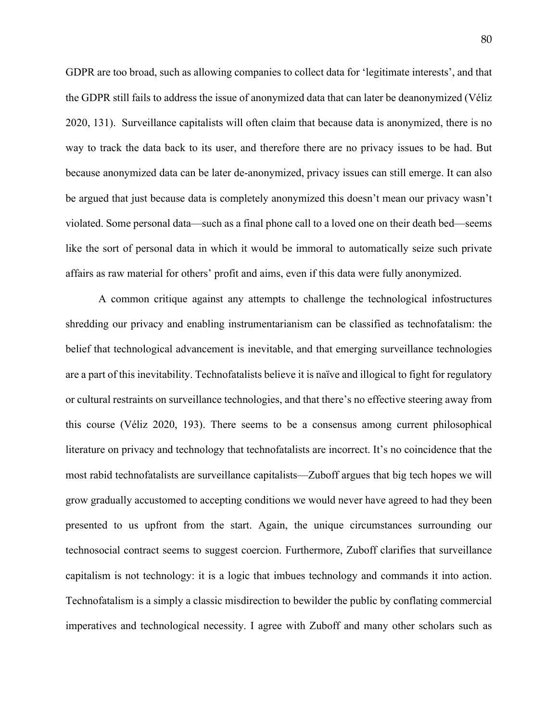GDPR are too broad, such as allowing companies to collect data for 'legitimate interests', and that the GDPR still fails to address the issue of anonymized data that can later be deanonymized (Véliz 2020, 131). Surveillance capitalists will often claim that because data is anonymized, there is no way to track the data back to its user, and therefore there are no privacy issues to be had. But because anonymized data can be later de-anonymized, privacy issues can still emerge. It can also be argued that just because data is completely anonymized this doesn't mean our privacy wasn't violated. Some personal data—such as a final phone call to a loved one on their death bed—seems like the sort of personal data in which it would be immoral to automatically seize such private affairs as raw material for others' profit and aims, even if this data were fully anonymized.

A common critique against any attempts to challenge the technological infostructures shredding our privacy and enabling instrumentarianism can be classified as technofatalism: the belief that technological advancement is inevitable, and that emerging surveillance technologies are a part of this inevitability. Technofatalists believe it is naïve and illogical to fight for regulatory or cultural restraints on surveillance technologies, and that there's no effective steering away from this course (Véliz 2020, 193). There seems to be a consensus among current philosophical literature on privacy and technology that technofatalists are incorrect. It's no coincidence that the most rabid technofatalists are surveillance capitalists—Zuboff argues that big tech hopes we will grow gradually accustomed to accepting conditions we would never have agreed to had they been presented to us upfront from the start. Again, the unique circumstances surrounding our technosocial contract seems to suggest coercion. Furthermore, Zuboff clarifies that surveillance capitalism is not technology: it is a logic that imbues technology and commands it into action. Technofatalism is a simply a classic misdirection to bewilder the public by conflating commercial imperatives and technological necessity. I agree with Zuboff and many other scholars such as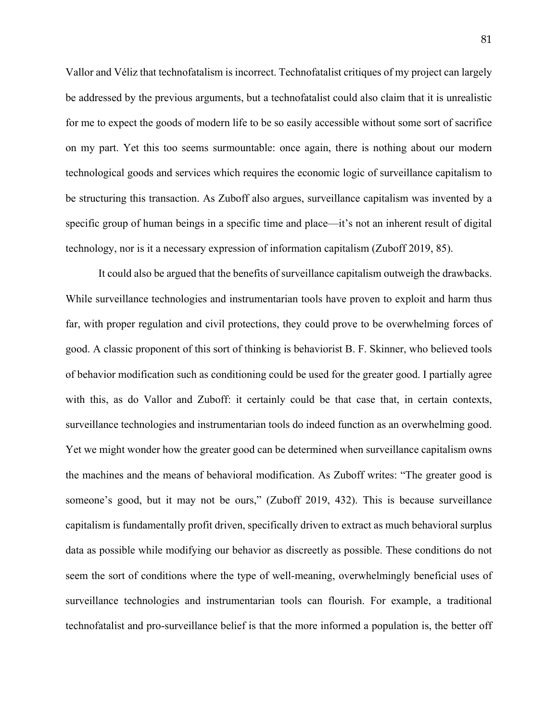Vallor and Véliz that technofatalism is incorrect. Technofatalist critiques of my project can largely be addressed by the previous arguments, but a technofatalist could also claim that it is unrealistic for me to expect the goods of modern life to be so easily accessible without some sort of sacrifice on my part. Yet this too seems surmountable: once again, there is nothing about our modern technological goods and services which requires the economic logic of surveillance capitalism to be structuring this transaction. As Zuboff also argues, surveillance capitalism was invented by a specific group of human beings in a specific time and place—it's not an inherent result of digital technology, nor is it a necessary expression of information capitalism (Zuboff 2019, 85).

It could also be argued that the benefits of surveillance capitalism outweigh the drawbacks. While surveillance technologies and instrumentarian tools have proven to exploit and harm thus far, with proper regulation and civil protections, they could prove to be overwhelming forces of good. A classic proponent of this sort of thinking is behaviorist B. F. Skinner, who believed tools of behavior modification such as conditioning could be used for the greater good. I partially agree with this, as do Vallor and Zuboff: it certainly could be that case that, in certain contexts, surveillance technologies and instrumentarian tools do indeed function as an overwhelming good. Yet we might wonder how the greater good can be determined when surveillance capitalism owns the machines and the means of behavioral modification. As Zuboff writes: "The greater good is someone's good, but it may not be ours," (Zuboff 2019, 432). This is because surveillance capitalism is fundamentally profit driven, specifically driven to extract as much behavioral surplus data as possible while modifying our behavior as discreetly as possible. These conditions do not seem the sort of conditions where the type of well-meaning, overwhelmingly beneficial uses of surveillance technologies and instrumentarian tools can flourish. For example, a traditional technofatalist and pro-surveillance belief is that the more informed a population is, the better off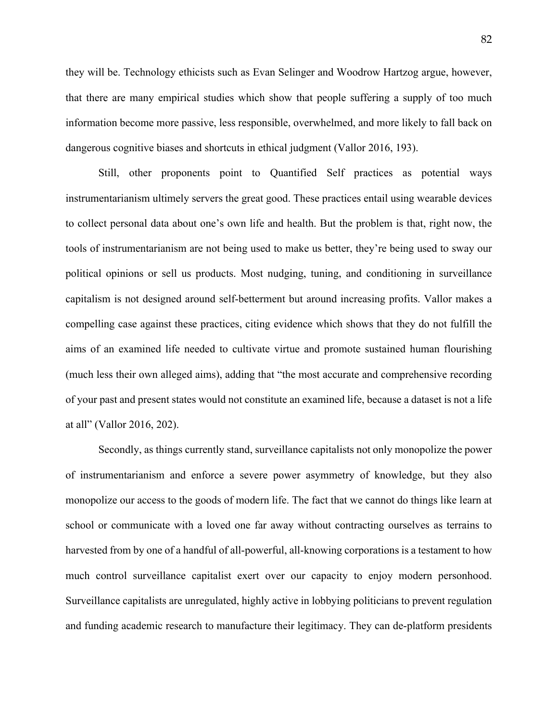they will be. Technology ethicists such as Evan Selinger and Woodrow Hartzog argue, however, that there are many empirical studies which show that people suffering a supply of too much information become more passive, less responsible, overwhelmed, and more likely to fall back on dangerous cognitive biases and shortcuts in ethical judgment (Vallor 2016, 193).

Still, other proponents point to Quantified Self practices as potential ways instrumentarianism ultimely servers the great good. These practices entail using wearable devices to collect personal data about one's own life and health. But the problem is that, right now, the tools of instrumentarianism are not being used to make us better, they're being used to sway our political opinions or sell us products. Most nudging, tuning, and conditioning in surveillance capitalism is not designed around self-betterment but around increasing profits. Vallor makes a compelling case against these practices, citing evidence which shows that they do not fulfill the aims of an examined life needed to cultivate virtue and promote sustained human flourishing (much less their own alleged aims), adding that "the most accurate and comprehensive recording of your past and present states would not constitute an examined life, because a dataset is not a life at all" (Vallor 2016, 202).

Secondly, as things currently stand, surveillance capitalists not only monopolize the power of instrumentarianism and enforce a severe power asymmetry of knowledge, but they also monopolize our access to the goods of modern life. The fact that we cannot do things like learn at school or communicate with a loved one far away without contracting ourselves as terrains to harvested from by one of a handful of all-powerful, all-knowing corporations is a testament to how much control surveillance capitalist exert over our capacity to enjoy modern personhood. Surveillance capitalists are unregulated, highly active in lobbying politicians to prevent regulation and funding academic research to manufacture their legitimacy. They can de-platform presidents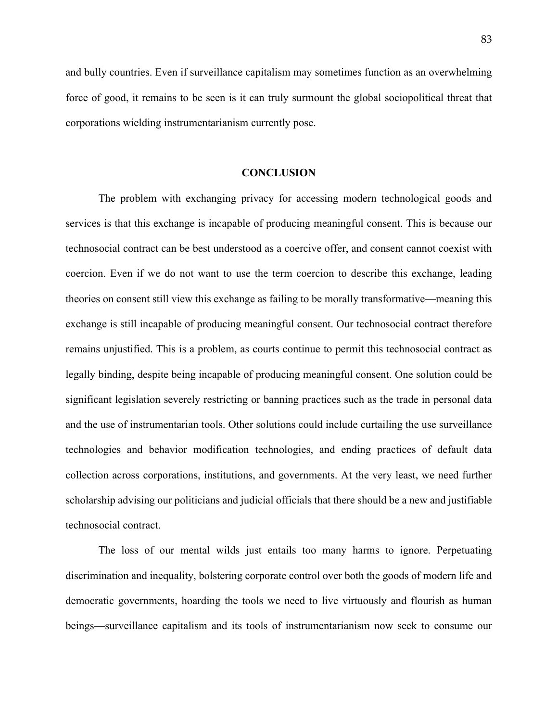and bully countries. Even if surveillance capitalism may sometimes function as an overwhelming force of good, it remains to be seen is it can truly surmount the global sociopolitical threat that corporations wielding instrumentarianism currently pose.

#### **CONCLUSION**

The problem with exchanging privacy for accessing modern technological goods and services is that this exchange is incapable of producing meaningful consent. This is because our technosocial contract can be best understood as a coercive offer, and consent cannot coexist with coercion. Even if we do not want to use the term coercion to describe this exchange, leading theories on consent still view this exchange as failing to be morally transformative—meaning this exchange is still incapable of producing meaningful consent. Our technosocial contract therefore remains unjustified. This is a problem, as courts continue to permit this technosocial contract as legally binding, despite being incapable of producing meaningful consent. One solution could be significant legislation severely restricting or banning practices such as the trade in personal data and the use of instrumentarian tools. Other solutions could include curtailing the use surveillance technologies and behavior modification technologies, and ending practices of default data collection across corporations, institutions, and governments. At the very least, we need further scholarship advising our politicians and judicial officials that there should be a new and justifiable technosocial contract.

The loss of our mental wilds just entails too many harms to ignore. Perpetuating discrimination and inequality, bolstering corporate control over both the goods of modern life and democratic governments, hoarding the tools we need to live virtuously and flourish as human beings—surveillance capitalism and its tools of instrumentarianism now seek to consume our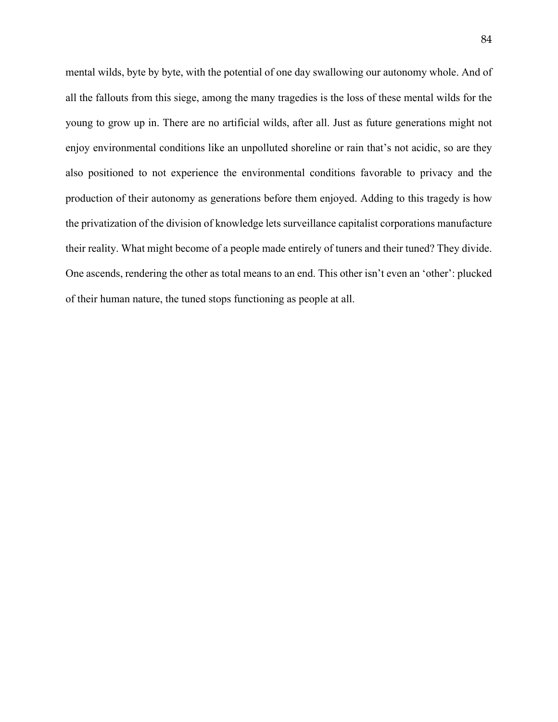mental wilds, byte by byte, with the potential of one day swallowing our autonomy whole. And of all the fallouts from this siege, among the many tragedies is the loss of these mental wilds for the young to grow up in. There are no artificial wilds, after all. Just as future generations might not enjoy environmental conditions like an unpolluted shoreline or rain that's not acidic, so are they also positioned to not experience the environmental conditions favorable to privacy and the production of their autonomy as generations before them enjoyed. Adding to this tragedy is how the privatization of the division of knowledge lets surveillance capitalist corporations manufacture their reality. What might become of a people made entirely of tuners and their tuned? They divide. One ascends, rendering the other as total means to an end. This other isn't even an 'other': plucked of their human nature, the tuned stops functioning as people at all.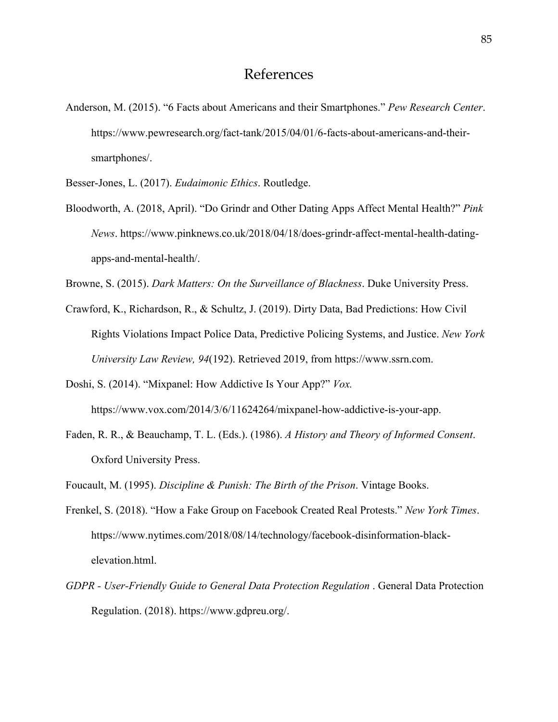## References

- Anderson, M. (2015). "6 Facts about Americans and their Smartphones." *Pew Research Center*. https://www.pewresearch.org/fact-tank/2015/04/01/6-facts-about-americans-and-theirsmartphones/.
- Besser-Jones, L. (2017). *Eudaimonic Ethics*. Routledge.
- Bloodworth, A. (2018, April). "Do Grindr and Other Dating Apps Affect Mental Health?" *Pink News*. https://www.pinknews.co.uk/2018/04/18/does-grindr-affect-mental-health-datingapps-and-mental-health/.

Browne, S. (2015). *Dark Matters: On the Surveillance of Blackness*. Duke University Press.

- Crawford, K., Richardson, R., & Schultz, J. (2019). Dirty Data, Bad Predictions: How Civil Rights Violations Impact Police Data, Predictive Policing Systems, and Justice. *New York University Law Review, 94*(192). Retrieved 2019, from https://www.ssrn.com.
- Doshi, S. (2014). "Mixpanel: How Addictive Is Your App?" *Vox.* https://www.vox.com/2014/3/6/11624264/mixpanel-how-addictive-is-your-app.
- Faden, R. R., & Beauchamp, T. L. (Eds.). (1986). *A History and Theory of Informed Consent*. Oxford University Press.

Foucault, M. (1995). *Discipline & Punish: The Birth of the Prison*. Vintage Books.

- Frenkel, S. (2018). "How a Fake Group on Facebook Created Real Protests." *New York Times*. https://www.nytimes.com/2018/08/14/technology/facebook-disinformation-blackelevation.html.
- *GDPR - User-Friendly Guide to General Data Protection Regulation* . General Data Protection Regulation. (2018). https://www.gdpreu.org/.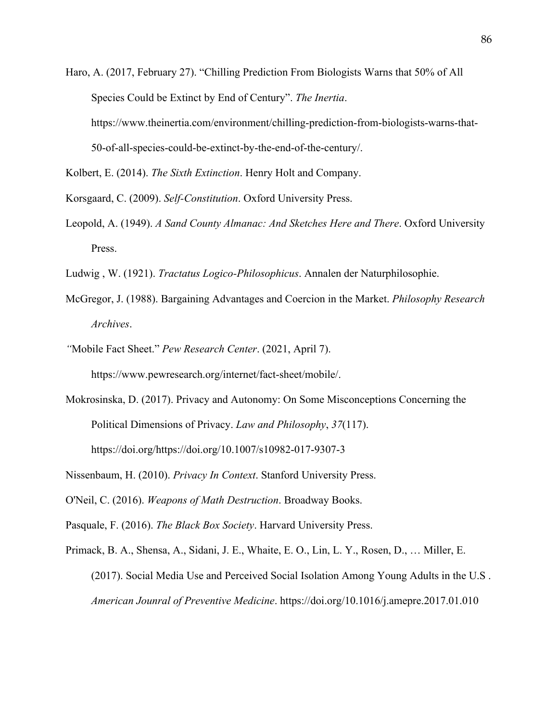Haro, A. (2017, February 27). "Chilling Prediction From Biologists Warns that 50% of All Species Could be Extinct by End of Century". *The Inertia*. https://www.theinertia.com/environment/chilling-prediction-from-biologists-warns-that-50-of-all-species-could-be-extinct-by-the-end-of-the-century/.

Kolbert, E. (2014). *The Sixth Extinction*. Henry Holt and Company.

Korsgaard, C. (2009). *Self-Constitution*. Oxford University Press.

- Leopold, A. (1949). *A Sand County Almanac: And Sketches Here and There*. Oxford University Press.
- Ludwig , W. (1921). *Tractatus Logico-Philosophicus*. Annalen der Naturphilosophie.
- McGregor, J. (1988). Bargaining Advantages and Coercion in the Market. *Philosophy Research Archives*.
- *"*Mobile Fact Sheet." *Pew Research Center*. (2021, April 7). https://www.pewresearch.org/internet/fact-sheet/mobile/.
- Mokrosinska, D. (2017). Privacy and Autonomy: On Some Misconceptions Concerning the Political Dimensions of Privacy. *Law and Philosophy*, *37*(117). https://doi.org/https://doi.org/10.1007/s10982-017-9307-3
- Nissenbaum, H. (2010). *Privacy In Context*. Stanford University Press.
- O'Neil, C. (2016). *Weapons of Math Destruction*. Broadway Books.
- Pasquale, F. (2016). *The Black Box Society*. Harvard University Press.

Primack, B. A., Shensa, A., Sidani, J. E., Whaite, E. O., Lin, L. Y., Rosen, D., … Miller, E. (2017). Social Media Use and Perceived Social Isolation Among Young Adults in the U.S . *American Jounral of Preventive Medicine*. https://doi.org/10.1016/j.amepre.2017.01.010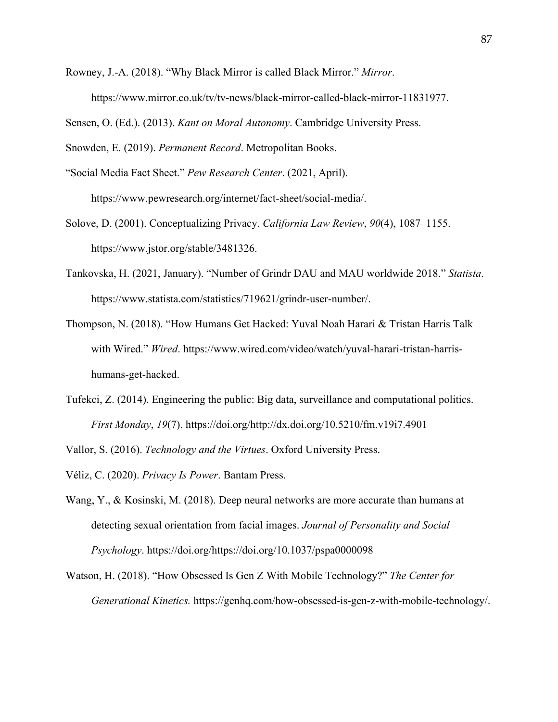Rowney, J.-A. (2018). "Why Black Mirror is called Black Mirror." *Mirror*.

https://www.mirror.co.uk/tv/tv-news/black-mirror-called-black-mirror-11831977.

Sensen, O. (Ed.). (2013). *Kant on Moral Autonomy*. Cambridge University Press.

Snowden, E. (2019). *Permanent Record*. Metropolitan Books.

"Social Media Fact Sheet." *Pew Research Center*. (2021, April). https://www.pewresearch.org/internet/fact-sheet/social-media/.

- Solove, D. (2001). Conceptualizing Privacy. *California Law Review*, *90*(4), 1087–1155. https://www.jstor.org/stable/3481326.
- Tankovska, H. (2021, January). "Number of Grindr DAU and MAU worldwide 2018." *Statista*. https://www.statista.com/statistics/719621/grindr-user-number/.
- Thompson, N. (2018). "How Humans Get Hacked: Yuval Noah Harari & Tristan Harris Talk with Wired." *Wired*. https://www.wired.com/video/watch/yuval-harari-tristan-harrishumans-get-hacked.
- Tufekci, Z. (2014). Engineering the public: Big data, surveillance and computational politics. *First Monday*, *19*(7). https://doi.org/http://dx.doi.org/10.5210/fm.v19i7.4901

Vallor, S. (2016). *Technology and the Virtues*. Oxford University Press.

Véliz, C. (2020). *Privacy Is Power*. Bantam Press.

- Wang, Y., & Kosinski, M. (2018). Deep neural networks are more accurate than humans at detecting sexual orientation from facial images. *Journal of Personality and Social Psychology*. https://doi.org/https://doi.org/10.1037/pspa0000098
- Watson, H. (2018). "How Obsessed Is Gen Z With Mobile Technology?" *The Center for Generational Kinetics.* https://genhq.com/how-obsessed-is-gen-z-with-mobile-technology/.